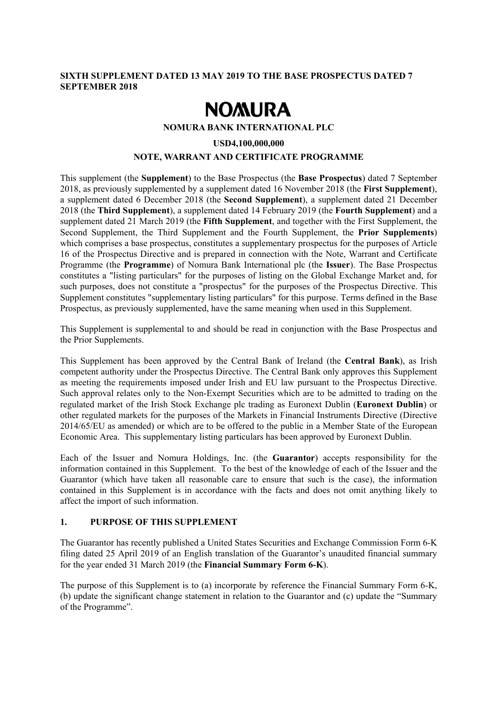### **SIXTH SUPPLEMENT DATED 13 MAY 2019 TO THE BASE PROSPECTUS DATED 7 SEPTEMBER 2018**

# **NOMURA**

#### **NOMURA BANK INTERNATIONAL PLC**

#### **USD4,100,000,000**

# **NOTE, WARRANT AND CERTIFICATE PROGRAMME**

This supplement (the **Supplement**) to the Base Prospectus (the **Base Prospectus**) dated 7 September 2018, as previously supplemented by a supplement dated 16 November 2018 (the **First Supplement**), a supplement dated 6 December 2018 (the **Second Supplement**), a supplement dated 21 December 2018 (the **Third Supplement**), a supplement dated 14 February 2019 (the **Fourth Supplement**) and a supplement dated 21 March 2019 (the **Fifth Supplement**, and together with the First Supplement, the Second Supplement, the Third Supplement and the Fourth Supplement, the **Prior Supplements**) which comprises a base prospectus, constitutes a supplementary prospectus for the purposes of Article 16 of the Prospectus Directive and is prepared in connection with the Note, Warrant and Certificate Programme (the **Programme**) of Nomura Bank International plc (the **Issuer**). The Base Prospectus constitutes a "listing particulars" for the purposes of listing on the Global Exchange Market and, for such purposes, does not constitute a "prospectus" for the purposes of the Prospectus Directive. This Supplement constitutes "supplementary listing particulars" for this purpose. Terms defined in the Base Prospectus, as previously supplemented, have the same meaning when used in this Supplement.

This Supplement is supplemental to and should be read in conjunction with the Base Prospectus and the Prior Supplements.

This Supplement has been approved by the Central Bank of Ireland (the **Central Bank**), as Irish competent authority under the Prospectus Directive. The Central Bank only approves this Supplement as meeting the requirements imposed under Irish and EU law pursuant to the Prospectus Directive. Such approval relates only to the Non-Exempt Securities which are to be admitted to trading on the regulated market of the Irish Stock Exchange plc trading as Euronext Dublin (**Euronext Dublin**) or other regulated markets for the purposes of the Markets in Financial Instruments Directive (Directive 2014/65/EU as amended) or which are to be offered to the public in a Member State of the European Economic Area. This supplementary listing particulars has been approved by Euronext Dublin.

Each of the Issuer and Nomura Holdings, Inc. (the **Guarantor**) accepts responsibility for the information contained in this Supplement. To the best of the knowledge of each of the Issuer and the Guarantor (which have taken all reasonable care to ensure that such is the case), the information contained in this Supplement is in accordance with the facts and does not omit anything likely to affect the import of such information.

# **1. PURPOSE OF THIS SUPPLEMENT**

The Guarantor has recently published a United States Securities and Exchange Commission Form 6-K filing dated 25 April 2019 of an English translation of the Guarantor's unaudited financial summary for the year ended 31 March 2019 (the **Financial Summary Form 6-K**).

The purpose of this Supplement is to (a) incorporate by reference the Financial Summary Form 6-K, (b) update the significant change statement in relation to the Guarantor and (c) update the "Summary of the Programme".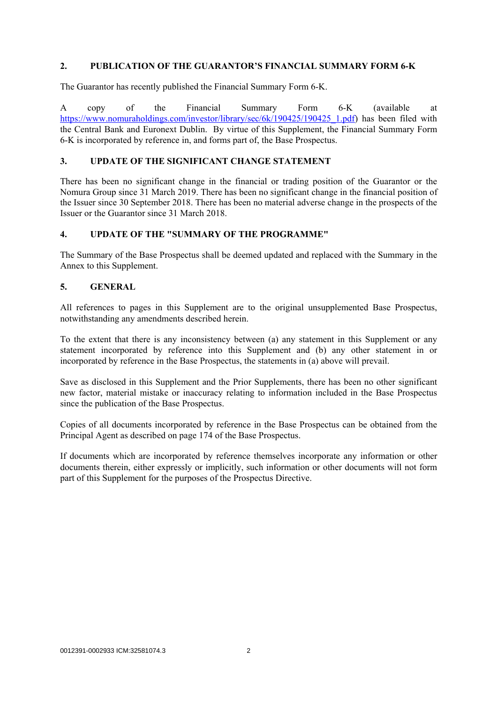#### **2. PUBLICATION OF THE GUARANTOR'S FINANCIAL SUMMARY FORM 6-K**

The Guarantor has recently published the Financial Summary Form 6-K.

A copy of the Financial Summary Form 6-K (available at https://www.nomuraholdings.com/investor/library/sec/6k/190425/190425\_1.pdf) has been filed with the Central Bank and Euronext Dublin. By virtue of this Supplement, the Financial Summary Form 6-K is incorporated by reference in, and forms part of, the Base Prospectus.

## **3. UPDATE OF THE SIGNIFICANT CHANGE STATEMENT**

There has been no significant change in the financial or trading position of the Guarantor or the Nomura Group since 31 March 2019. There has been no significant change in the financial position of the Issuer since 30 September 2018. There has been no material adverse change in the prospects of the Issuer or the Guarantor since 31 March 2018.

### **4. UPDATE OF THE "SUMMARY OF THE PROGRAMME"**

The Summary of the Base Prospectus shall be deemed updated and replaced with the Summary in the Annex to this Supplement.

### **5. GENERAL**

All references to pages in this Supplement are to the original unsupplemented Base Prospectus, notwithstanding any amendments described herein.

To the extent that there is any inconsistency between (a) any statement in this Supplement or any statement incorporated by reference into this Supplement and (b) any other statement in or incorporated by reference in the Base Prospectus, the statements in (a) above will prevail.

Save as disclosed in this Supplement and the Prior Supplements, there has been no other significant new factor, material mistake or inaccuracy relating to information included in the Base Prospectus since the publication of the Base Prospectus.

Copies of all documents incorporated by reference in the Base Prospectus can be obtained from the Principal Agent as described on page 174 of the Base Prospectus.

If documents which are incorporated by reference themselves incorporate any information or other documents therein, either expressly or implicitly, such information or other documents will not form part of this Supplement for the purposes of the Prospectus Directive.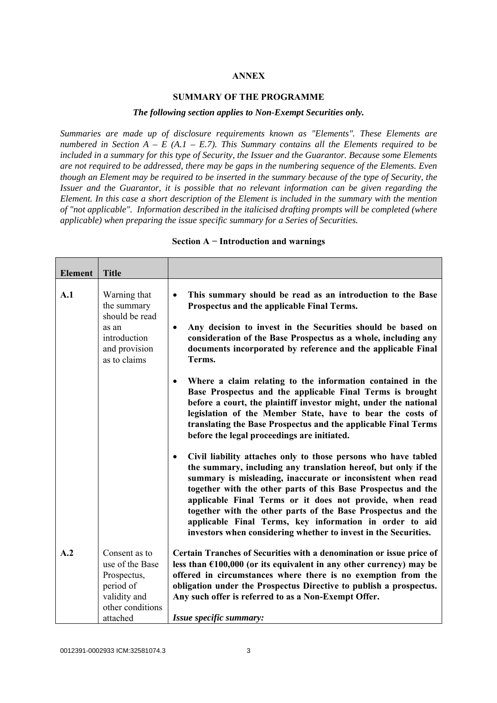#### **ANNEX**

#### **SUMMARY OF THE PROGRAMME**

#### *The following section applies to Non-Exempt Securities only.*

*Summaries are made up of disclosure requirements known as "Elements". These Elements are numbered in Section A – E (A.1 – E.7). This Summary contains all the Elements required to be included in a summary for this type of Security, the Issuer and the Guarantor. Because some Elements are not required to be addressed, there may be gaps in the numbering sequence of the Elements. Even though an Element may be required to be inserted in the summary because of the type of Security, the Issuer and the Guarantor, it is possible that no relevant information can be given regarding the Element. In this case a short description of the Element is included in the summary with the mention of "not applicable". Information described in the italicised drafting prompts will be completed (where applicable) when preparing the issue specific summary for a Series of Securities.*

| <b>Element</b> | <b>Title</b>                                                                                     |                                                                                                                                                                                                                                                                                                                                                                                                                                                                                                                                         |
|----------------|--------------------------------------------------------------------------------------------------|-----------------------------------------------------------------------------------------------------------------------------------------------------------------------------------------------------------------------------------------------------------------------------------------------------------------------------------------------------------------------------------------------------------------------------------------------------------------------------------------------------------------------------------------|
| A.1            | Warning that<br>the summary<br>should be read<br>as an                                           | This summary should be read as an introduction to the Base<br>$\bullet$<br>Prospectus and the applicable Final Terms.<br>Any decision to invest in the Securities should be based on<br>$\bullet$                                                                                                                                                                                                                                                                                                                                       |
|                | introduction<br>and provision<br>as to claims                                                    | consideration of the Base Prospectus as a whole, including any<br>documents incorporated by reference and the applicable Final<br>Terms.                                                                                                                                                                                                                                                                                                                                                                                                |
|                |                                                                                                  | Where a claim relating to the information contained in the<br>$\bullet$<br>Base Prospectus and the applicable Final Terms is brought<br>before a court, the plaintiff investor might, under the national<br>legislation of the Member State, have to bear the costs of<br>translating the Base Prospectus and the applicable Final Terms<br>before the legal proceedings are initiated.                                                                                                                                                 |
|                |                                                                                                  | Civil liability attaches only to those persons who have tabled<br>$\bullet$<br>the summary, including any translation hereof, but only if the<br>summary is misleading, inaccurate or inconsistent when read<br>together with the other parts of this Base Prospectus and the<br>applicable Final Terms or it does not provide, when read<br>together with the other parts of the Base Prospectus and the<br>applicable Final Terms, key information in order to aid<br>investors when considering whether to invest in the Securities. |
| A.2            | Consent as to<br>use of the Base<br>Prospectus,<br>period of<br>validity and<br>other conditions | Certain Tranches of Securities with a denomination or issue price of<br>less than $£100,000$ (or its equivalent in any other currency) may be<br>offered in circumstances where there is no exemption from the<br>obligation under the Prospectus Directive to publish a prospectus.<br>Any such offer is referred to as a Non-Exempt Offer.                                                                                                                                                                                            |
|                | attached                                                                                         | Issue specific summary:                                                                                                                                                                                                                                                                                                                                                                                                                                                                                                                 |

#### **Section A − Introduction and warnings**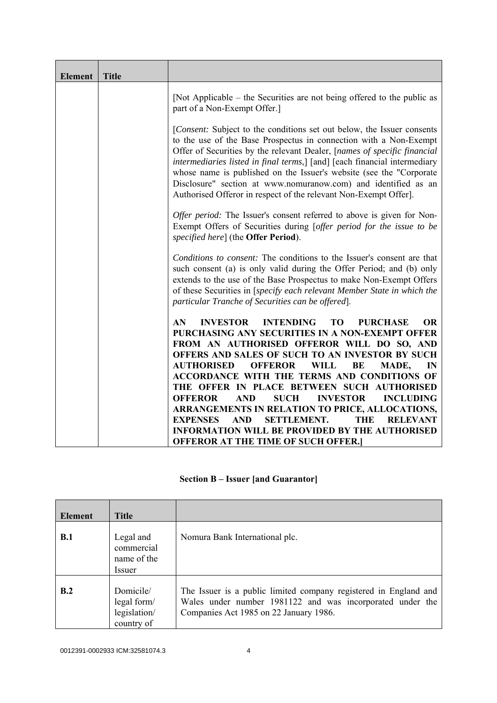| <b>Element</b> | <b>Title</b> |                                                                                                                                                                                                                                                                                                                                                                                                                                                                                                                   |
|----------------|--------------|-------------------------------------------------------------------------------------------------------------------------------------------------------------------------------------------------------------------------------------------------------------------------------------------------------------------------------------------------------------------------------------------------------------------------------------------------------------------------------------------------------------------|
|                |              | [Not Applicable – the Securities are not being offered to the public as<br>part of a Non-Exempt Offer.]                                                                                                                                                                                                                                                                                                                                                                                                           |
|                |              | [Consent: Subject to the conditions set out below, the Issuer consents<br>to the use of the Base Prospectus in connection with a Non-Exempt<br>Offer of Securities by the relevant Dealer, [names of specific financial<br>intermediaries listed in final terms,] [and] [each financial intermediary<br>whose name is published on the Issuer's website (see the "Corporate<br>Disclosure" section at www.nomuranow.com) and identified as an<br>Authorised Offeror in respect of the relevant Non-Exempt Offer]. |
|                |              | Offer period: The Issuer's consent referred to above is given for Non-<br>Exempt Offers of Securities during [offer period for the issue to be<br>specified here] (the Offer Period).                                                                                                                                                                                                                                                                                                                             |
|                |              | Conditions to consent: The conditions to the Issuer's consent are that<br>such consent (a) is only valid during the Offer Period; and (b) only<br>extends to the use of the Base Prospectus to make Non-Exempt Offers<br>of these Securities in [specify each relevant Member State in which the<br>particular Tranche of Securities can be offered].                                                                                                                                                             |
|                |              | <b>INVESTOR</b><br><b>INTENDING</b><br><b>OR</b><br>AN.<br>T <sub>O</sub><br><b>PURCHASE</b><br>PURCHASING ANY SECURITIES IN A NON-EXEMPT OFFER                                                                                                                                                                                                                                                                                                                                                                   |
|                |              | FROM AN AUTHORISED OFFEROR WILL DO SO, AND<br>OFFERS AND SALES OF SUCH TO AN INVESTOR BY SUCH<br><b>AUTHORISED</b><br><b>OFFEROR</b><br><b>WILL</b><br>BE<br>MADE,<br>IN                                                                                                                                                                                                                                                                                                                                          |
|                |              | ACCORDANCE WITH THE TERMS AND CONDITIONS OF<br>THE OFFER IN PLACE BETWEEN SUCH AUTHORISED<br><b>OFFEROR</b><br><b>AND</b><br><b>SUCH</b><br><b>INVESTOR</b><br><b>INCLUDING</b>                                                                                                                                                                                                                                                                                                                                   |
|                |              | ARRANGEMENTS IN RELATION TO PRICE, ALLOCATIONS,<br><b>EXPENSES</b><br><b>SETTLEMENT.</b><br><b>AND</b><br><b>THE</b><br><b>RELEVANT</b><br><b>INFORMATION WILL BE PROVIDED BY THE AUTHORISED</b>                                                                                                                                                                                                                                                                                                                  |
|                |              | <b>OFFEROR AT THE TIME OF SUCH OFFER.</b>                                                                                                                                                                                                                                                                                                                                                                                                                                                                         |

# **Section B – Issuer [and Guarantor]**

| <b>Element</b> | <b>Title</b>                                           |                                                                                                                                                                         |
|----------------|--------------------------------------------------------|-------------------------------------------------------------------------------------------------------------------------------------------------------------------------|
| B.1            | Legal and<br>commercial<br>name of the<br>Issuer       | Nomura Bank International plc.                                                                                                                                          |
| B.2            | Domicile/<br>legal form/<br>legislation/<br>country of | The Issuer is a public limited company registered in England and<br>Wales under number 1981122 and was incorporated under the<br>Companies Act 1985 on 22 January 1986. |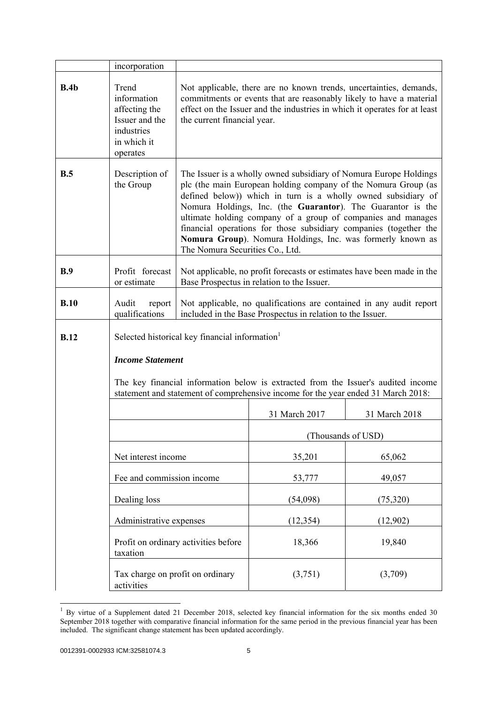|             | incorporation                                                                                                                                                          |                                                                                                                                                                                                                                                                                                                                                                                                                                                                                                           |                                                                                                                                   |               |
|-------------|------------------------------------------------------------------------------------------------------------------------------------------------------------------------|-----------------------------------------------------------------------------------------------------------------------------------------------------------------------------------------------------------------------------------------------------------------------------------------------------------------------------------------------------------------------------------------------------------------------------------------------------------------------------------------------------------|-----------------------------------------------------------------------------------------------------------------------------------|---------------|
| B.4b        | Trend<br>information<br>affecting the<br>Issuer and the<br>industries<br>in which it<br>operates                                                                       | Not applicable, there are no known trends, uncertainties, demands,<br>commitments or events that are reasonably likely to have a material<br>effect on the Issuer and the industries in which it operates for at least<br>the current financial year.                                                                                                                                                                                                                                                     |                                                                                                                                   |               |
| B.5         | Description of<br>the Group                                                                                                                                            | The Issuer is a wholly owned subsidiary of Nomura Europe Holdings<br>plc (the main European holding company of the Nomura Group (as<br>defined below)) which in turn is a wholly owned subsidiary of<br>Nomura Holdings, Inc. (the Guarantor). The Guarantor is the<br>ultimate holding company of a group of companies and manages<br>financial operations for those subsidiary companies (together the<br>Nomura Group). Nomura Holdings, Inc. was formerly known as<br>The Nomura Securities Co., Ltd. |                                                                                                                                   |               |
| B.9         | Profit forecast<br>or estimate                                                                                                                                         |                                                                                                                                                                                                                                                                                                                                                                                                                                                                                                           | Not applicable, no profit forecasts or estimates have been made in the<br>Base Prospectus in relation to the Issuer.              |               |
| B.10        | Audit<br>report<br>qualifications                                                                                                                                      |                                                                                                                                                                                                                                                                                                                                                                                                                                                                                                           | Not applicable, no qualifications are contained in any audit report<br>included in the Base Prospectus in relation to the Issuer. |               |
| <b>B.12</b> | Selected historical key financial information                                                                                                                          |                                                                                                                                                                                                                                                                                                                                                                                                                                                                                                           |                                                                                                                                   |               |
|             | <b>Income Statement</b>                                                                                                                                                |                                                                                                                                                                                                                                                                                                                                                                                                                                                                                                           |                                                                                                                                   |               |
|             | The key financial information below is extracted from the Issuer's audited income<br>statement and statement of comprehensive income for the year ended 31 March 2018: |                                                                                                                                                                                                                                                                                                                                                                                                                                                                                                           |                                                                                                                                   |               |
|             |                                                                                                                                                                        |                                                                                                                                                                                                                                                                                                                                                                                                                                                                                                           | 31 March 2017                                                                                                                     | 31 March 2018 |
|             |                                                                                                                                                                        |                                                                                                                                                                                                                                                                                                                                                                                                                                                                                                           | (Thousands of USD)                                                                                                                |               |
|             | Net interest income                                                                                                                                                    |                                                                                                                                                                                                                                                                                                                                                                                                                                                                                                           | 35,201                                                                                                                            | 65,062        |
|             | Fee and commission income                                                                                                                                              |                                                                                                                                                                                                                                                                                                                                                                                                                                                                                                           | 53,777                                                                                                                            | 49,057        |
|             | Dealing loss                                                                                                                                                           |                                                                                                                                                                                                                                                                                                                                                                                                                                                                                                           | (54,098)                                                                                                                          | (75, 320)     |
|             | Administrative expenses                                                                                                                                                |                                                                                                                                                                                                                                                                                                                                                                                                                                                                                                           | (12, 354)                                                                                                                         | (12,902)      |
|             | taxation                                                                                                                                                               | Profit on ordinary activities before                                                                                                                                                                                                                                                                                                                                                                                                                                                                      | 18,366                                                                                                                            | 19,840        |
|             | Tax charge on profit on ordinary<br>activities                                                                                                                         |                                                                                                                                                                                                                                                                                                                                                                                                                                                                                                           | (3,751)                                                                                                                           | (3,709)       |

 $1$  By virtue of a Supplement dated 21 December 2018, selected key financial information for the six months ended 30 September 2018 together with comparative financial information for the same period in the previous financial year has been included. The significant change statement has been updated accordingly.

l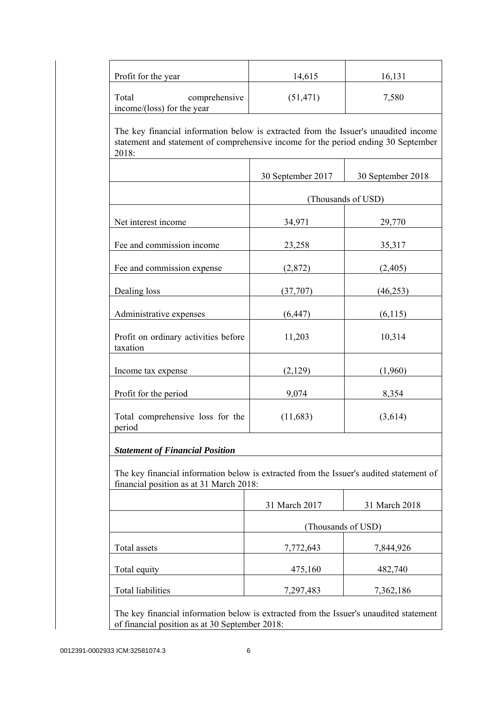| Profit for the year                                                                                                                                                                | 14,615            | 16,131             |
|------------------------------------------------------------------------------------------------------------------------------------------------------------------------------------|-------------------|--------------------|
| Total<br>comprehensive<br>income/(loss) for the year                                                                                                                               | (51, 471)         | 7,580              |
| The key financial information below is extracted from the Issuer's unaudited income<br>statement and statement of comprehensive income for the period ending 30 September<br>2018: |                   |                    |
|                                                                                                                                                                                    | 30 September 2017 | 30 September 2018  |
|                                                                                                                                                                                    |                   | (Thousands of USD) |
| Net interest income                                                                                                                                                                | 34,971            | 29,770             |
| Fee and commission income                                                                                                                                                          | 23,258            | 35,317             |
| Fee and commission expense                                                                                                                                                         | (2,872)           | (2,405)            |
| Dealing loss                                                                                                                                                                       | (37,707)          | (46, 253)          |
| Administrative expenses                                                                                                                                                            | (6, 447)          | (6,115)            |
| Profit on ordinary activities before<br>taxation                                                                                                                                   | 11,203            | 10,314             |
| Income tax expense                                                                                                                                                                 | (2,129)           | (1,960)            |
| Profit for the period                                                                                                                                                              | 9,074             | 8,354              |
| Total comprehensive loss for the<br>period                                                                                                                                         | (11,683)          | (3,614)            |
| <b>Statement of Financial Position</b>                                                                                                                                             |                   |                    |
| The key financial information below is extracted from the Issuer's audited statement of<br>financial position as at 31 March 2018:                                                 |                   |                    |
|                                                                                                                                                                                    | 31 March 2017     | 31 March 2018      |
|                                                                                                                                                                                    |                   | (Thousands of USD) |
| Total assets                                                                                                                                                                       | 7,772,643         | 7,844,926          |
| Total equity                                                                                                                                                                       | 475,160           | 482,740            |
|                                                                                                                                                                                    |                   |                    |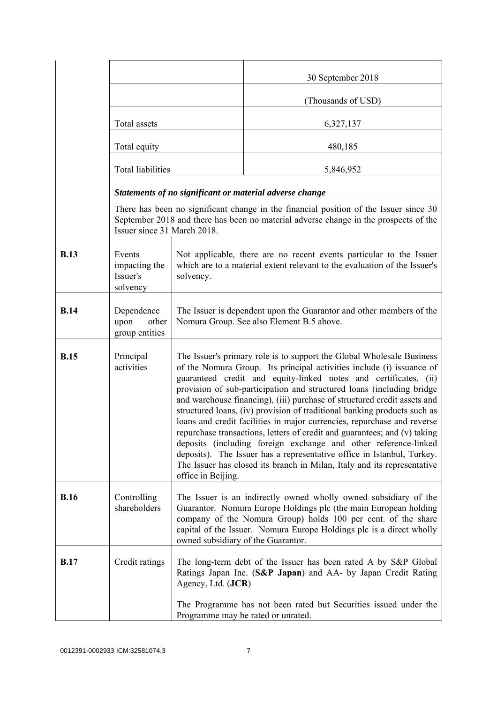|             |                                                 |                                                                                                                                                                                                                                                                                                                                                                                                                                                                                                                                                                                                                                                                                                                                                                                                                                                           | 30 September 2018                                                                                                                                                             |
|-------------|-------------------------------------------------|-----------------------------------------------------------------------------------------------------------------------------------------------------------------------------------------------------------------------------------------------------------------------------------------------------------------------------------------------------------------------------------------------------------------------------------------------------------------------------------------------------------------------------------------------------------------------------------------------------------------------------------------------------------------------------------------------------------------------------------------------------------------------------------------------------------------------------------------------------------|-------------------------------------------------------------------------------------------------------------------------------------------------------------------------------|
|             |                                                 |                                                                                                                                                                                                                                                                                                                                                                                                                                                                                                                                                                                                                                                                                                                                                                                                                                                           | (Thousands of USD)                                                                                                                                                            |
|             | Total assets                                    |                                                                                                                                                                                                                                                                                                                                                                                                                                                                                                                                                                                                                                                                                                                                                                                                                                                           | 6,327,137                                                                                                                                                                     |
|             | Total equity                                    |                                                                                                                                                                                                                                                                                                                                                                                                                                                                                                                                                                                                                                                                                                                                                                                                                                                           | 480,185                                                                                                                                                                       |
|             | <b>Total liabilities</b>                        |                                                                                                                                                                                                                                                                                                                                                                                                                                                                                                                                                                                                                                                                                                                                                                                                                                                           | 5,846,952                                                                                                                                                                     |
|             |                                                 |                                                                                                                                                                                                                                                                                                                                                                                                                                                                                                                                                                                                                                                                                                                                                                                                                                                           | Statements of no significant or material adverse change                                                                                                                       |
|             | Issuer since 31 March 2018.                     |                                                                                                                                                                                                                                                                                                                                                                                                                                                                                                                                                                                                                                                                                                                                                                                                                                                           | There has been no significant change in the financial position of the Issuer since 30<br>September 2018 and there has been no material adverse change in the prospects of the |
| <b>B.13</b> | Events<br>impacting the<br>Issuer's<br>solvency | solvency.                                                                                                                                                                                                                                                                                                                                                                                                                                                                                                                                                                                                                                                                                                                                                                                                                                                 | Not applicable, there are no recent events particular to the Issuer<br>which are to a material extent relevant to the evaluation of the Issuer's                              |
| <b>B.14</b> | Dependence<br>upon<br>other<br>group entities   | The Issuer is dependent upon the Guarantor and other members of the<br>Nomura Group. See also Element B.5 above.                                                                                                                                                                                                                                                                                                                                                                                                                                                                                                                                                                                                                                                                                                                                          |                                                                                                                                                                               |
| <b>B.15</b> | Principal<br>activities                         | The Issuer's primary role is to support the Global Wholesale Business<br>of the Nomura Group. Its principal activities include (i) issuance of<br>guaranteed credit and equity-linked notes and certificates, (ii)<br>provision of sub-participation and structured loans (including bridge<br>and warehouse financing), (iii) purchase of structured credit assets and<br>structured loans, (iv) provision of traditional banking products such as<br>loans and credit facilities in major currencies, repurchase and reverse<br>repurchase transactions, letters of credit and guarantees; and (v) taking<br>deposits (including foreign exchange and other reference-linked<br>deposits). The Issuer has a representative office in Istanbul, Turkey.<br>The Issuer has closed its branch in Milan, Italy and its representative<br>office in Beijing. |                                                                                                                                                                               |
| <b>B.16</b> | Controlling<br>shareholders                     | The Issuer is an indirectly owned wholly owned subsidiary of the<br>Guarantor. Nomura Europe Holdings plc (the main European holding<br>company of the Nomura Group) holds 100 per cent. of the share<br>capital of the Issuer. Nomura Europe Holdings plc is a direct wholly<br>owned subsidiary of the Guarantor.                                                                                                                                                                                                                                                                                                                                                                                                                                                                                                                                       |                                                                                                                                                                               |
| <b>B.17</b> | Credit ratings                                  | Agency, Ltd. (JCR)                                                                                                                                                                                                                                                                                                                                                                                                                                                                                                                                                                                                                                                                                                                                                                                                                                        | The long-term debt of the Issuer has been rated A by S&P Global<br>Ratings Japan Inc. (S&P Japan) and AA- by Japan Credit Rating                                              |
|             |                                                 |                                                                                                                                                                                                                                                                                                                                                                                                                                                                                                                                                                                                                                                                                                                                                                                                                                                           | The Programme has not been rated but Securities issued under the<br>Programme may be rated or unrated.                                                                        |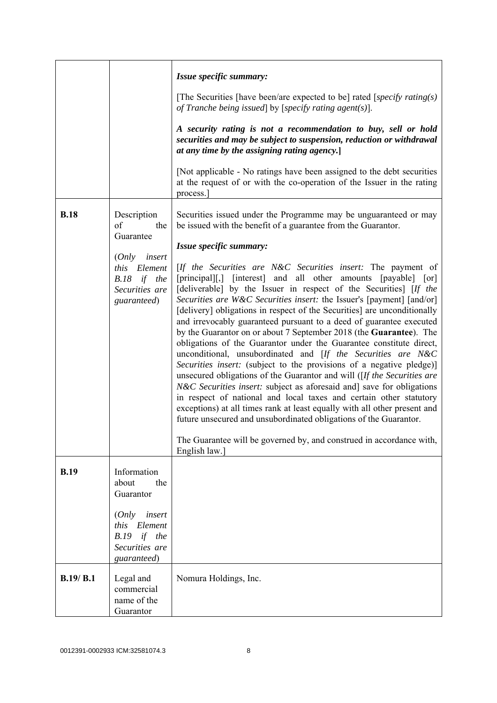|             |                                                                                                                                    | Issue specific summary:<br>[The Securities [have been/are expected to be] rated [specify rating(s)]                                                                                                                                                                                                                                                                                                                                                                                                                                                                                                                                                                                                                                                                                                                                                                                                                                                                                                                                                                                                                                                                                                                                                                                                                                                    |
|-------------|------------------------------------------------------------------------------------------------------------------------------------|--------------------------------------------------------------------------------------------------------------------------------------------------------------------------------------------------------------------------------------------------------------------------------------------------------------------------------------------------------------------------------------------------------------------------------------------------------------------------------------------------------------------------------------------------------------------------------------------------------------------------------------------------------------------------------------------------------------------------------------------------------------------------------------------------------------------------------------------------------------------------------------------------------------------------------------------------------------------------------------------------------------------------------------------------------------------------------------------------------------------------------------------------------------------------------------------------------------------------------------------------------------------------------------------------------------------------------------------------------|
|             |                                                                                                                                    | of Tranche being issued by [specify rating agent(s)].<br>A security rating is not a recommendation to buy, sell or hold<br>securities and may be subject to suspension, reduction or withdrawal<br>at any time by the assigning rating agency.<br>[Not applicable - No ratings have been assigned to the debt securities]                                                                                                                                                                                                                                                                                                                                                                                                                                                                                                                                                                                                                                                                                                                                                                                                                                                                                                                                                                                                                              |
|             |                                                                                                                                    | at the request of or with the co-operation of the Issuer in the rating<br>process.                                                                                                                                                                                                                                                                                                                                                                                                                                                                                                                                                                                                                                                                                                                                                                                                                                                                                                                                                                                                                                                                                                                                                                                                                                                                     |
| <b>B.18</b> | Description<br>of<br>the<br>Guarantee<br>insert<br>(Only<br>Element<br><i>this</i><br>B.18 if the<br>Securities are<br>guaranteed) | Securities issued under the Programme may be unguaranteed or may<br>be issued with the benefit of a guarantee from the Guarantor.<br>Issue specific summary:<br>[If the Securities are N&C Securities insert: The payment of<br>[principal][,] [interest] and all other amounts [payable] [or]<br>[deliverable] by the Issuer in respect of the Securities] [If the<br>Securities are W&C Securities insert: the Issuer's [payment] [and/or]<br>[delivery] obligations in respect of the Securities] are unconditionally<br>and irrevocably guaranteed pursuant to a deed of guarantee executed<br>by the Guarantor on or about 7 September 2018 (the Guarantee). The<br>obligations of the Guarantor under the Guarantee constitute direct,<br>unconditional, unsubordinated and [If the Securities are N&C<br>Securities insert: (subject to the provisions of a negative pledge)]<br>unsecured obligations of the Guarantor and will ( $[If the Securities are$<br><i>N&amp;C Securities insert:</i> subject as aforesaid and] save for obligations<br>in respect of national and local taxes and certain other statutory<br>exceptions) at all times rank at least equally with all other present and<br>future unsecured and unsubordinated obligations of the Guarantor.<br>The Guarantee will be governed by, and construed in accordance with, |
|             |                                                                                                                                    | English law.]                                                                                                                                                                                                                                                                                                                                                                                                                                                                                                                                                                                                                                                                                                                                                                                                                                                                                                                                                                                                                                                                                                                                                                                                                                                                                                                                          |
| <b>B.19</b> | Information<br>about<br>the<br>Guarantor                                                                                           |                                                                                                                                                                                                                                                                                                                                                                                                                                                                                                                                                                                                                                                                                                                                                                                                                                                                                                                                                                                                                                                                                                                                                                                                                                                                                                                                                        |
|             | (Only<br>insert<br>this Element<br>$B.19$ if the<br>Securities are<br>guaranteed)                                                  |                                                                                                                                                                                                                                                                                                                                                                                                                                                                                                                                                                                                                                                                                                                                                                                                                                                                                                                                                                                                                                                                                                                                                                                                                                                                                                                                                        |
| B.19/ B.1   | Legal and<br>commercial<br>name of the<br>Guarantor                                                                                | Nomura Holdings, Inc.                                                                                                                                                                                                                                                                                                                                                                                                                                                                                                                                                                                                                                                                                                                                                                                                                                                                                                                                                                                                                                                                                                                                                                                                                                                                                                                                  |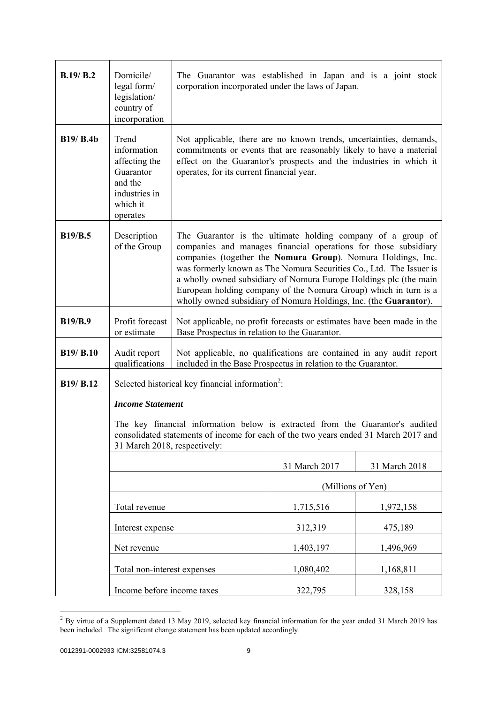| B.19/ B.2        | Domicile/<br>legal form/<br>legislation/<br>country of<br>incorporation                                                                                                                              | The Guarantor was established in Japan and is a joint stock<br>corporation incorporated under the laws of Japan.                                                                                                                                                                                                                                                                                                                                                                    |                   |               |
|------------------|------------------------------------------------------------------------------------------------------------------------------------------------------------------------------------------------------|-------------------------------------------------------------------------------------------------------------------------------------------------------------------------------------------------------------------------------------------------------------------------------------------------------------------------------------------------------------------------------------------------------------------------------------------------------------------------------------|-------------------|---------------|
| <b>B19/ B.4b</b> | Trend<br>information<br>affecting the<br>Guarantor<br>and the<br>industries in<br>which it<br>operates                                                                                               | Not applicable, there are no known trends, uncertainties, demands,<br>commitments or events that are reasonably likely to have a material<br>effect on the Guarantor's prospects and the industries in which it<br>operates, for its current financial year.                                                                                                                                                                                                                        |                   |               |
| <b>B19/B.5</b>   | Description<br>of the Group                                                                                                                                                                          | The Guarantor is the ultimate holding company of a group of<br>companies and manages financial operations for those subsidiary<br>companies (together the Nomura Group). Nomura Holdings, Inc.<br>was formerly known as The Nomura Securities Co., Ltd. The Issuer is<br>a wholly owned subsidiary of Nomura Europe Holdings plc (the main<br>European holding company of the Nomura Group) which in turn is a<br>wholly owned subsidiary of Nomura Holdings, Inc. (the Guarantor). |                   |               |
| <b>B19/B.9</b>   | Profit forecast<br>or estimate                                                                                                                                                                       | Not applicable, no profit forecasts or estimates have been made in the<br>Base Prospectus in relation to the Guarantor.                                                                                                                                                                                                                                                                                                                                                             |                   |               |
| <b>B19/ B.10</b> | Audit report<br>qualifications                                                                                                                                                                       | Not applicable, no qualifications are contained in any audit report<br>included in the Base Prospectus in relation to the Guarantor.                                                                                                                                                                                                                                                                                                                                                |                   |               |
| B19/ B.12        | Selected historical key financial information <sup>2</sup> :                                                                                                                                         |                                                                                                                                                                                                                                                                                                                                                                                                                                                                                     |                   |               |
|                  | <b>Income Statement</b>                                                                                                                                                                              |                                                                                                                                                                                                                                                                                                                                                                                                                                                                                     |                   |               |
|                  | The key financial information below is extracted from the Guarantor's audited<br>consolidated statements of income for each of the two years ended 31 March 2017 and<br>31 March 2018, respectively: |                                                                                                                                                                                                                                                                                                                                                                                                                                                                                     |                   |               |
|                  |                                                                                                                                                                                                      |                                                                                                                                                                                                                                                                                                                                                                                                                                                                                     | 31 March 2017     | 31 March 2018 |
|                  |                                                                                                                                                                                                      |                                                                                                                                                                                                                                                                                                                                                                                                                                                                                     | (Millions of Yen) |               |
|                  | Total revenue                                                                                                                                                                                        |                                                                                                                                                                                                                                                                                                                                                                                                                                                                                     | 1,715,516         | 1,972,158     |
|                  | Interest expense                                                                                                                                                                                     |                                                                                                                                                                                                                                                                                                                                                                                                                                                                                     | 312,319           | 475,189       |
|                  | Net revenue                                                                                                                                                                                          |                                                                                                                                                                                                                                                                                                                                                                                                                                                                                     | 1,403,197         | 1,496,969     |
|                  | Total non-interest expenses                                                                                                                                                                          |                                                                                                                                                                                                                                                                                                                                                                                                                                                                                     | 1,080,402         | 1,168,811     |
|                  | Income before income taxes                                                                                                                                                                           |                                                                                                                                                                                                                                                                                                                                                                                                                                                                                     | 322,795           | 328,158       |

 $2$  By virtue of a Supplement dated 13 May 2019, selected key financial information for the year ended 31 March 2019 has been included. The significant change statement has been updated accordingly.

l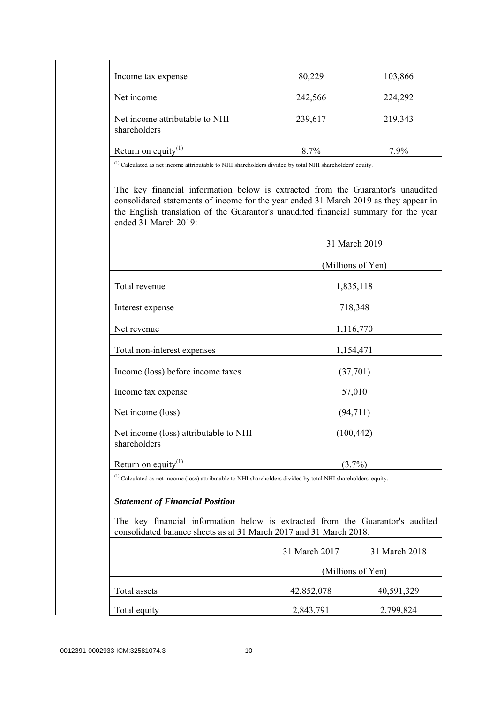| Income tax expense                                                                                                                                                                                                                                                                     | 80,229            | 103,866       |
|----------------------------------------------------------------------------------------------------------------------------------------------------------------------------------------------------------------------------------------------------------------------------------------|-------------------|---------------|
| Net income                                                                                                                                                                                                                                                                             | 242,566           | 224,292       |
| Net income attributable to NHI<br>shareholders                                                                                                                                                                                                                                         | 239,617           | 219,343       |
| Return on equity $^{(1)}$                                                                                                                                                                                                                                                              | 8.7%              | 7.9%          |
| $^{(1)}$ Calculated as net income attributable to NHI shareholders divided by total NHI shareholders' equity.                                                                                                                                                                          |                   |               |
| The key financial information below is extracted from the Guarantor's unaudited<br>consolidated statements of income for the year ended 31 March 2019 as they appear in<br>the English translation of the Guarantor's unaudited financial summary for the year<br>ended 31 March 2019: |                   |               |
|                                                                                                                                                                                                                                                                                        | 31 March 2019     |               |
|                                                                                                                                                                                                                                                                                        | (Millions of Yen) |               |
| Total revenue                                                                                                                                                                                                                                                                          |                   | 1,835,118     |
| Interest expense                                                                                                                                                                                                                                                                       | 718,348           |               |
| Net revenue                                                                                                                                                                                                                                                                            |                   | 1,116,770     |
| Total non-interest expenses                                                                                                                                                                                                                                                            | 1,154,471         |               |
| Income (loss) before income taxes                                                                                                                                                                                                                                                      | (37,701)          |               |
| Income tax expense                                                                                                                                                                                                                                                                     | 57,010            |               |
| Net income (loss)                                                                                                                                                                                                                                                                      | (94, 711)         |               |
| Net income (loss) attributable to NHI<br>shareholders                                                                                                                                                                                                                                  | (100, 442)        |               |
| Return on equity <sup>(1)</sup>                                                                                                                                                                                                                                                        | $(3.7\%)$         |               |
| <sup>(1)</sup> Calculated as net income (loss) attributable to NHI shareholders divided by total NHI shareholders' equity.                                                                                                                                                             |                   |               |
| <b>Statement of Financial Position</b>                                                                                                                                                                                                                                                 |                   |               |
| The key financial information below is extracted from the Guarantor's audited<br>consolidated balance sheets as at 31 March 2017 and 31 March 2018:                                                                                                                                    |                   |               |
|                                                                                                                                                                                                                                                                                        | 31 March 2017     | 31 March 2018 |
|                                                                                                                                                                                                                                                                                        | (Millions of Yen) |               |
| Total assets                                                                                                                                                                                                                                                                           | 42,852,078        | 40,591,329    |
| Total equity                                                                                                                                                                                                                                                                           | 2,843,791         | 2,799,824     |
|                                                                                                                                                                                                                                                                                        |                   |               |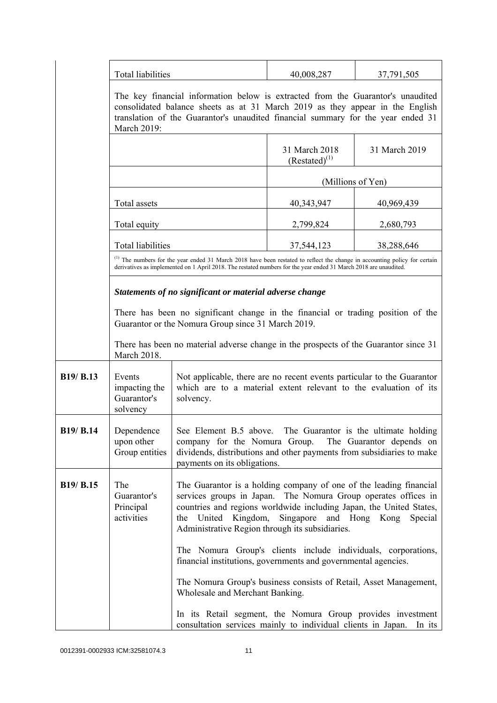|                  | <b>Total liabilities</b>                                                                                                                                                                                                                                            |                                                                                                                                                                                                                                                                                                                                | 40,008,287                          | 37,791,505    |
|------------------|---------------------------------------------------------------------------------------------------------------------------------------------------------------------------------------------------------------------------------------------------------------------|--------------------------------------------------------------------------------------------------------------------------------------------------------------------------------------------------------------------------------------------------------------------------------------------------------------------------------|-------------------------------------|---------------|
|                  | The key financial information below is extracted from the Guarantor's unaudited<br>consolidated balance sheets as at 31 March 2019 as they appear in the English<br>translation of the Guarantor's unaudited financial summary for the year ended 31<br>March 2019: |                                                                                                                                                                                                                                                                                                                                |                                     |               |
|                  |                                                                                                                                                                                                                                                                     |                                                                                                                                                                                                                                                                                                                                | 31 March 2018<br>$(Restated)^{(1)}$ | 31 March 2019 |
|                  |                                                                                                                                                                                                                                                                     |                                                                                                                                                                                                                                                                                                                                | (Millions of Yen)                   |               |
|                  | Total assets                                                                                                                                                                                                                                                        |                                                                                                                                                                                                                                                                                                                                | 40,343,947                          | 40,969,439    |
|                  | Total equity                                                                                                                                                                                                                                                        |                                                                                                                                                                                                                                                                                                                                | 2,799,824                           | 2,680,793     |
|                  | <b>Total liabilities</b>                                                                                                                                                                                                                                            |                                                                                                                                                                                                                                                                                                                                | 37,544,123                          | 38,288,646    |
|                  |                                                                                                                                                                                                                                                                     | (1) The numbers for the year ended 31 March 2018 have been restated to reflect the change in accounting policy for certain<br>derivatives as implemented on 1 April 2018. The restated numbers for the year ended 31 March 2018 are unaudited.                                                                                 |                                     |               |
|                  |                                                                                                                                                                                                                                                                     | Statements of no significant or material adverse change                                                                                                                                                                                                                                                                        |                                     |               |
|                  | There has been no significant change in the financial or trading position of the<br>Guarantor or the Nomura Group since 31 March 2019.                                                                                                                              |                                                                                                                                                                                                                                                                                                                                |                                     |               |
|                  | March 2018.                                                                                                                                                                                                                                                         | There has been no material adverse change in the prospects of the Guarantor since 31                                                                                                                                                                                                                                           |                                     |               |
| B19/ B.13        | Events<br>impacting the<br>Guarantor's<br>solvency                                                                                                                                                                                                                  | Not applicable, there are no recent events particular to the Guarantor<br>which are to a material extent relevant to the evaluation of its<br>solvency.                                                                                                                                                                        |                                     |               |
| <b>B19/ B.14</b> | Dependence<br>upon other<br>Group entities                                                                                                                                                                                                                          | See Element B.5 above. The Guarantor is the ultimate holding<br>company for the Nomura Group.<br>The Guarantor depends on<br>dividends, distributions and other payments from subsidiaries to make<br>payments on its obligations.                                                                                             |                                     |               |
| B19/ B.15        | The<br>Guarantor's<br>Principal<br>activities                                                                                                                                                                                                                       | The Guarantor is a holding company of one of the leading financial<br>services groups in Japan. The Nomura Group operates offices in<br>countries and regions worldwide including Japan, the United States,<br>United Kingdom,<br>Singapore and Hong Kong<br>Special<br>the<br>Administrative Region through its subsidiaries. |                                     |               |
|                  |                                                                                                                                                                                                                                                                     | The Nomura Group's clients include individuals, corporations,<br>financial institutions, governments and governmental agencies.                                                                                                                                                                                                |                                     |               |
|                  |                                                                                                                                                                                                                                                                     | The Nomura Group's business consists of Retail, Asset Management,<br>Wholesale and Merchant Banking.                                                                                                                                                                                                                           |                                     |               |
|                  |                                                                                                                                                                                                                                                                     | In its Retail segment, the Nomura Group provides investment<br>consultation services mainly to individual clients in Japan.                                                                                                                                                                                                    |                                     | In its        |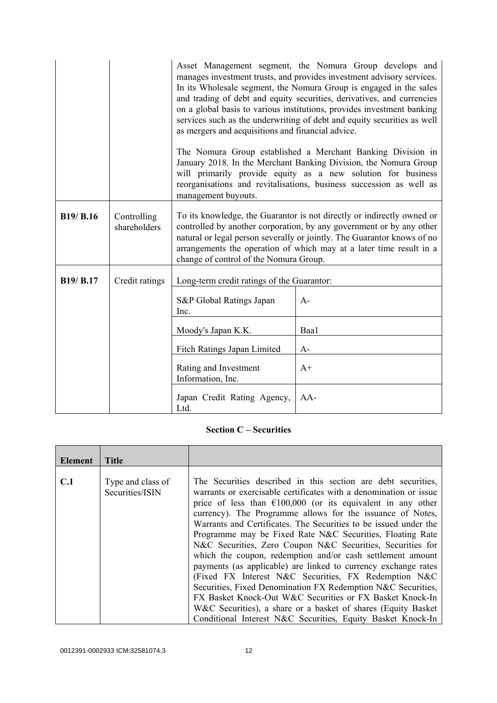|                  |                             | as mergers and acquisitions and financial advice.<br>management buyouts.                                                                                                                                                                                                                                                                   | Asset Management segment, the Nomura Group develops and<br>manages investment trusts, and provides investment advisory services.<br>In its Wholesale segment, the Nomura Group is engaged in the sales<br>and trading of debt and equity securities, derivatives, and currencies<br>on a global basis to various institutions, provides investment banking<br>services such as the underwriting of debt and equity securities as well<br>The Nomura Group established a Merchant Banking Division in<br>January 2018. In the Merchant Banking Division, the Nomura Group<br>will primarily provide equity as a new solution for business<br>reorganisations and revitalisations, business succession as well as |
|------------------|-----------------------------|--------------------------------------------------------------------------------------------------------------------------------------------------------------------------------------------------------------------------------------------------------------------------------------------------------------------------------------------|-----------------------------------------------------------------------------------------------------------------------------------------------------------------------------------------------------------------------------------------------------------------------------------------------------------------------------------------------------------------------------------------------------------------------------------------------------------------------------------------------------------------------------------------------------------------------------------------------------------------------------------------------------------------------------------------------------------------|
| <b>B19/ B.16</b> | Controlling<br>shareholders | To its knowledge, the Guarantor is not directly or indirectly owned or<br>controlled by another corporation, by any government or by any other<br>natural or legal person severally or jointly. The Guarantor knows of no<br>arrangements the operation of which may at a later time result in a<br>change of control of the Nomura Group. |                                                                                                                                                                                                                                                                                                                                                                                                                                                                                                                                                                                                                                                                                                                 |
| <b>B19/ B.17</b> | Credit ratings              | Long-term credit ratings of the Guarantor:                                                                                                                                                                                                                                                                                                 |                                                                                                                                                                                                                                                                                                                                                                                                                                                                                                                                                                                                                                                                                                                 |
|                  |                             | S&P Global Ratings Japan<br>Inc.                                                                                                                                                                                                                                                                                                           | $A-$                                                                                                                                                                                                                                                                                                                                                                                                                                                                                                                                                                                                                                                                                                            |
|                  |                             | Moody's Japan K.K.                                                                                                                                                                                                                                                                                                                         | Baa1                                                                                                                                                                                                                                                                                                                                                                                                                                                                                                                                                                                                                                                                                                            |
|                  |                             | Fitch Ratings Japan Limited                                                                                                                                                                                                                                                                                                                | $A-$                                                                                                                                                                                                                                                                                                                                                                                                                                                                                                                                                                                                                                                                                                            |
|                  |                             | Rating and Investment<br>Information, Inc.                                                                                                                                                                                                                                                                                                 | $A+$                                                                                                                                                                                                                                                                                                                                                                                                                                                                                                                                                                                                                                                                                                            |
|                  |                             | Japan Credit Rating Agency,<br>Ltd.                                                                                                                                                                                                                                                                                                        | $AA-$                                                                                                                                                                                                                                                                                                                                                                                                                                                                                                                                                                                                                                                                                                           |

## **Section C – Securities**

| Element | <b>Title</b>                         |                                                                                                                                                                                                                                                                                                                                                                                                                                                                                                                                                                                                                                                                                                                                                                                                                                                                |
|---------|--------------------------------------|----------------------------------------------------------------------------------------------------------------------------------------------------------------------------------------------------------------------------------------------------------------------------------------------------------------------------------------------------------------------------------------------------------------------------------------------------------------------------------------------------------------------------------------------------------------------------------------------------------------------------------------------------------------------------------------------------------------------------------------------------------------------------------------------------------------------------------------------------------------|
|         |                                      |                                                                                                                                                                                                                                                                                                                                                                                                                                                                                                                                                                                                                                                                                                                                                                                                                                                                |
| C.1     | Type and class of<br>Securities/ISIN | The Securities described in this section are debt securities,<br>warrants or exercisable certificates with a denomination or issue<br>price of less than $\epsilon$ 100,000 (or its equivalent in any other<br>currency). The Programme allows for the issuance of Notes,<br>Warrants and Certificates. The Securities to be issued under the<br>Programme may be Fixed Rate N&C Securities, Floating Rate<br>N&C Securities, Zero Coupon N&C Securities, Securities for<br>which the coupon, redemption and/or cash settlement amount<br>payments (as applicable) are linked to currency exchange rates<br>(Fixed FX Interest N&C Securities, FX Redemption N&C<br>Securities, Fixed Denomination FX Redemption N&C Securities,<br>FX Basket Knock-Out W&C Securities or FX Basket Knock-In<br>W&C Securities), a share or a basket of shares (Equity Basket) |
|         |                                      | Conditional Interest N&C Securities, Equity Basket Knock-In                                                                                                                                                                                                                                                                                                                                                                                                                                                                                                                                                                                                                                                                                                                                                                                                    |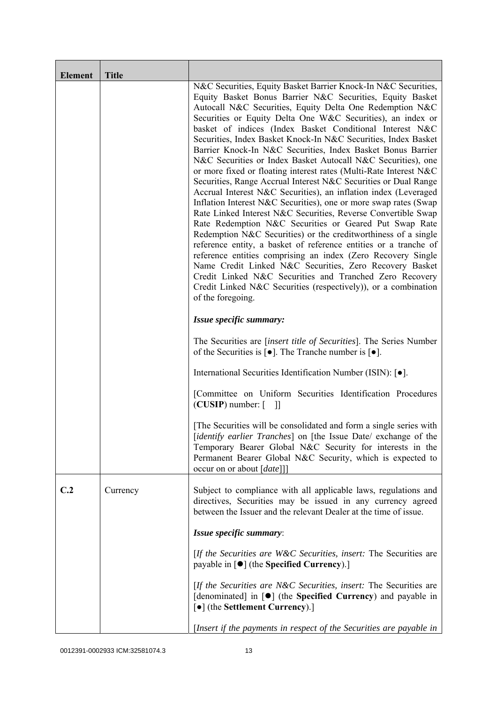| <b>Element</b> | <b>Title</b> |                                                                                                                                                                                                                                                                                                                                                                                                                                                                                                                                                                                                                                                                                                                                                                                                                                                                                                                                                                                                                                                                                                                                                                                                                                                                                                                                                  |
|----------------|--------------|--------------------------------------------------------------------------------------------------------------------------------------------------------------------------------------------------------------------------------------------------------------------------------------------------------------------------------------------------------------------------------------------------------------------------------------------------------------------------------------------------------------------------------------------------------------------------------------------------------------------------------------------------------------------------------------------------------------------------------------------------------------------------------------------------------------------------------------------------------------------------------------------------------------------------------------------------------------------------------------------------------------------------------------------------------------------------------------------------------------------------------------------------------------------------------------------------------------------------------------------------------------------------------------------------------------------------------------------------|
|                |              | N&C Securities, Equity Basket Barrier Knock-In N&C Securities,<br>Equity Basket Bonus Barrier N&C Securities, Equity Basket<br>Autocall N&C Securities, Equity Delta One Redemption N&C<br>Securities or Equity Delta One W&C Securities), an index or<br>basket of indices (Index Basket Conditional Interest N&C<br>Securities, Index Basket Knock-In N&C Securities, Index Basket<br>Barrier Knock-In N&C Securities, Index Basket Bonus Barrier<br>N&C Securities or Index Basket Autocall N&C Securities), one<br>or more fixed or floating interest rates (Multi-Rate Interest N&C<br>Securities, Range Accrual Interest N&C Securities or Dual Range<br>Accrual Interest N&C Securities), an inflation index (Leveraged<br>Inflation Interest N&C Securities), one or more swap rates (Swap<br>Rate Linked Interest N&C Securities, Reverse Convertible Swap<br>Rate Redemption N&C Securities or Geared Put Swap Rate<br>Redemption N&C Securities) or the creditworthiness of a single<br>reference entity, a basket of reference entities or a tranche of<br>reference entities comprising an index (Zero Recovery Single<br>Name Credit Linked N&C Securities, Zero Recovery Basket<br>Credit Linked N&C Securities and Tranched Zero Recovery<br>Credit Linked N&C Securities (respectively)), or a combination<br>of the foregoing. |
|                |              | Issue specific summary:                                                                                                                                                                                                                                                                                                                                                                                                                                                                                                                                                                                                                                                                                                                                                                                                                                                                                                                                                                                                                                                                                                                                                                                                                                                                                                                          |
|                |              | The Securities are <i>[insert title of Securities]</i> . The Series Number<br>of the Securities is $\lceil \bullet \rceil$ . The Tranche number is $\lceil \bullet \rceil$ .                                                                                                                                                                                                                                                                                                                                                                                                                                                                                                                                                                                                                                                                                                                                                                                                                                                                                                                                                                                                                                                                                                                                                                     |
|                |              | International Securities Identification Number (ISIN): [•].                                                                                                                                                                                                                                                                                                                                                                                                                                                                                                                                                                                                                                                                                                                                                                                                                                                                                                                                                                                                                                                                                                                                                                                                                                                                                      |
|                |              | [Committee on Uniform Securities Identification Procedures<br>$(CUSIP)$ number: $\lceil \quad \rceil$                                                                                                                                                                                                                                                                                                                                                                                                                                                                                                                                                                                                                                                                                                                                                                                                                                                                                                                                                                                                                                                                                                                                                                                                                                            |
|                |              | The Securities will be consolidated and form a single series with<br>[identify earlier Tranches] on [the Issue Date/ exchange of the<br>Temporary Bearer Global N&C Security for interests in the<br>Permanent Bearer Global N&C Security, which is expected to<br>occur on or about [date]]]                                                                                                                                                                                                                                                                                                                                                                                                                                                                                                                                                                                                                                                                                                                                                                                                                                                                                                                                                                                                                                                    |
| C.2            | Currency     | Subject to compliance with all applicable laws, regulations and<br>directives, Securities may be issued in any currency agreed<br>between the Issuer and the relevant Dealer at the time of issue.                                                                                                                                                                                                                                                                                                                                                                                                                                                                                                                                                                                                                                                                                                                                                                                                                                                                                                                                                                                                                                                                                                                                               |
|                |              | Issue specific summary:                                                                                                                                                                                                                                                                                                                                                                                                                                                                                                                                                                                                                                                                                                                                                                                                                                                                                                                                                                                                                                                                                                                                                                                                                                                                                                                          |
|                |              | [If the Securities are W&C Securities, insert: The Securities are<br>payable in $\lceil \bullet \rceil$ (the Specified Currency).]                                                                                                                                                                                                                                                                                                                                                                                                                                                                                                                                                                                                                                                                                                                                                                                                                                                                                                                                                                                                                                                                                                                                                                                                               |
|                |              | [If the Securities are N&C Securities, insert: The Securities are<br>[denominated] in [ $\bullet$ ] (the Specified Currency) and payable in<br>[•] (the Settlement Currency).]                                                                                                                                                                                                                                                                                                                                                                                                                                                                                                                                                                                                                                                                                                                                                                                                                                                                                                                                                                                                                                                                                                                                                                   |
|                |              | [Insert if the payments in respect of the Securities are payable in                                                                                                                                                                                                                                                                                                                                                                                                                                                                                                                                                                                                                                                                                                                                                                                                                                                                                                                                                                                                                                                                                                                                                                                                                                                                              |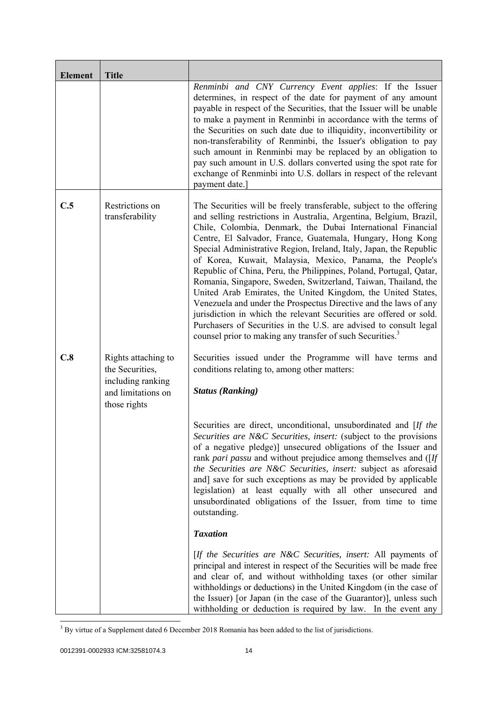| <b>Element</b> | <b>Title</b>                                                                                      |                                                                                                                                                                                                                                                                                                                                                                                                                                                                                                                                                                                                                                                                                                                                                                                                                                                                                                          |
|----------------|---------------------------------------------------------------------------------------------------|----------------------------------------------------------------------------------------------------------------------------------------------------------------------------------------------------------------------------------------------------------------------------------------------------------------------------------------------------------------------------------------------------------------------------------------------------------------------------------------------------------------------------------------------------------------------------------------------------------------------------------------------------------------------------------------------------------------------------------------------------------------------------------------------------------------------------------------------------------------------------------------------------------|
|                |                                                                                                   | Renminbi and CNY Currency Event applies: If the Issuer<br>determines, in respect of the date for payment of any amount<br>payable in respect of the Securities, that the Issuer will be unable<br>to make a payment in Renminbi in accordance with the terms of<br>the Securities on such date due to illiquidity, inconvertibility or<br>non-transferability of Renminbi, the Issuer's obligation to pay<br>such amount in Renminbi may be replaced by an obligation to<br>pay such amount in U.S. dollars converted using the spot rate for<br>exchange of Renminbi into U.S. dollars in respect of the relevant<br>payment date.                                                                                                                                                                                                                                                                      |
| C.5            | Restrictions on<br>transferability                                                                | The Securities will be freely transferable, subject to the offering<br>and selling restrictions in Australia, Argentina, Belgium, Brazil,<br>Chile, Colombia, Denmark, the Dubai International Financial<br>Centre, El Salvador, France, Guatemala, Hungary, Hong Kong<br>Special Administrative Region, Ireland, Italy, Japan, the Republic<br>of Korea, Kuwait, Malaysia, Mexico, Panama, the People's<br>Republic of China, Peru, the Philippines, Poland, Portugal, Qatar,<br>Romania, Singapore, Sweden, Switzerland, Taiwan, Thailand, the<br>United Arab Emirates, the United Kingdom, the United States,<br>Venezuela and under the Prospectus Directive and the laws of any<br>jurisdiction in which the relevant Securities are offered or sold.<br>Purchasers of Securities in the U.S. are advised to consult legal<br>counsel prior to making any transfer of such Securities. <sup>3</sup> |
| C.8            | Rights attaching to<br>the Securities,<br>including ranking<br>and limitations on<br>those rights | Securities issued under the Programme will have terms and<br>conditions relating to, among other matters:<br><b>Status (Ranking)</b>                                                                                                                                                                                                                                                                                                                                                                                                                                                                                                                                                                                                                                                                                                                                                                     |
|                |                                                                                                   | Securities are direct, unconditional, unsubordinated and [If the<br>Securities are N&C Securities, insert: (subject to the provisions<br>of a negative pledge)] unsecured obligations of the Issuer and<br>rank pari passu and without prejudice among themselves and ([If<br>the Securities are N&C Securities, insert: subject as aforesaid<br>and] save for such exceptions as may be provided by applicable<br>legislation) at least equally with all other unsecured and<br>unsubordinated obligations of the Issuer, from time to time<br>outstanding.                                                                                                                                                                                                                                                                                                                                             |
|                |                                                                                                   | <b>Taxation</b>                                                                                                                                                                                                                                                                                                                                                                                                                                                                                                                                                                                                                                                                                                                                                                                                                                                                                          |
|                |                                                                                                   | [If the Securities are N&C Securities, insert: All payments of<br>principal and interest in respect of the Securities will be made free<br>and clear of, and without withholding taxes (or other similar<br>withholdings or deductions) in the United Kingdom (in the case of<br>the Issuer) [or Japan (in the case of the Guarantor)], unless such<br>with holding or deduction is required by law. In the event any                                                                                                                                                                                                                                                                                                                                                                                                                                                                                    |

<sup>&</sup>lt;sup>3</sup> By virtue of a Supplement dated 6 December 2018 Romania has been added to the list of jurisdictions.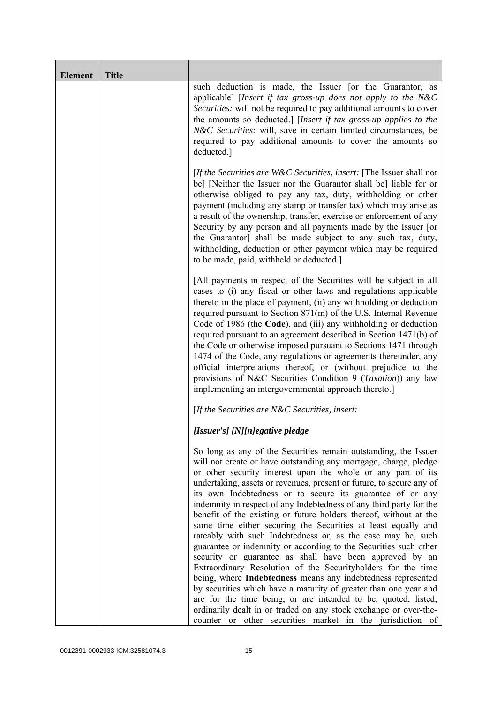| <b>Element</b> | <b>Title</b> |                                                                                                                                                                                                                                                                                                                                                                                                                                                                                                                                                                                                                                                                                                                                                                                                                                                                                                                                                                                                                                                                                                                                                             |
|----------------|--------------|-------------------------------------------------------------------------------------------------------------------------------------------------------------------------------------------------------------------------------------------------------------------------------------------------------------------------------------------------------------------------------------------------------------------------------------------------------------------------------------------------------------------------------------------------------------------------------------------------------------------------------------------------------------------------------------------------------------------------------------------------------------------------------------------------------------------------------------------------------------------------------------------------------------------------------------------------------------------------------------------------------------------------------------------------------------------------------------------------------------------------------------------------------------|
|                |              | such deduction is made, the Issuer [or the Guarantor, as<br>applicable] [Insert if tax gross-up does not apply to the N&C<br>Securities: will not be required to pay additional amounts to cover<br>the amounts so deducted.] [Insert if tax gross-up applies to the<br>N&C Securities: will, save in certain limited circumstances, be<br>required to pay additional amounts to cover the amounts so<br>deducted.]                                                                                                                                                                                                                                                                                                                                                                                                                                                                                                                                                                                                                                                                                                                                         |
|                |              | [If the Securities are $W\&C$ Securities, insert: [The Issuer shall not<br>be] [Neither the Issuer nor the Guarantor shall be] liable for or<br>otherwise obliged to pay any tax, duty, withholding or other<br>payment (including any stamp or transfer tax) which may arise as<br>a result of the ownership, transfer, exercise or enforcement of any<br>Security by any person and all payments made by the Issuer [or<br>the Guarantor] shall be made subject to any such tax, duty,<br>withholding, deduction or other payment which may be required<br>to be made, paid, withheld or deducted.]                                                                                                                                                                                                                                                                                                                                                                                                                                                                                                                                                       |
|                |              | [All payments in respect of the Securities will be subject in all<br>cases to (i) any fiscal or other laws and regulations applicable<br>thereto in the place of payment, (ii) any withholding or deduction<br>required pursuant to Section 871(m) of the U.S. Internal Revenue<br>Code of 1986 (the Code), and (iii) any withholding or deduction<br>required pursuant to an agreement described in Section 1471(b) of<br>the Code or otherwise imposed pursuant to Sections 1471 through<br>1474 of the Code, any regulations or agreements thereunder, any<br>official interpretations thereof, or (without prejudice to the<br>provisions of N&C Securities Condition 9 (Taxation)) any law<br>implementing an intergovernmental approach thereto.]                                                                                                                                                                                                                                                                                                                                                                                                     |
|                |              | [If the Securities are N&C Securities, insert:                                                                                                                                                                                                                                                                                                                                                                                                                                                                                                                                                                                                                                                                                                                                                                                                                                                                                                                                                                                                                                                                                                              |
|                |              | [Issuer's] [N][n]egative pledge                                                                                                                                                                                                                                                                                                                                                                                                                                                                                                                                                                                                                                                                                                                                                                                                                                                                                                                                                                                                                                                                                                                             |
|                |              | So long as any of the Securities remain outstanding, the Issuer<br>will not create or have outstanding any mortgage, charge, pledge<br>or other security interest upon the whole or any part of its<br>undertaking, assets or revenues, present or future, to secure any of<br>its own Indebtedness or to secure its guarantee of or any<br>indemnity in respect of any Indebtedness of any third party for the<br>benefit of the existing or future holders thereof, without at the<br>same time either securing the Securities at least equally and<br>rateably with such Indebtedness or, as the case may be, such<br>guarantee or indemnity or according to the Securities such other<br>security or guarantee as shall have been approved by an<br>Extraordinary Resolution of the Securityholders for the time<br>being, where Indebtedness means any indebtedness represented<br>by securities which have a maturity of greater than one year and<br>are for the time being, or are intended to be, quoted, listed,<br>ordinarily dealt in or traded on any stock exchange or over-the-<br>counter or other securities market in the jurisdiction of |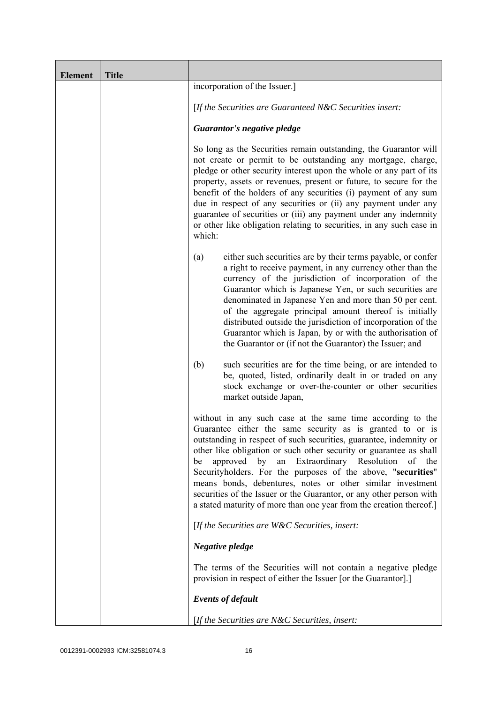| <b>Element</b> | <b>Title</b> |                                                                                                                                                                                                                                                                                                                                                                                                                                                                                                                                                                                                               |
|----------------|--------------|---------------------------------------------------------------------------------------------------------------------------------------------------------------------------------------------------------------------------------------------------------------------------------------------------------------------------------------------------------------------------------------------------------------------------------------------------------------------------------------------------------------------------------------------------------------------------------------------------------------|
|                |              | incorporation of the Issuer.]                                                                                                                                                                                                                                                                                                                                                                                                                                                                                                                                                                                 |
|                |              | [If the Securities are Guaranteed N&C Securities insert:                                                                                                                                                                                                                                                                                                                                                                                                                                                                                                                                                      |
|                |              | Guarantor's negative pledge                                                                                                                                                                                                                                                                                                                                                                                                                                                                                                                                                                                   |
|                |              | So long as the Securities remain outstanding, the Guarantor will<br>not create or permit to be outstanding any mortgage, charge,<br>pledge or other security interest upon the whole or any part of its<br>property, assets or revenues, present or future, to secure for the<br>benefit of the holders of any securities (i) payment of any sum<br>due in respect of any securities or (ii) any payment under any<br>guarantee of securities or (iii) any payment under any indemnity<br>or other like obligation relating to securities, in any such case in<br>which:                                      |
|                |              | either such securities are by their terms payable, or confer<br>(a)<br>a right to receive payment, in any currency other than the<br>currency of the jurisdiction of incorporation of the<br>Guarantor which is Japanese Yen, or such securities are<br>denominated in Japanese Yen and more than 50 per cent.<br>of the aggregate principal amount thereof is initially<br>distributed outside the jurisdiction of incorporation of the<br>Guarantor which is Japan, by or with the authorisation of<br>the Guarantor or (if not the Guarantor) the Issuer; and                                              |
|                |              | such securities are for the time being, or are intended to<br>(b)<br>be, quoted, listed, ordinarily dealt in or traded on any<br>stock exchange or over-the-counter or other securities<br>market outside Japan,                                                                                                                                                                                                                                                                                                                                                                                              |
|                |              | without in any such case at the same time according to the<br>Guarantee either the same security as is granted to or is<br>outstanding in respect of such securities, guarantee, indemnity or<br>other like obligation or such other security or guarantee as shall<br>an Extraordinary Resolution<br>approved by<br>of the<br>be<br>Securityholders. For the purposes of the above, "securities"<br>means bonds, debentures, notes or other similar investment<br>securities of the Issuer or the Guarantor, or any other person with<br>a stated maturity of more than one year from the creation thereof.] |
|                |              | [If the Securities are $W\&C$ Securities, insert:                                                                                                                                                                                                                                                                                                                                                                                                                                                                                                                                                             |
|                |              | Negative pledge                                                                                                                                                                                                                                                                                                                                                                                                                                                                                                                                                                                               |
|                |              | The terms of the Securities will not contain a negative pledge<br>provision in respect of either the Issuer [or the Guarantor].]                                                                                                                                                                                                                                                                                                                                                                                                                                                                              |
|                |              | <b>Events of default</b>                                                                                                                                                                                                                                                                                                                                                                                                                                                                                                                                                                                      |
|                |              | [If the Securities are N&C Securities, insert:                                                                                                                                                                                                                                                                                                                                                                                                                                                                                                                                                                |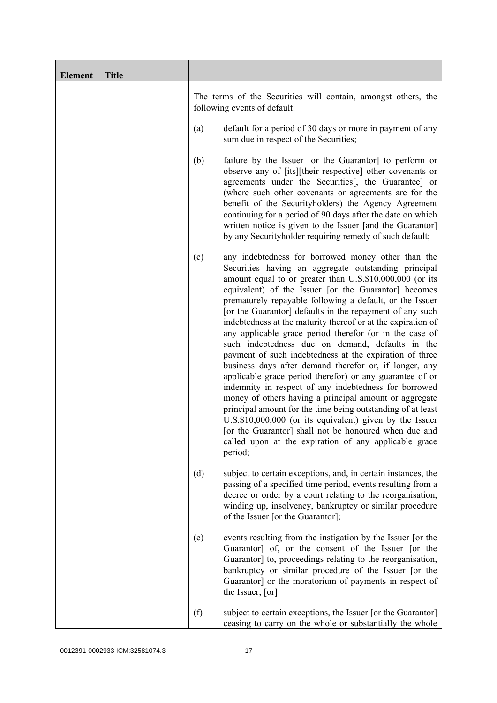| <b>Element</b> | <b>Title</b> |                                                                                                                                                                                                                                                                                                                                                                                                                                                                                                                                                                                                                                                                                                                                                                                                                                                                                                                                                                                                                                                                                                          |
|----------------|--------------|----------------------------------------------------------------------------------------------------------------------------------------------------------------------------------------------------------------------------------------------------------------------------------------------------------------------------------------------------------------------------------------------------------------------------------------------------------------------------------------------------------------------------------------------------------------------------------------------------------------------------------------------------------------------------------------------------------------------------------------------------------------------------------------------------------------------------------------------------------------------------------------------------------------------------------------------------------------------------------------------------------------------------------------------------------------------------------------------------------|
|                |              | The terms of the Securities will contain, amongst others, the<br>following events of default:                                                                                                                                                                                                                                                                                                                                                                                                                                                                                                                                                                                                                                                                                                                                                                                                                                                                                                                                                                                                            |
|                |              | default for a period of 30 days or more in payment of any<br>(a)<br>sum due in respect of the Securities;                                                                                                                                                                                                                                                                                                                                                                                                                                                                                                                                                                                                                                                                                                                                                                                                                                                                                                                                                                                                |
|                |              | failure by the Issuer [or the Guarantor] to perform or<br>(b)<br>observe any of [its][their respective] other covenants or<br>agreements under the Securities [, the Guarantee] or<br>(where such other covenants or agreements are for the<br>benefit of the Securityholders) the Agency Agreement<br>continuing for a period of 90 days after the date on which<br>written notice is given to the Issuer [and the Guarantor]<br>by any Securityholder requiring remedy of such default;                                                                                                                                                                                                                                                                                                                                                                                                                                                                                                                                                                                                                |
|                |              | any indebtedness for borrowed money other than the<br>(c)<br>Securities having an aggregate outstanding principal<br>amount equal to or greater than U.S.\$10,000,000 (or its<br>equivalent) of the Issuer [or the Guarantor] becomes<br>prematurely repayable following a default, or the Issuer<br>[or the Guarantor] defaults in the repayment of any such<br>indebtedness at the maturity thereof or at the expiration of<br>any applicable grace period therefor (or in the case of<br>such indebtedness due on demand, defaults in the<br>payment of such indebtedness at the expiration of three<br>business days after demand therefor or, if longer, any<br>applicable grace period therefor) or any guarantee of or<br>indemnity in respect of any indebtedness for borrowed<br>money of others having a principal amount or aggregate<br>principal amount for the time being outstanding of at least<br>U.S.\$10,000,000 (or its equivalent) given by the Issuer<br>[or the Guarantor] shall not be honoured when due and<br>called upon at the expiration of any applicable grace<br>period; |
|                |              | (d)<br>subject to certain exceptions, and, in certain instances, the<br>passing of a specified time period, events resulting from a<br>decree or order by a court relating to the reorganisation,<br>winding up, insolvency, bankruptcy or similar procedure<br>of the Issuer [or the Guarantor];                                                                                                                                                                                                                                                                                                                                                                                                                                                                                                                                                                                                                                                                                                                                                                                                        |
|                |              | events resulting from the instigation by the Issuer [or the<br>(e)<br>Guarantor] of, or the consent of the Issuer [or the<br>Guarantor] to, proceedings relating to the reorganisation,<br>bankruptcy or similar procedure of the Issuer [or the<br>Guarantor] or the moratorium of payments in respect of<br>the Issuer; [or]                                                                                                                                                                                                                                                                                                                                                                                                                                                                                                                                                                                                                                                                                                                                                                           |
|                |              | (f)<br>subject to certain exceptions, the Issuer [or the Guarantor]<br>ceasing to carry on the whole or substantially the whole                                                                                                                                                                                                                                                                                                                                                                                                                                                                                                                                                                                                                                                                                                                                                                                                                                                                                                                                                                          |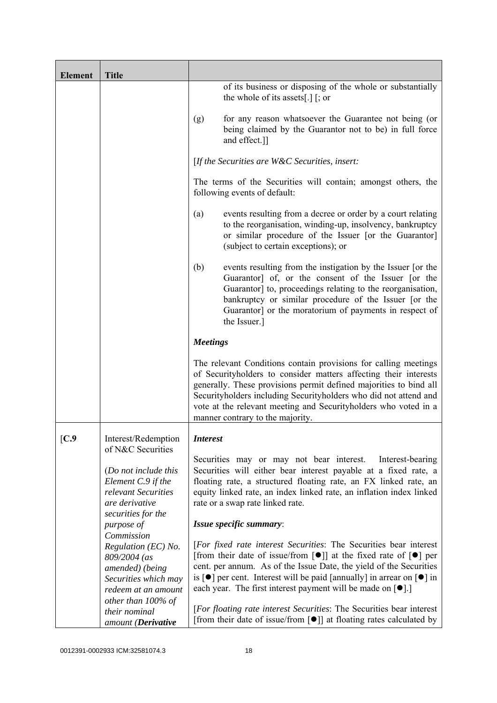| <b>Element</b> | <b>Title</b>                                                                                                                   |                                                                                                                                                                                                                                                                                                                                                                                                                                               |
|----------------|--------------------------------------------------------------------------------------------------------------------------------|-----------------------------------------------------------------------------------------------------------------------------------------------------------------------------------------------------------------------------------------------------------------------------------------------------------------------------------------------------------------------------------------------------------------------------------------------|
|                |                                                                                                                                | of its business or disposing of the whole or substantially<br>the whole of its assets[.] $\lceil$ ; or                                                                                                                                                                                                                                                                                                                                        |
|                |                                                                                                                                | for any reason whatsoever the Guarantee not being (or<br>(g)<br>being claimed by the Guarantor not to be) in full force<br>and effect.]]                                                                                                                                                                                                                                                                                                      |
|                |                                                                                                                                | [If the Securities are $W\&C$ Securities, insert:                                                                                                                                                                                                                                                                                                                                                                                             |
|                |                                                                                                                                | The terms of the Securities will contain; amongst others, the<br>following events of default:                                                                                                                                                                                                                                                                                                                                                 |
|                |                                                                                                                                | events resulting from a decree or order by a court relating<br>(a)<br>to the reorganisation, winding-up, insolvency, bankruptcy<br>or similar procedure of the Issuer [or the Guarantor]<br>(subject to certain exceptions); or                                                                                                                                                                                                               |
|                |                                                                                                                                | (b)<br>events resulting from the instigation by the Issuer [or the<br>Guarantor] of, or the consent of the Issuer [or the<br>Guarantor] to, proceedings relating to the reorganisation,<br>bankruptcy or similar procedure of the Issuer [or the<br>Guarantor] or the moratorium of payments in respect of<br>the Issuer.]                                                                                                                    |
|                |                                                                                                                                | <b>Meetings</b>                                                                                                                                                                                                                                                                                                                                                                                                                               |
|                |                                                                                                                                | The relevant Conditions contain provisions for calling meetings<br>of Securityholders to consider matters affecting their interests<br>generally. These provisions permit defined majorities to bind all<br>Securityholders including Securityholders who did not attend and<br>vote at the relevant meeting and Securityholders who voted in a<br>manner contrary to the majority.                                                           |
| [C.9           | Interest/Redemption                                                                                                            | <i>Interest</i>                                                                                                                                                                                                                                                                                                                                                                                                                               |
|                | of N&C Securities<br>(Do not include this<br>Element C.9 if the<br>relevant Securities<br>are derivative<br>securities for the | Securities may or may not bear interest.<br>Interest-bearing<br>Securities will either bear interest payable at a fixed rate, a<br>floating rate, a structured floating rate, an FX linked rate, an<br>equity linked rate, an index linked rate, an inflation index linked<br>rate or a swap rate linked rate.                                                                                                                                |
|                | purpose of<br>Commission                                                                                                       | Issue specific summary:                                                                                                                                                                                                                                                                                                                                                                                                                       |
|                | Regulation (EC) No.<br>809/2004 (as<br>amended) (being<br>Securities which may<br>redeem at an amount                          | [For fixed rate interest Securities: The Securities bear interest<br>[from their date of issue/from $\lceil \bullet \rceil$ ] at the fixed rate of $\lceil \bullet \rceil$ per<br>cent. per annum. As of the Issue Date, the yield of the Securities<br>is $\lceil \bullet \rceil$ per cent. Interest will be paid [annually] in arrear on $\lceil \bullet \rceil$ in<br>each year. The first interest payment will be made on $[\bullet]$ .] |
|                | other than 100% of<br>their nominal<br>amount (Derivative                                                                      | [For floating rate interest Securities: The Securities bear interest<br>[from their date of issue/from $\lceil \bullet \rceil$ ] at floating rates calculated by                                                                                                                                                                                                                                                                              |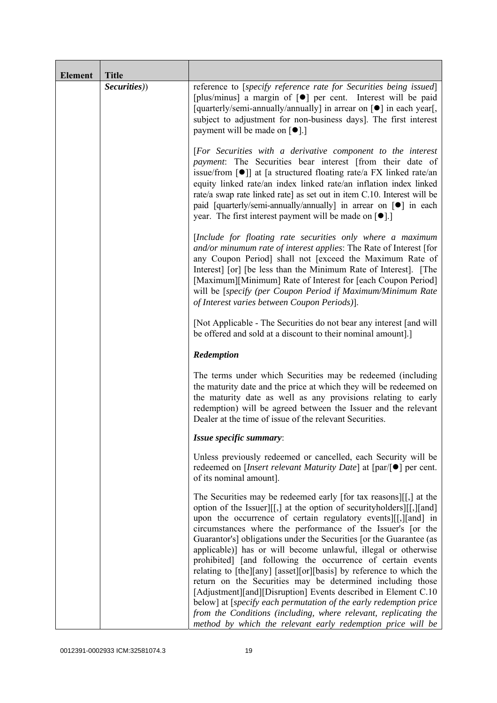| <b>Element</b> | <b>Title</b> |                                                                                                                                                                                                                                                                                                                                                                                                                                                                                                                                                                                                                                                                                                                                                                                                                                                                                                    |
|----------------|--------------|----------------------------------------------------------------------------------------------------------------------------------------------------------------------------------------------------------------------------------------------------------------------------------------------------------------------------------------------------------------------------------------------------------------------------------------------------------------------------------------------------------------------------------------------------------------------------------------------------------------------------------------------------------------------------------------------------------------------------------------------------------------------------------------------------------------------------------------------------------------------------------------------------|
|                | Securities)) | reference to [specify reference rate for Securities being issued]<br>[plus/minus] a margin of [ $\bullet$ ] per cent. Interest will be paid<br>[quarterly/semi-annually/annually] in arrear on [ $\bullet$ ] in each year[,<br>subject to adjustment for non-business days]. The first interest<br>payment will be made on $\lceil \bullet \rceil$ .]                                                                                                                                                                                                                                                                                                                                                                                                                                                                                                                                              |
|                |              | [For Securities with a derivative component to the interest<br>payment: The Securities bear interest [from their date of<br>issue/from $\lceil \bullet \rceil$ at [a structured floating rate/a FX linked rate/an<br>equity linked rate/an index linked rate/an inflation index linked<br>rate/a swap rate linked rate] as set out in item C.10. Interest will be<br>paid [quarterly/semi-annually/annually] in arrear on [ $\bullet$ ] in each<br>year. The first interest payment will be made on $[•]$ .                                                                                                                                                                                                                                                                                                                                                                                        |
|                |              | [Include for floating rate securities only where a maximum<br>and/or minumum rate of interest applies: The Rate of Interest [for<br>any Coupon Period] shall not [exceed the Maximum Rate of<br>Interest [or] [be less than the Minimum Rate of Interest]. [The<br>[Maximum][Minimum] Rate of Interest for [each Coupon Period]<br>will be [specify (per Coupon Period if Maximum/Minimum Rate<br>of Interest varies between Coupon Periods)].                                                                                                                                                                                                                                                                                                                                                                                                                                                     |
|                |              | [Not Applicable - The Securities do not bear any interest [and will]<br>be offered and sold at a discount to their nominal amount.]                                                                                                                                                                                                                                                                                                                                                                                                                                                                                                                                                                                                                                                                                                                                                                |
|                |              | Redemption                                                                                                                                                                                                                                                                                                                                                                                                                                                                                                                                                                                                                                                                                                                                                                                                                                                                                         |
|                |              | The terms under which Securities may be redeemed (including<br>the maturity date and the price at which they will be redeemed on<br>the maturity date as well as any provisions relating to early<br>redemption) will be agreed between the Issuer and the relevant<br>Dealer at the time of issue of the relevant Securities.                                                                                                                                                                                                                                                                                                                                                                                                                                                                                                                                                                     |
|                |              | Issue specific summary:                                                                                                                                                                                                                                                                                                                                                                                                                                                                                                                                                                                                                                                                                                                                                                                                                                                                            |
|                |              | Unless previously redeemed or cancelled, each Security will be<br>redeemed on [ <i>Insert relevant Maturity Date</i> ] at $\lceil \text{par}/\rceil \bullet \rceil$ per cent.<br>of its nominal amount].                                                                                                                                                                                                                                                                                                                                                                                                                                                                                                                                                                                                                                                                                           |
|                |              | The Securities may be redeemed early [for tax reasons][[,] at the<br>option of the Issuer][[,] at the option of security holders][[,][and]<br>upon the occurrence of certain regulatory events [[[, ][and] in<br>circumstances where the performance of the Issuer's [or the<br>Guarantor's] obligations under the Securities [or the Guarantee (as<br>applicable)] has or will become unlawful, illegal or otherwise<br>prohibited] [and following the occurrence of certain events<br>relating to [the][any] [asset][or][basis] by reference to which the<br>return on the Securities may be determined including those<br>[Adjustment][and][Disruption] Events described in Element C.10<br>below] at [specify each permutation of the early redemption price<br>from the Conditions (including, where relevant, replicating the<br>method by which the relevant early redemption price will be |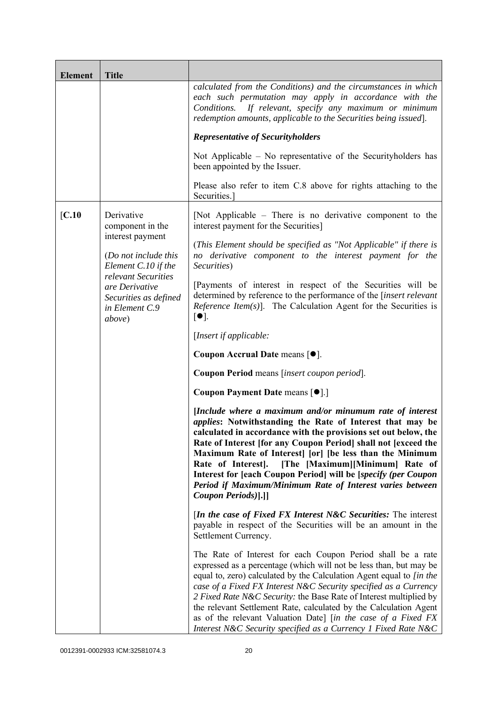| <b>Element</b> | <b>Title</b>                                                                               |                                                                                                                                                                                                                                                                                                                                                                                                                                                                                                                                                             |
|----------------|--------------------------------------------------------------------------------------------|-------------------------------------------------------------------------------------------------------------------------------------------------------------------------------------------------------------------------------------------------------------------------------------------------------------------------------------------------------------------------------------------------------------------------------------------------------------------------------------------------------------------------------------------------------------|
|                |                                                                                            | calculated from the Conditions) and the circumstances in which<br>each such permutation may apply in accordance with the<br>Conditions.<br>If relevant, specify any maximum or minimum<br>redemption amounts, applicable to the Securities being issued].                                                                                                                                                                                                                                                                                                   |
|                |                                                                                            | <b>Representative of Securityholders</b>                                                                                                                                                                                                                                                                                                                                                                                                                                                                                                                    |
|                |                                                                                            | Not Applicable $-$ No representative of the Security holders has<br>been appointed by the Issuer.                                                                                                                                                                                                                                                                                                                                                                                                                                                           |
|                |                                                                                            | Please also refer to item C.8 above for rights attaching to the<br>Securities.                                                                                                                                                                                                                                                                                                                                                                                                                                                                              |
| [C.10]         | Derivative<br>component in the                                                             | [Not Applicable – There is no derivative component to the<br>interest payment for the Securities]                                                                                                                                                                                                                                                                                                                                                                                                                                                           |
|                | interest payment<br>(Do not include this<br>Element C.10 if the                            | (This Element should be specified as "Not Applicable" if there is<br>no derivative component to the interest payment for the<br>Securities)                                                                                                                                                                                                                                                                                                                                                                                                                 |
|                | relevant Securities<br>are Derivative<br>Securities as defined<br>in Element C.9<br>above) | [Payments of interest in respect of the Securities will be<br>determined by reference to the performance of the [insert relevant<br><i>Reference Item(s)</i> ]. The Calculation Agent for the Securities is<br>$\lceil \bullet \rceil$ .                                                                                                                                                                                                                                                                                                                    |
|                |                                                                                            | [Insert if applicable:                                                                                                                                                                                                                                                                                                                                                                                                                                                                                                                                      |
|                |                                                                                            | Coupon Accrual Date means [ $\bullet$ ].                                                                                                                                                                                                                                                                                                                                                                                                                                                                                                                    |
|                |                                                                                            | Coupon Period means [insert coupon period].                                                                                                                                                                                                                                                                                                                                                                                                                                                                                                                 |
|                |                                                                                            | Coupon Payment Date means [ $\bullet$ ].]                                                                                                                                                                                                                                                                                                                                                                                                                                                                                                                   |
|                |                                                                                            | [Include where a maximum and/or minumum rate of interest<br>applies: Notwithstanding the Rate of Interest that may be<br>calculated in accordance with the provisions set out below, the<br>Rate of Interest [for any Coupon Period] shall not [exceed the<br>Maximum Rate of Interest [or] [be less than the Minimum<br>Rate of Interest].<br>[The [Maximum][Minimum] Rate of<br>Interest for [each Coupon Period] will be [specify (per Coupon<br>Period if Maximum/Minimum Rate of Interest varies between<br>Coupon Periods)[.]]                        |
|                |                                                                                            | <i>In the case of Fixed FX Interest N&amp;C Securities:</i> The interest<br>payable in respect of the Securities will be an amount in the<br>Settlement Currency.                                                                                                                                                                                                                                                                                                                                                                                           |
|                |                                                                                            | The Rate of Interest for each Coupon Period shall be a rate<br>expressed as a percentage (which will not be less than, but may be<br>equal to, zero) calculated by the Calculation Agent equal to [in the<br>case of a Fixed FX Interest N&C Security specified as a Currency<br>2 Fixed Rate N&C Security: the Base Rate of Interest multiplied by<br>the relevant Settlement Rate, calculated by the Calculation Agent<br>as of the relevant Valuation Date] [in the case of a Fixed FX<br>Interest N&C Security specified as a Currency 1 Fixed Rate N&C |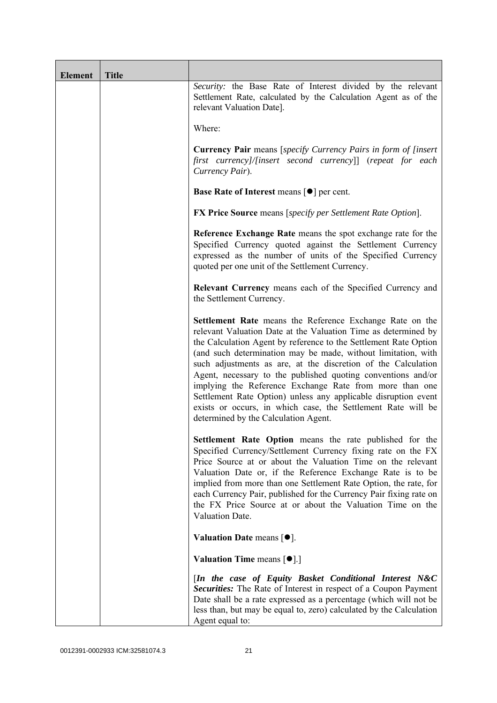| <b>Element</b> | <b>Title</b> |                                                                                                                                                                                                                                                                                                                                                                                                                                                                                                                                                                                                                                       |
|----------------|--------------|---------------------------------------------------------------------------------------------------------------------------------------------------------------------------------------------------------------------------------------------------------------------------------------------------------------------------------------------------------------------------------------------------------------------------------------------------------------------------------------------------------------------------------------------------------------------------------------------------------------------------------------|
|                |              | Security: the Base Rate of Interest divided by the relevant<br>Settlement Rate, calculated by the Calculation Agent as of the<br>relevant Valuation Date].                                                                                                                                                                                                                                                                                                                                                                                                                                                                            |
|                |              | Where:                                                                                                                                                                                                                                                                                                                                                                                                                                                                                                                                                                                                                                |
|                |              | <b>Currency Pair</b> means [specify Currency Pairs in form of [insert]<br>first currency]/[insert second currency]] (repeat for each<br>Currency Pair).                                                                                                                                                                                                                                                                                                                                                                                                                                                                               |
|                |              | <b>Base Rate of Interest means <math>\lceil \bullet \rceil</math> per cent.</b>                                                                                                                                                                                                                                                                                                                                                                                                                                                                                                                                                       |
|                |              | <b>FX Price Source</b> means [specify per Settlement Rate Option].                                                                                                                                                                                                                                                                                                                                                                                                                                                                                                                                                                    |
|                |              | Reference Exchange Rate means the spot exchange rate for the<br>Specified Currency quoted against the Settlement Currency<br>expressed as the number of units of the Specified Currency<br>quoted per one unit of the Settlement Currency.                                                                                                                                                                                                                                                                                                                                                                                            |
|                |              | Relevant Currency means each of the Specified Currency and<br>the Settlement Currency.                                                                                                                                                                                                                                                                                                                                                                                                                                                                                                                                                |
|                |              | Settlement Rate means the Reference Exchange Rate on the<br>relevant Valuation Date at the Valuation Time as determined by<br>the Calculation Agent by reference to the Settlement Rate Option<br>(and such determination may be made, without limitation, with<br>such adjustments as are, at the discretion of the Calculation<br>Agent, necessary to the published quoting conventions and/or<br>implying the Reference Exchange Rate from more than one<br>Settlement Rate Option) unless any applicable disruption event<br>exists or occurs, in which case, the Settlement Rate will be<br>determined by the Calculation Agent. |
|                |              | Settlement Rate Option means the rate published for the<br>Specified Currency/Settlement Currency fixing rate on the FX<br>Price Source at or about the Valuation Time on the relevant<br>Valuation Date or, if the Reference Exchange Rate is to be<br>implied from more than one Settlement Rate Option, the rate, for<br>each Currency Pair, published for the Currency Pair fixing rate on<br>the FX Price Source at or about the Valuation Time on the<br>Valuation Date.                                                                                                                                                        |
|                |              | Valuation Date means $[•]$ .                                                                                                                                                                                                                                                                                                                                                                                                                                                                                                                                                                                                          |
|                |              | <b>Valuation Time means <math>\lceil \bullet \rceil</math>.</b>                                                                                                                                                                                                                                                                                                                                                                                                                                                                                                                                                                       |
|                |              | [In the case of Equity Basket Conditional Interest N&C<br><b>Securities:</b> The Rate of Interest in respect of a Coupon Payment<br>Date shall be a rate expressed as a percentage (which will not be<br>less than, but may be equal to, zero) calculated by the Calculation<br>Agent equal to:                                                                                                                                                                                                                                                                                                                                       |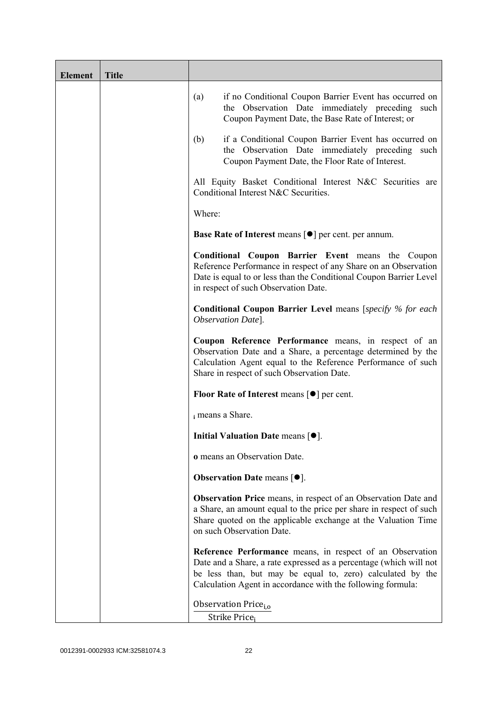| <b>Element</b> | <b>Title</b> |                                                                                                                                                                                                                                                              |
|----------------|--------------|--------------------------------------------------------------------------------------------------------------------------------------------------------------------------------------------------------------------------------------------------------------|
|                |              | if no Conditional Coupon Barrier Event has occurred on<br>(a)<br>the Observation Date immediately preceding such<br>Coupon Payment Date, the Base Rate of Interest; or                                                                                       |
|                |              | if a Conditional Coupon Barrier Event has occurred on<br>(b)<br>the Observation Date immediately preceding<br>such<br>Coupon Payment Date, the Floor Rate of Interest.                                                                                       |
|                |              | All Equity Basket Conditional Interest N&C Securities are<br>Conditional Interest N&C Securities.                                                                                                                                                            |
|                |              | Where:                                                                                                                                                                                                                                                       |
|                |              | Base Rate of Interest means [ $\bullet$ ] per cent. per annum.                                                                                                                                                                                               |
|                |              | <b>Conditional Coupon Barrier Event means the Coupon</b><br>Reference Performance in respect of any Share on an Observation<br>Date is equal to or less than the Conditional Coupon Barrier Level<br>in respect of such Observation Date.                    |
|                |              | <b>Conditional Coupon Barrier Level</b> means [specify % for each<br>Observation Date].                                                                                                                                                                      |
|                |              | Coupon Reference Performance means, in respect of an<br>Observation Date and a Share, a percentage determined by the<br>Calculation Agent equal to the Reference Performance of such<br>Share in respect of such Observation Date.                           |
|                |              | <b>Floor Rate of Interest means <math>\lceil \bullet \rceil</math> per cent.</b>                                                                                                                                                                             |
|                |              | i means a Share.                                                                                                                                                                                                                                             |
|                |              | Initial Valuation Date means [ $\bullet$ ].                                                                                                                                                                                                                  |
|                |              | o means an Observation Date.                                                                                                                                                                                                                                 |
|                |              | <b>Observation Date means <math>\lceil \bullet \rceil</math>.</b>                                                                                                                                                                                            |
|                |              | Observation Price means, in respect of an Observation Date and<br>a Share, an amount equal to the price per share in respect of such<br>Share quoted on the applicable exchange at the Valuation Time<br>on such Observation Date.                           |
|                |              | Reference Performance means, in respect of an Observation<br>Date and a Share, a rate expressed as a percentage (which will not<br>be less than, but may be equal to, zero) calculated by the<br>Calculation Agent in accordance with the following formula: |
|                |              | Observation Price <sub>i.o</sub>                                                                                                                                                                                                                             |
|                |              | Strike Price <sub>i</sub>                                                                                                                                                                                                                                    |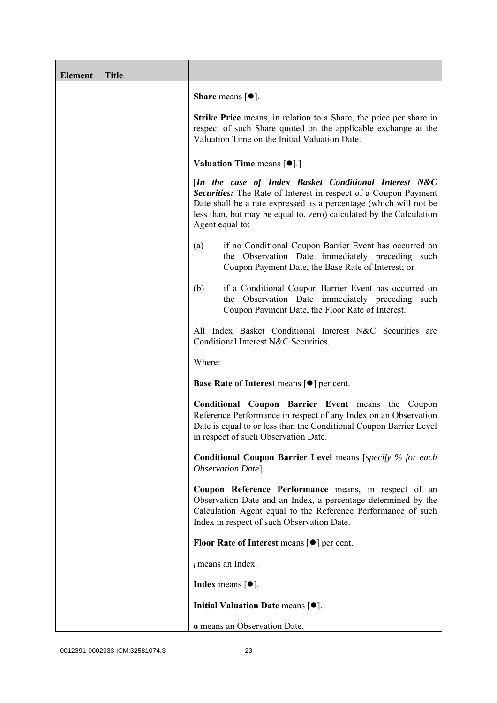| <b>Element</b> | <b>Title</b> |                                                                                                                                                                                                                                                                                         |
|----------------|--------------|-----------------------------------------------------------------------------------------------------------------------------------------------------------------------------------------------------------------------------------------------------------------------------------------|
|                |              | <b>Share</b> means $\lceil \bullet \rceil$ .                                                                                                                                                                                                                                            |
|                |              | <b>Strike Price</b> means, in relation to a Share, the price per share in<br>respect of such Share quoted on the applicable exchange at the<br>Valuation Time on the Initial Valuation Date.                                                                                            |
|                |              | <b>Valuation Time means <math>\lceil \bullet \rceil</math>.</b>                                                                                                                                                                                                                         |
|                |              | [In the case of Index Basket Conditional Interest N&C<br>Securities: The Rate of Interest in respect of a Coupon Payment<br>Date shall be a rate expressed as a percentage (which will not be<br>less than, but may be equal to, zero) calculated by the Calculation<br>Agent equal to: |
|                |              | if no Conditional Coupon Barrier Event has occurred on<br>(a)<br>the Observation Date immediately preceding such<br>Coupon Payment Date, the Base Rate of Interest; or                                                                                                                  |
|                |              | if a Conditional Coupon Barrier Event has occurred on<br>(b)<br>the Observation Date immediately preceding<br>such<br>Coupon Payment Date, the Floor Rate of Interest.                                                                                                                  |
|                |              | All Index Basket Conditional Interest N&C Securities are<br>Conditional Interest N&C Securities.                                                                                                                                                                                        |
|                |              | Where:                                                                                                                                                                                                                                                                                  |
|                |              | <b>Base Rate of Interest means <math>\lceil \bullet \rceil</math> per cent.</b>                                                                                                                                                                                                         |
|                |              | <b>Conditional Coupon Barrier Event means the Coupon</b><br>Reference Performance in respect of any Index on an Observation<br>Date is equal to or less than the Conditional Coupon Barrier Level<br>in respect of such Observation Date.                                               |
|                |              | <b>Conditional Coupon Barrier Level means [specify % for each</b><br>Observation Date].                                                                                                                                                                                                 |
|                |              | Coupon Reference Performance means, in respect of an<br>Observation Date and an Index, a percentage determined by the<br>Calculation Agent equal to the Reference Performance of such<br>Index in respect of such Observation Date.                                                     |
|                |              | <b>Floor Rate of Interest means <math>\lceil \bullet \rceil</math> per cent.</b>                                                                                                                                                                                                        |
|                |              | i means an Index.                                                                                                                                                                                                                                                                       |
|                |              | <b>Index</b> means $\lceil \bullet \rceil$ .                                                                                                                                                                                                                                            |
|                |              | Initial Valuation Date means $[•]$ .                                                                                                                                                                                                                                                    |
|                |              | o means an Observation Date.                                                                                                                                                                                                                                                            |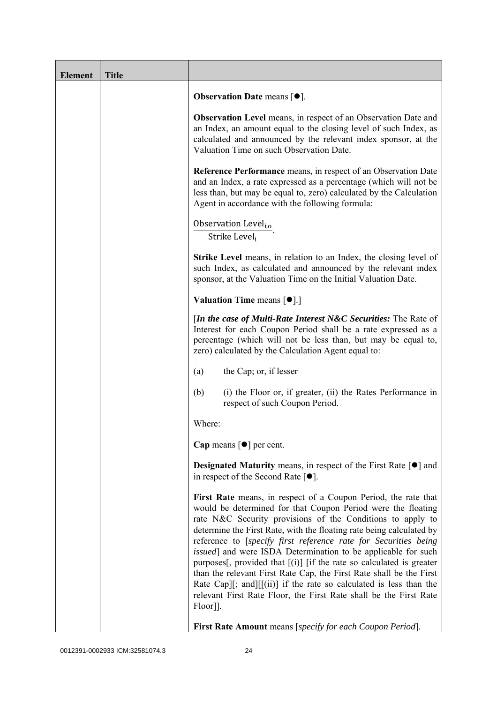| <b>Element</b> | <b>Title</b> |                                                                                                                                                                                                                                                                                                                                                                                                                                                                                                                                                                                                                                                                                                                          |
|----------------|--------------|--------------------------------------------------------------------------------------------------------------------------------------------------------------------------------------------------------------------------------------------------------------------------------------------------------------------------------------------------------------------------------------------------------------------------------------------------------------------------------------------------------------------------------------------------------------------------------------------------------------------------------------------------------------------------------------------------------------------------|
|                |              | Observation Date means [ $\bullet$ ].                                                                                                                                                                                                                                                                                                                                                                                                                                                                                                                                                                                                                                                                                    |
|                |              | <b>Observation Level</b> means, in respect of an Observation Date and<br>an Index, an amount equal to the closing level of such Index, as<br>calculated and announced by the relevant index sponsor, at the<br>Valuation Time on such Observation Date.                                                                                                                                                                                                                                                                                                                                                                                                                                                                  |
|                |              | <b>Reference Performance</b> means, in respect of an Observation Date<br>and an Index, a rate expressed as a percentage (which will not be<br>less than, but may be equal to, zero) calculated by the Calculation<br>Agent in accordance with the following formula:                                                                                                                                                                                                                                                                                                                                                                                                                                                     |
|                |              | Observation Level <sub>i,o</sub><br>Strike Level <sub>i</sub>                                                                                                                                                                                                                                                                                                                                                                                                                                                                                                                                                                                                                                                            |
|                |              | <b>Strike Level</b> means, in relation to an Index, the closing level of<br>such Index, as calculated and announced by the relevant index<br>sponsor, at the Valuation Time on the Initial Valuation Date.                                                                                                                                                                                                                                                                                                                                                                                                                                                                                                               |
|                |              | <b>Valuation Time means <math>\lceil \bullet \rceil</math>.</b>                                                                                                                                                                                                                                                                                                                                                                                                                                                                                                                                                                                                                                                          |
|                |              | [In the case of Multi-Rate Interest N&C Securities: The Rate of<br>Interest for each Coupon Period shall be a rate expressed as a<br>percentage (which will not be less than, but may be equal to,<br>zero) calculated by the Calculation Agent equal to:                                                                                                                                                                                                                                                                                                                                                                                                                                                                |
|                |              | the Cap; or, if lesser<br>(a)                                                                                                                                                                                                                                                                                                                                                                                                                                                                                                                                                                                                                                                                                            |
|                |              | (b)<br>(i) the Floor or, if greater, (ii) the Rates Performance in<br>respect of such Coupon Period.                                                                                                                                                                                                                                                                                                                                                                                                                                                                                                                                                                                                                     |
|                |              | Where:                                                                                                                                                                                                                                                                                                                                                                                                                                                                                                                                                                                                                                                                                                                   |
|                |              | Cap means $\lceil \bullet \rceil$ per cent.                                                                                                                                                                                                                                                                                                                                                                                                                                                                                                                                                                                                                                                                              |
|                |              | <b>Designated Maturity means, in respect of the First Rate <math>\lceil \bullet \rceil</math> and</b><br>in respect of the Second Rate $[•]$ .                                                                                                                                                                                                                                                                                                                                                                                                                                                                                                                                                                           |
|                |              | First Rate means, in respect of a Coupon Period, the rate that<br>would be determined for that Coupon Period were the floating<br>rate N&C Security provisions of the Conditions to apply to<br>determine the First Rate, with the floating rate being calculated by<br>reference to [specify first reference rate for Securities being<br><i>issued</i> ] and were ISDA Determination to be applicable for such<br>purposes[, provided that $[(i)]$ [if the rate so calculated is greater<br>than the relevant First Rate Cap, the First Rate shall be the First<br>Rate Cap][; and][[(ii)] if the rate so calculated is less than the<br>relevant First Rate Floor, the First Rate shall be the First Rate<br>Floor]]. |
|                |              | First Rate Amount means [specify for each Coupon Period].                                                                                                                                                                                                                                                                                                                                                                                                                                                                                                                                                                                                                                                                |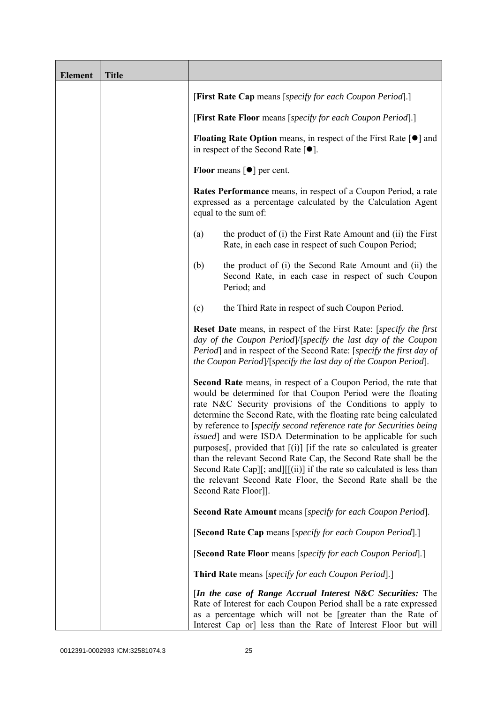| <b>Element</b> | <b>Title</b> |                                                                                                                                                                                                                                                                                                                                                                                                                                                                                                                                                                                                                                                                                                                                        |
|----------------|--------------|----------------------------------------------------------------------------------------------------------------------------------------------------------------------------------------------------------------------------------------------------------------------------------------------------------------------------------------------------------------------------------------------------------------------------------------------------------------------------------------------------------------------------------------------------------------------------------------------------------------------------------------------------------------------------------------------------------------------------------------|
|                |              | [First Rate Cap means [specify for each Coupon Period].]                                                                                                                                                                                                                                                                                                                                                                                                                                                                                                                                                                                                                                                                               |
|                |              | [First Rate Floor means [specify for each Coupon Period].]                                                                                                                                                                                                                                                                                                                                                                                                                                                                                                                                                                                                                                                                             |
|                |              | <b>Floating Rate Option</b> means, in respect of the First Rate $\lceil \bullet \rceil$ and<br>in respect of the Second Rate $[•]$ .                                                                                                                                                                                                                                                                                                                                                                                                                                                                                                                                                                                                   |
|                |              | <b>Floor</b> means $\lceil \bullet \rceil$ per cent.                                                                                                                                                                                                                                                                                                                                                                                                                                                                                                                                                                                                                                                                                   |
|                |              | <b>Rates Performance</b> means, in respect of a Coupon Period, a rate<br>expressed as a percentage calculated by the Calculation Agent<br>equal to the sum of:                                                                                                                                                                                                                                                                                                                                                                                                                                                                                                                                                                         |
|                |              | the product of (i) the First Rate Amount and (ii) the First<br>(a)<br>Rate, in each case in respect of such Coupon Period;                                                                                                                                                                                                                                                                                                                                                                                                                                                                                                                                                                                                             |
|                |              | the product of (i) the Second Rate Amount and (ii) the<br>(b)<br>Second Rate, in each case in respect of such Coupon<br>Period; and                                                                                                                                                                                                                                                                                                                                                                                                                                                                                                                                                                                                    |
|                |              | the Third Rate in respect of such Coupon Period.<br>(c)                                                                                                                                                                                                                                                                                                                                                                                                                                                                                                                                                                                                                                                                                |
|                |              | Reset Date means, in respect of the First Rate: [specify the first<br>day of the Coupon Period /[specify the last day of the Coupon<br>Period] and in respect of the Second Rate: [specify the first day of<br>the Coupon Period /[specify the last day of the Coupon Period].                                                                                                                                                                                                                                                                                                                                                                                                                                                         |
|                |              | Second Rate means, in respect of a Coupon Period, the rate that<br>would be determined for that Coupon Period were the floating<br>rate N&C Security provisions of the Conditions to apply to<br>determine the Second Rate, with the floating rate being calculated<br>by reference to [specify second reference rate for Securities being<br>issued] and were ISDA Determination to be applicable for such<br>purposes <sup>[</sup> , provided that $[(i)]$ [if the rate so calculated is greater<br>than the relevant Second Rate Cap, the Second Rate shall be the<br>Second Rate Cap][; and][[(ii)] if the rate so calculated is less than<br>the relevant Second Rate Floor, the Second Rate shall be the<br>Second Rate Floor]]. |
|                |              | <b>Second Rate Amount</b> means [specify for each Coupon Period].                                                                                                                                                                                                                                                                                                                                                                                                                                                                                                                                                                                                                                                                      |
|                |              | [Second Rate Cap means [specify for each Coupon Period].]                                                                                                                                                                                                                                                                                                                                                                                                                                                                                                                                                                                                                                                                              |
|                |              | [Second Rate Floor means [specify for each Coupon Period].]                                                                                                                                                                                                                                                                                                                                                                                                                                                                                                                                                                                                                                                                            |
|                |              | <b>Third Rate</b> means [specify for each Coupon Period].]                                                                                                                                                                                                                                                                                                                                                                                                                                                                                                                                                                                                                                                                             |
|                |              | [In the case of Range Accrual Interest N&C Securities: The<br>Rate of Interest for each Coupon Period shall be a rate expressed<br>as a percentage which will not be [greater than the Rate of<br>Interest Cap or] less than the Rate of Interest Floor but will                                                                                                                                                                                                                                                                                                                                                                                                                                                                       |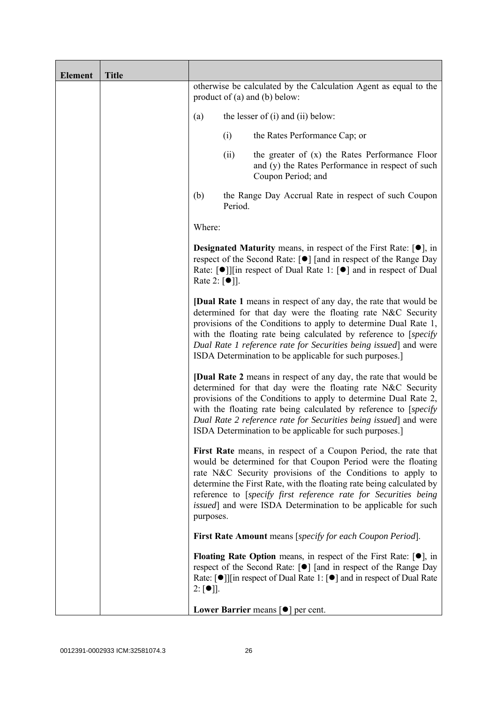| <b>Element</b> | <b>Title</b> |                                   |         |                                                                                                                                                                                                                                                                                                                                                                                                                  |
|----------------|--------------|-----------------------------------|---------|------------------------------------------------------------------------------------------------------------------------------------------------------------------------------------------------------------------------------------------------------------------------------------------------------------------------------------------------------------------------------------------------------------------|
|                |              |                                   |         | otherwise be calculated by the Calculation Agent as equal to the<br>product of $(a)$ and $(b)$ below:                                                                                                                                                                                                                                                                                                            |
|                |              | (a)                               |         | the lesser of $(i)$ and $(ii)$ below:                                                                                                                                                                                                                                                                                                                                                                            |
|                |              |                                   | (i)     | the Rates Performance Cap; or                                                                                                                                                                                                                                                                                                                                                                                    |
|                |              |                                   | (ii)    | the greater of $(x)$ the Rates Performance Floor<br>and (y) the Rates Performance in respect of such<br>Coupon Period; and                                                                                                                                                                                                                                                                                       |
|                |              | (b)                               | Period. | the Range Day Accrual Rate in respect of such Coupon                                                                                                                                                                                                                                                                                                                                                             |
|                |              | Where:                            |         |                                                                                                                                                                                                                                                                                                                                                                                                                  |
|                |              | Rate 2: $\lceil \bullet \rceil$ . |         | <b>Designated Maturity</b> means, in respect of the First Rate: $[•]$ , in<br>respect of the Second Rate: [●] [and in respect of the Range Day<br>Rate: $\lceil \bullet \rceil$   in respect of Dual Rate 1: $\lceil \bullet \rceil$ and in respect of Dual                                                                                                                                                      |
|                |              |                                   |         | <b>[Dual Rate 1</b> means in respect of any day, the rate that would be<br>determined for that day were the floating rate N&C Security<br>provisions of the Conditions to apply to determine Dual Rate 1,<br>with the floating rate being calculated by reference to [specify]<br>Dual Rate 1 reference rate for Securities being issued] and were<br>ISDA Determination to be applicable for such purposes.]    |
|                |              |                                   |         | <b>[Dual Rate 2</b> means in respect of any day, the rate that would be<br>determined for that day were the floating rate N&C Security<br>provisions of the Conditions to apply to determine Dual Rate 2,<br>with the floating rate being calculated by reference to [specify]<br>Dual Rate 2 reference rate for Securities being issued and were<br>ISDA Determination to be applicable for such purposes.]     |
|                |              | purposes.                         |         | First Rate means, in respect of a Coupon Period, the rate that<br>would be determined for that Coupon Period were the floating<br>rate N&C Security provisions of the Conditions to apply to<br>determine the First Rate, with the floating rate being calculated by<br>reference to [specify first reference rate for Securities being<br><i>issued</i> ] and were ISDA Determination to be applicable for such |
|                |              |                                   |         | <b>First Rate Amount</b> means [specify for each Coupon Period].                                                                                                                                                                                                                                                                                                                                                 |
|                |              | $2: [\bullet]$ .                  |         | <b>Floating Rate Option</b> means, in respect of the First Rate: $[•]$ , in<br>respect of the Second Rate: [●] [and in respect of the Range Day<br>Rate: $\lceil \bullet \rceil$   [in respect of Dual Rate 1: $\lceil \bullet \rceil$ and in respect of Dual Rate                                                                                                                                               |
|                |              |                                   |         | Lower Barrier means $\lceil \bullet \rceil$ per cent.                                                                                                                                                                                                                                                                                                                                                            |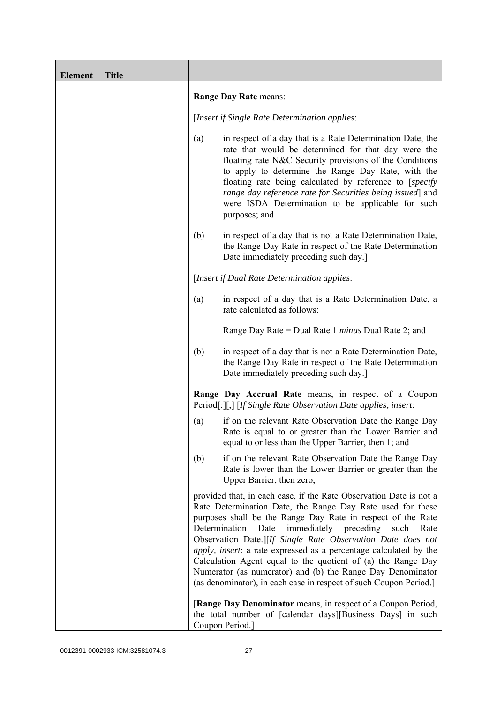| <b>Element</b> | <b>Title</b> |                                                                                                                                                                                                                                                                                                                                                                                                                                                                                                                                                                                                             |
|----------------|--------------|-------------------------------------------------------------------------------------------------------------------------------------------------------------------------------------------------------------------------------------------------------------------------------------------------------------------------------------------------------------------------------------------------------------------------------------------------------------------------------------------------------------------------------------------------------------------------------------------------------------|
|                |              | Range Day Rate means:                                                                                                                                                                                                                                                                                                                                                                                                                                                                                                                                                                                       |
|                |              | [Insert if Single Rate Determination applies:                                                                                                                                                                                                                                                                                                                                                                                                                                                                                                                                                               |
|                |              | in respect of a day that is a Rate Determination Date, the<br>(a)<br>rate that would be determined for that day were the<br>floating rate N&C Security provisions of the Conditions<br>to apply to determine the Range Day Rate, with the<br>floating rate being calculated by reference to [specify]<br>range day reference rate for Securities being issued] and<br>were ISDA Determination to be applicable for such<br>purposes; and                                                                                                                                                                    |
|                |              | in respect of a day that is not a Rate Determination Date,<br>(b)<br>the Range Day Rate in respect of the Rate Determination<br>Date immediately preceding such day.                                                                                                                                                                                                                                                                                                                                                                                                                                        |
|                |              | [Insert if Dual Rate Determination applies:                                                                                                                                                                                                                                                                                                                                                                                                                                                                                                                                                                 |
|                |              | in respect of a day that is a Rate Determination Date, a<br>(a)<br>rate calculated as follows:                                                                                                                                                                                                                                                                                                                                                                                                                                                                                                              |
|                |              | Range Day Rate = Dual Rate 1 <i>minus</i> Dual Rate 2; and                                                                                                                                                                                                                                                                                                                                                                                                                                                                                                                                                  |
|                |              | (b)<br>in respect of a day that is not a Rate Determination Date,<br>the Range Day Rate in respect of the Rate Determination<br>Date immediately preceding such day.                                                                                                                                                                                                                                                                                                                                                                                                                                        |
|                |              | Range Day Accrual Rate means, in respect of a Coupon<br>Period[:][,] [If Single Rate Observation Date applies, insert:                                                                                                                                                                                                                                                                                                                                                                                                                                                                                      |
|                |              | if on the relevant Rate Observation Date the Range Day<br>(a)<br>Rate is equal to or greater than the Lower Barrier and<br>equal to or less than the Upper Barrier, then 1; and                                                                                                                                                                                                                                                                                                                                                                                                                             |
|                |              | if on the relevant Rate Observation Date the Range Day<br>(b)<br>Rate is lower than the Lower Barrier or greater than the<br>Upper Barrier, then zero,                                                                                                                                                                                                                                                                                                                                                                                                                                                      |
|                |              | provided that, in each case, if the Rate Observation Date is not a<br>Rate Determination Date, the Range Day Rate used for these<br>purposes shall be the Range Day Rate in respect of the Rate<br>Determination<br>immediately<br>preceding<br>Date<br>such<br>Rate<br>Observation Date.][If Single Rate Observation Date does not<br>apply, insert: a rate expressed as a percentage calculated by the<br>Calculation Agent equal to the quotient of (a) the Range Day<br>Numerator (as numerator) and (b) the Range Day Denominator<br>(as denominator), in each case in respect of such Coupon Period.] |
|                |              | [Range Day Denominator means, in respect of a Coupon Period,<br>the total number of [calendar days][Business Days] in such<br>Coupon Period.]                                                                                                                                                                                                                                                                                                                                                                                                                                                               |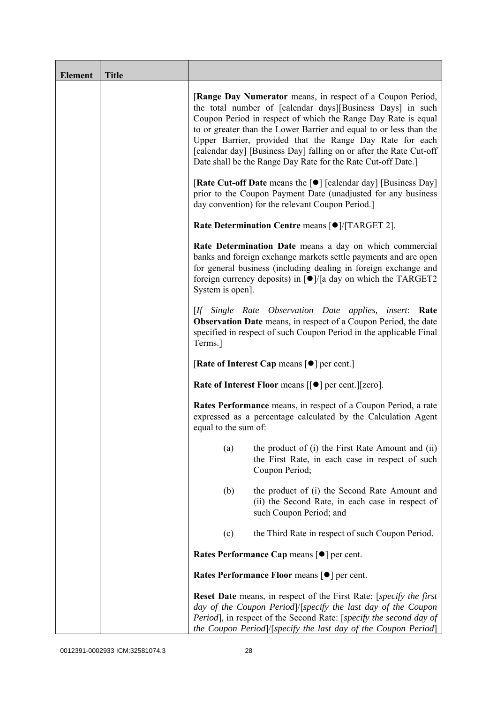| <b>Element</b> | <b>Title</b> |                                                                                                                                                                                                                                                                                                                                                                                                                                                                   |
|----------------|--------------|-------------------------------------------------------------------------------------------------------------------------------------------------------------------------------------------------------------------------------------------------------------------------------------------------------------------------------------------------------------------------------------------------------------------------------------------------------------------|
|                |              | [Range Day Numerator means, in respect of a Coupon Period,<br>the total number of [calendar days][Business Days] in such<br>Coupon Period in respect of which the Range Day Rate is equal<br>to or greater than the Lower Barrier and equal to or less than the<br>Upper Barrier, provided that the Range Day Rate for each<br>[calendar day] [Business Day] falling on or after the Rate Cut-off<br>Date shall be the Range Day Rate for the Rate Cut-off Date.] |
|                |              | <b>[Rate Cut-off Date</b> means the [ $\bullet$ ] [calendar day] [Business Day]<br>prior to the Coupon Payment Date (unadjusted for any business<br>day convention) for the relevant Coupon Period.]                                                                                                                                                                                                                                                              |
|                |              | Rate Determination Centre means [ $\bullet$ ]/[TARGET 2].                                                                                                                                                                                                                                                                                                                                                                                                         |
|                |              | Rate Determination Date means a day on which commercial<br>banks and foreign exchange markets settle payments and are open<br>for general business (including dealing in foreign exchange and<br>foreign currency deposits) in $\lceil \bullet \rceil / \lceil a \rceil$ day on which the TARGET2<br>System is open].                                                                                                                                             |
|                |              | [If Single Rate Observation Date applies, insert: Rate<br><b>Observation Date</b> means, in respect of a Coupon Period, the date<br>specified in respect of such Coupon Period in the applicable Final<br>Terms.]                                                                                                                                                                                                                                                 |
|                |              | [Rate of Interest Cap means [ $\bullet$ ] per cent.]                                                                                                                                                                                                                                                                                                                                                                                                              |
|                |              | Rate of Interest Floor means [[ $\bullet$ ] per cent.][zero].                                                                                                                                                                                                                                                                                                                                                                                                     |
|                |              | <b>Rates Performance</b> means, in respect of a Coupon Period, a rate<br>expressed as a percentage calculated by the Calculation Agent<br>equal to the sum of:                                                                                                                                                                                                                                                                                                    |
|                |              | the product of (i) the First Rate Amount and (ii)<br>(a)<br>the First Rate, in each case in respect of such<br>Coupon Period;                                                                                                                                                                                                                                                                                                                                     |
|                |              | (b)<br>the product of (i) the Second Rate Amount and<br>(ii) the Second Rate, in each case in respect of<br>such Coupon Period; and                                                                                                                                                                                                                                                                                                                               |
|                |              | the Third Rate in respect of such Coupon Period.<br>(c)                                                                                                                                                                                                                                                                                                                                                                                                           |
|                |              | Rates Performance Cap means [ $\bullet$ ] per cent.                                                                                                                                                                                                                                                                                                                                                                                                               |
|                |              | Rates Performance Floor means [ $\bullet$ ] per cent.                                                                                                                                                                                                                                                                                                                                                                                                             |
|                |              | <b>Reset Date</b> means, in respect of the First Rate: [specify the first]<br>day of the Coupon Period /[specify the last day of the Coupon<br>Period], in respect of the Second Rate: [specify the second day of<br>the Coupon Period]/[specify the last day of the Coupon Period]                                                                                                                                                                               |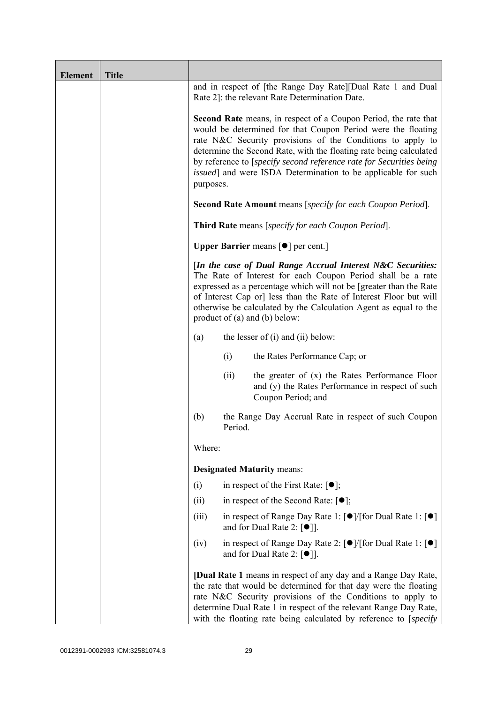| <b>Element</b> | <b>Title</b> |           |         |                                                                                                                                                                                                                                                                                                                                                                                                                            |
|----------------|--------------|-----------|---------|----------------------------------------------------------------------------------------------------------------------------------------------------------------------------------------------------------------------------------------------------------------------------------------------------------------------------------------------------------------------------------------------------------------------------|
|                |              |           |         | and in respect of [the Range Day Rate][Dual Rate 1 and Dual<br>Rate 2]: the relevant Rate Determination Date.                                                                                                                                                                                                                                                                                                              |
|                |              | purposes. |         | <b>Second Rate</b> means, in respect of a Coupon Period, the rate that<br>would be determined for that Coupon Period were the floating<br>rate N&C Security provisions of the Conditions to apply to<br>determine the Second Rate, with the floating rate being calculated<br>by reference to [specify second reference rate for Securities being<br><i>issued</i> ] and were ISDA Determination to be applicable for such |
|                |              |           |         | <b>Second Rate Amount</b> means [specify for each Coupon Period].                                                                                                                                                                                                                                                                                                                                                          |
|                |              |           |         | <b>Third Rate</b> means [specify for each Coupon Period].                                                                                                                                                                                                                                                                                                                                                                  |
|                |              |           |         | <b>Upper Barrier</b> means $\lceil \bullet \rceil$ per cent.]                                                                                                                                                                                                                                                                                                                                                              |
|                |              |           |         | [In the case of Dual Range Accrual Interest N&C Securities:<br>The Rate of Interest for each Coupon Period shall be a rate<br>expressed as a percentage which will not be [greater than the Rate<br>of Interest Cap or] less than the Rate of Interest Floor but will<br>otherwise be calculated by the Calculation Agent as equal to the<br>product of $(a)$ and $(b)$ below:                                             |
|                |              | (a)       |         | the lesser of $(i)$ and $(ii)$ below:                                                                                                                                                                                                                                                                                                                                                                                      |
|                |              |           | (i)     | the Rates Performance Cap; or                                                                                                                                                                                                                                                                                                                                                                                              |
|                |              |           | (ii)    | the greater of (x) the Rates Performance Floor<br>and (y) the Rates Performance in respect of such<br>Coupon Period; and                                                                                                                                                                                                                                                                                                   |
|                |              | (b)       | Period. | the Range Day Accrual Rate in respect of such Coupon                                                                                                                                                                                                                                                                                                                                                                       |
|                |              | Where:    |         |                                                                                                                                                                                                                                                                                                                                                                                                                            |
|                |              |           |         | <b>Designated Maturity means:</b>                                                                                                                                                                                                                                                                                                                                                                                          |
|                |              | (i)       |         | in respect of the First Rate: $[•]$ ;                                                                                                                                                                                                                                                                                                                                                                                      |
|                |              | (ii)      |         | in respect of the Second Rate: $[•]$ ;                                                                                                                                                                                                                                                                                                                                                                                     |
|                |              | (iii)     |         | in respect of Range Day Rate 1: $\lceil \bullet \rceil / \lceil \text{for Dual Rate 1} \rceil \lceil \bullet \rceil$<br>and for Dual Rate 2: $\lceil \bullet \rceil$ .                                                                                                                                                                                                                                                     |
|                |              | (iv)      |         | in respect of Range Day Rate 2: [●]/[for Dual Rate 1: [●]<br>and for Dual Rate 2: $[\bullet]$ ].                                                                                                                                                                                                                                                                                                                           |
|                |              |           |         | <b>[Dual Rate 1</b> means in respect of any day and a Range Day Rate,<br>the rate that would be determined for that day were the floating<br>rate N&C Security provisions of the Conditions to apply to<br>determine Dual Rate 1 in respect of the relevant Range Day Rate,<br>with the floating rate being calculated by reference to [specify]                                                                           |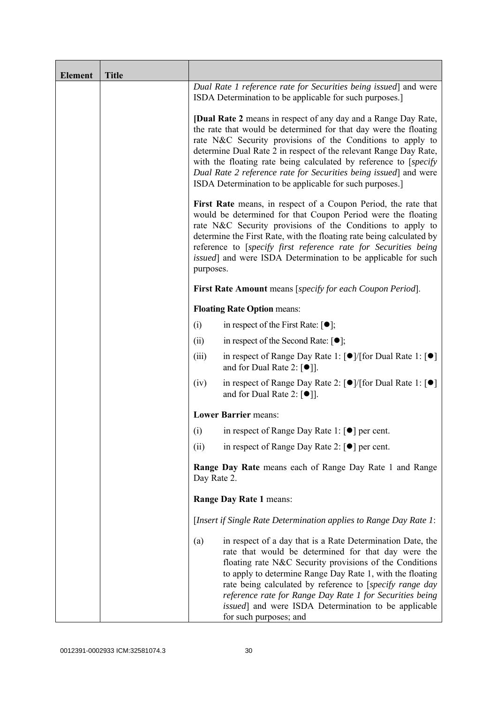| <b>Element</b> | <b>Title</b> |                                                                                                                                                                                                                                                                                                                                                                                                                                                                                 |                                                                                                                                                                                                                                                                                                                                                                                                                                                             |  |
|----------------|--------------|---------------------------------------------------------------------------------------------------------------------------------------------------------------------------------------------------------------------------------------------------------------------------------------------------------------------------------------------------------------------------------------------------------------------------------------------------------------------------------|-------------------------------------------------------------------------------------------------------------------------------------------------------------------------------------------------------------------------------------------------------------------------------------------------------------------------------------------------------------------------------------------------------------------------------------------------------------|--|
|                |              |                                                                                                                                                                                                                                                                                                                                                                                                                                                                                 | Dual Rate 1 reference rate for Securities being issued] and were<br>ISDA Determination to be applicable for such purposes.]                                                                                                                                                                                                                                                                                                                                 |  |
|                |              | <b>[Dual Rate 2</b> means in respect of any day and a Range Day Rate,<br>the rate that would be determined for that day were the floating<br>rate N&C Security provisions of the Conditions to apply to<br>determine Dual Rate 2 in respect of the relevant Range Day Rate,<br>with the floating rate being calculated by reference to [specify]<br>Dual Rate 2 reference rate for Securities being issued] and were<br>ISDA Determination to be applicable for such purposes.] |                                                                                                                                                                                                                                                                                                                                                                                                                                                             |  |
|                |              | First Rate means, in respect of a Coupon Period, the rate that<br>would be determined for that Coupon Period were the floating<br>rate N&C Security provisions of the Conditions to apply to<br>determine the First Rate, with the floating rate being calculated by<br>reference to [specify first reference rate for Securities being<br>issued] and were ISDA Determination to be applicable for such<br>purposes.                                                           |                                                                                                                                                                                                                                                                                                                                                                                                                                                             |  |
|                |              |                                                                                                                                                                                                                                                                                                                                                                                                                                                                                 | <b>First Rate Amount</b> means [specify for each Coupon Period].                                                                                                                                                                                                                                                                                                                                                                                            |  |
|                |              |                                                                                                                                                                                                                                                                                                                                                                                                                                                                                 | <b>Floating Rate Option means:</b>                                                                                                                                                                                                                                                                                                                                                                                                                          |  |
|                |              | (i)                                                                                                                                                                                                                                                                                                                                                                                                                                                                             | in respect of the First Rate: $[•]$ ;                                                                                                                                                                                                                                                                                                                                                                                                                       |  |
|                |              | (ii)                                                                                                                                                                                                                                                                                                                                                                                                                                                                            | in respect of the Second Rate: $[•]$ ;                                                                                                                                                                                                                                                                                                                                                                                                                      |  |
|                |              | (iii)                                                                                                                                                                                                                                                                                                                                                                                                                                                                           | in respect of Range Day Rate 1: $\lceil \bullet \rceil / \lceil \text{for Dual Rate 1} \rceil \rceil$<br>and for Dual Rate 2: $\lceil \bullet \rceil$ .                                                                                                                                                                                                                                                                                                     |  |
|                |              | (iv)                                                                                                                                                                                                                                                                                                                                                                                                                                                                            | in respect of Range Day Rate 2: $\lceil \bullet \rceil / [\text{for Dual Rate 1}: \lceil \bullet \rceil]$<br>and for Dual Rate 2: $[①$ ].                                                                                                                                                                                                                                                                                                                   |  |
|                |              |                                                                                                                                                                                                                                                                                                                                                                                                                                                                                 | <b>Lower Barrier means:</b>                                                                                                                                                                                                                                                                                                                                                                                                                                 |  |
|                |              | (i)                                                                                                                                                                                                                                                                                                                                                                                                                                                                             | in respect of Range Day Rate 1: $\lceil \bullet \rceil$ per cent.                                                                                                                                                                                                                                                                                                                                                                                           |  |
|                |              | (ii)                                                                                                                                                                                                                                                                                                                                                                                                                                                                            | in respect of Range Day Rate 2: $\lceil \bullet \rceil$ per cent.                                                                                                                                                                                                                                                                                                                                                                                           |  |
|                |              | <b>Range Day Rate</b> means each of Range Day Rate 1 and Range<br>Day Rate 2.                                                                                                                                                                                                                                                                                                                                                                                                   |                                                                                                                                                                                                                                                                                                                                                                                                                                                             |  |
|                |              | Range Day Rate 1 means:                                                                                                                                                                                                                                                                                                                                                                                                                                                         |                                                                                                                                                                                                                                                                                                                                                                                                                                                             |  |
|                |              |                                                                                                                                                                                                                                                                                                                                                                                                                                                                                 | [Insert if Single Rate Determination applies to Range Day Rate 1:                                                                                                                                                                                                                                                                                                                                                                                           |  |
|                |              | (a)                                                                                                                                                                                                                                                                                                                                                                                                                                                                             | in respect of a day that is a Rate Determination Date, the<br>rate that would be determined for that day were the<br>floating rate N&C Security provisions of the Conditions<br>to apply to determine Range Day Rate 1, with the floating<br>rate being calculated by reference to [specify range day<br>reference rate for Range Day Rate 1 for Securities being<br><i>issued</i> ] and were ISDA Determination to be applicable<br>for such purposes; and |  |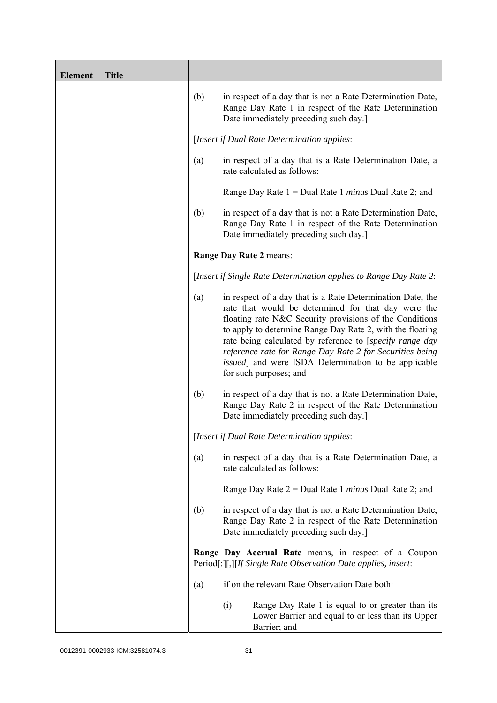| <b>Element</b> | <b>Title</b> |     |                                                                                                                                                                                                                                                                                                                                                                                                                                                             |
|----------------|--------------|-----|-------------------------------------------------------------------------------------------------------------------------------------------------------------------------------------------------------------------------------------------------------------------------------------------------------------------------------------------------------------------------------------------------------------------------------------------------------------|
|                |              | (b) | in respect of a day that is not a Rate Determination Date,<br>Range Day Rate 1 in respect of the Rate Determination<br>Date immediately preceding such day.]                                                                                                                                                                                                                                                                                                |
|                |              |     | [Insert if Dual Rate Determination applies:                                                                                                                                                                                                                                                                                                                                                                                                                 |
|                |              | (a) | in respect of a day that is a Rate Determination Date, a<br>rate calculated as follows:                                                                                                                                                                                                                                                                                                                                                                     |
|                |              |     | Range Day Rate $1 =$ Dual Rate 1 <i>minus</i> Dual Rate 2; and                                                                                                                                                                                                                                                                                                                                                                                              |
|                |              | (b) | in respect of a day that is not a Rate Determination Date,<br>Range Day Rate 1 in respect of the Rate Determination<br>Date immediately preceding such day.]                                                                                                                                                                                                                                                                                                |
|                |              |     | Range Day Rate 2 means:                                                                                                                                                                                                                                                                                                                                                                                                                                     |
|                |              |     | [Insert if Single Rate Determination applies to Range Day Rate 2:                                                                                                                                                                                                                                                                                                                                                                                           |
|                |              | (a) | in respect of a day that is a Rate Determination Date, the<br>rate that would be determined for that day were the<br>floating rate N&C Security provisions of the Conditions<br>to apply to determine Range Day Rate 2, with the floating<br>rate being calculated by reference to [specify range day<br>reference rate for Range Day Rate 2 for Securities being<br><i>issued</i> ] and were ISDA Determination to be applicable<br>for such purposes; and |
|                |              | (b) | in respect of a day that is not a Rate Determination Date,<br>Range Day Rate 2 in respect of the Rate Determination<br>Date immediately preceding such day.]                                                                                                                                                                                                                                                                                                |
|                |              |     | [Insert if Dual Rate Determination applies:                                                                                                                                                                                                                                                                                                                                                                                                                 |
|                |              | (a) | in respect of a day that is a Rate Determination Date, a<br>rate calculated as follows:                                                                                                                                                                                                                                                                                                                                                                     |
|                |              |     | Range Day Rate $2 =$ Dual Rate 1 <i>minus</i> Dual Rate 2; and                                                                                                                                                                                                                                                                                                                                                                                              |
|                |              | (b) | in respect of a day that is not a Rate Determination Date,<br>Range Day Rate 2 in respect of the Rate Determination<br>Date immediately preceding such day.]                                                                                                                                                                                                                                                                                                |
|                |              |     | Range Day Accrual Rate means, in respect of a Coupon<br>Period[:][,][If Single Rate Observation Date applies, insert:                                                                                                                                                                                                                                                                                                                                       |
|                |              | (a) | if on the relevant Rate Observation Date both:                                                                                                                                                                                                                                                                                                                                                                                                              |
|                |              |     | Range Day Rate 1 is equal to or greater than its<br>(i)<br>Lower Barrier and equal to or less than its Upper<br>Barrier; and                                                                                                                                                                                                                                                                                                                                |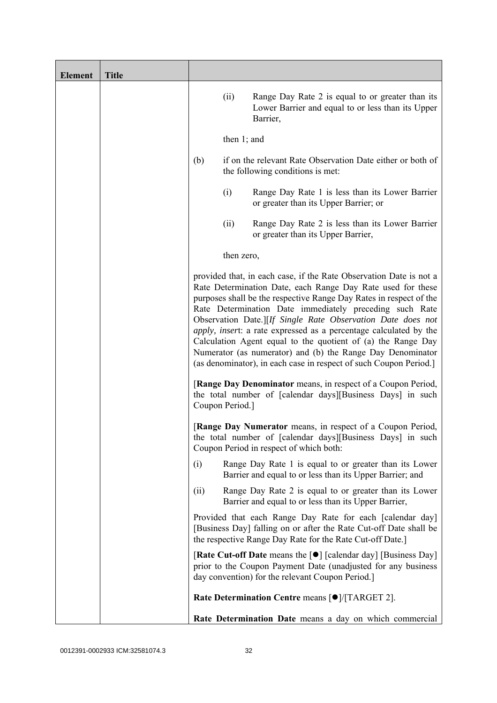| <b>Element</b> | <b>Title</b> |                 |                |                                                                                                                                                                                                                                                                                                                                                                                                                                                                                                                                                                                                           |
|----------------|--------------|-----------------|----------------|-----------------------------------------------------------------------------------------------------------------------------------------------------------------------------------------------------------------------------------------------------------------------------------------------------------------------------------------------------------------------------------------------------------------------------------------------------------------------------------------------------------------------------------------------------------------------------------------------------------|
|                |              |                 | (ii)           | Range Day Rate 2 is equal to or greater than its<br>Lower Barrier and equal to or less than its Upper<br>Barrier,                                                                                                                                                                                                                                                                                                                                                                                                                                                                                         |
|                |              |                 | then $1$ ; and |                                                                                                                                                                                                                                                                                                                                                                                                                                                                                                                                                                                                           |
|                |              | (b)             |                | if on the relevant Rate Observation Date either or both of<br>the following conditions is met:                                                                                                                                                                                                                                                                                                                                                                                                                                                                                                            |
|                |              |                 | (i)            | Range Day Rate 1 is less than its Lower Barrier<br>or greater than its Upper Barrier; or                                                                                                                                                                                                                                                                                                                                                                                                                                                                                                                  |
|                |              |                 | (ii)           | Range Day Rate 2 is less than its Lower Barrier<br>or greater than its Upper Barrier,                                                                                                                                                                                                                                                                                                                                                                                                                                                                                                                     |
|                |              |                 | then zero,     |                                                                                                                                                                                                                                                                                                                                                                                                                                                                                                                                                                                                           |
|                |              |                 |                | provided that, in each case, if the Rate Observation Date is not a<br>Rate Determination Date, each Range Day Rate used for these<br>purposes shall be the respective Range Day Rates in respect of the<br>Rate Determination Date immediately preceding such Rate<br>Observation Date.][If Single Rate Observation Date does not<br>apply, insert: a rate expressed as a percentage calculated by the<br>Calculation Agent equal to the quotient of (a) the Range Day<br>Numerator (as numerator) and (b) the Range Day Denominator<br>(as denominator), in each case in respect of such Coupon Period.] |
|                |              | Coupon Period.] |                | [Range Day Denominator means, in respect of a Coupon Period,<br>the total number of [calendar days][Business Days] in such                                                                                                                                                                                                                                                                                                                                                                                                                                                                                |
|                |              |                 |                | [Range Day Numerator means, in respect of a Coupon Period,<br>the total number of [calendar days][Business Days] in such<br>Coupon Period in respect of which both:                                                                                                                                                                                                                                                                                                                                                                                                                                       |
|                |              | (i)             |                | Range Day Rate 1 is equal to or greater than its Lower<br>Barrier and equal to or less than its Upper Barrier; and                                                                                                                                                                                                                                                                                                                                                                                                                                                                                        |
|                |              | (ii)            |                | Range Day Rate 2 is equal to or greater than its Lower<br>Barrier and equal to or less than its Upper Barrier,                                                                                                                                                                                                                                                                                                                                                                                                                                                                                            |
|                |              |                 |                | Provided that each Range Day Rate for each [calendar day]<br>[Business Day] falling on or after the Rate Cut-off Date shall be<br>the respective Range Day Rate for the Rate Cut-off Date.]                                                                                                                                                                                                                                                                                                                                                                                                               |
|                |              |                 |                | [Rate Cut-off Date means the [●] [calendar day] [Business Day]<br>prior to the Coupon Payment Date (unadjusted for any business<br>day convention) for the relevant Coupon Period.                                                                                                                                                                                                                                                                                                                                                                                                                        |
|                |              |                 |                | Rate Determination Centre means [ $\bullet$ ]/[TARGET 2].                                                                                                                                                                                                                                                                                                                                                                                                                                                                                                                                                 |
|                |              |                 |                | Rate Determination Date means a day on which commercial                                                                                                                                                                                                                                                                                                                                                                                                                                                                                                                                                   |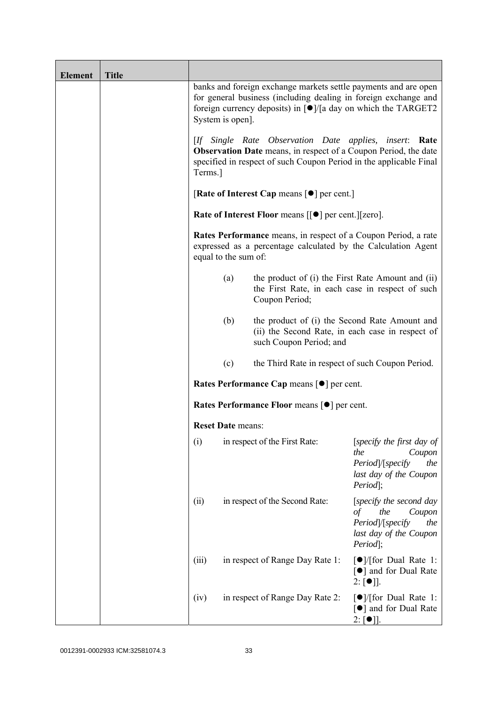| <b>Element</b> | <b>Title</b> |                          |                                                                                                                                                                                                                          |                                                                                                                         |
|----------------|--------------|--------------------------|--------------------------------------------------------------------------------------------------------------------------------------------------------------------------------------------------------------------------|-------------------------------------------------------------------------------------------------------------------------|
|                |              | System is open].         | banks and foreign exchange markets settle payments and are open<br>for general business (including dealing in foreign exchange and<br>foreign currency deposits) in $\lceil \bullet \rceil$ /[a day on which the TARGET2 |                                                                                                                         |
|                |              | Terms.]                  | [If Single Rate Observation Date applies, insert: Rate<br><b>Observation Date</b> means, in respect of a Coupon Period, the date<br>specified in respect of such Coupon Period in the applicable Final                   |                                                                                                                         |
|                |              |                          | [Rate of Interest Cap means $\lceil \bullet \rceil$ per cent.]                                                                                                                                                           |                                                                                                                         |
|                |              |                          | <b>Rate of Interest Floor means <math>\lceil \bullet \rceil</math> per cent. <math>\lceil \lceil \text{zero} \rceil</math>.</b>                                                                                          |                                                                                                                         |
|                |              | equal to the sum of:     | Rates Performance means, in respect of a Coupon Period, a rate<br>expressed as a percentage calculated by the Calculation Agent                                                                                          |                                                                                                                         |
|                |              | (a)                      | the product of (i) the First Rate Amount and (ii)<br>the First Rate, in each case in respect of such<br>Coupon Period;                                                                                                   |                                                                                                                         |
|                |              | (b)                      | the product of (i) the Second Rate Amount and<br>(ii) the Second Rate, in each case in respect of<br>such Coupon Period; and                                                                                             |                                                                                                                         |
|                |              | (c)                      | the Third Rate in respect of such Coupon Period.                                                                                                                                                                         |                                                                                                                         |
|                |              |                          | Rates Performance Cap means [ $\bullet$ ] per cent.                                                                                                                                                                      |                                                                                                                         |
|                |              |                          | <b>Rates Performance Floor means [●] per cent.</b>                                                                                                                                                                       |                                                                                                                         |
|                |              | <b>Reset Date means:</b> |                                                                                                                                                                                                                          |                                                                                                                         |
|                |              | (i)                      | in respect of the First Rate:                                                                                                                                                                                            | [specify the first day of<br>the<br>Coupon<br>Period /[specify<br>the<br>last day of the Coupon<br>Period];             |
|                |              | (ii)                     | in respect of the Second Rate:                                                                                                                                                                                           | [specify the second day<br>the<br>$\sigma f$<br>Coupon<br>Period /[specify<br>the<br>last day of the Coupon<br>Period]; |
|                |              | (iii)                    | in respect of Range Day Rate 1:                                                                                                                                                                                          | $\lceil \bullet \rceil$ / [for Dual Rate 1:<br>[●] and for Dual Rate<br>$2: [\bullet]$ .                                |
|                |              | (iv)                     | in respect of Range Day Rate 2:                                                                                                                                                                                          | $\lceil \bullet \rceil$ / [for Dual Rate 1:<br>[●] and for Dual Rate<br>$2: [\bullet]$ .                                |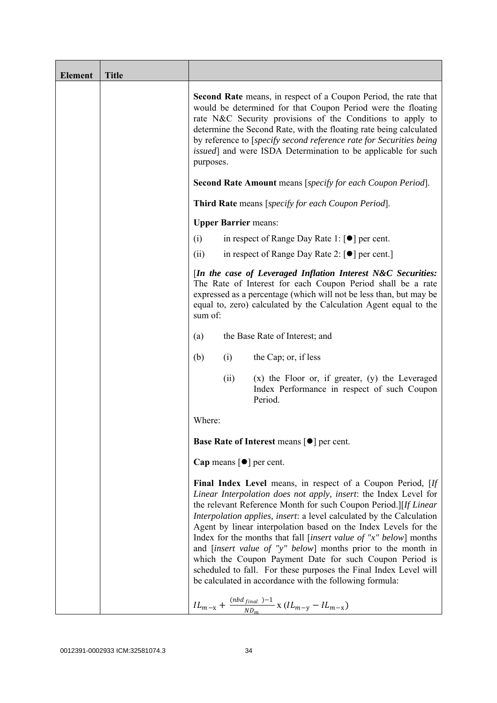| <b>Element</b> | <b>Title</b> |                                                                                                                                                                                                                                                                                                                                                                                                                                                                                                                                                                                                                                                                                              |
|----------------|--------------|----------------------------------------------------------------------------------------------------------------------------------------------------------------------------------------------------------------------------------------------------------------------------------------------------------------------------------------------------------------------------------------------------------------------------------------------------------------------------------------------------------------------------------------------------------------------------------------------------------------------------------------------------------------------------------------------|
|                |              | <b>Second Rate</b> means, in respect of a Coupon Period, the rate that<br>would be determined for that Coupon Period were the floating<br>rate N&C Security provisions of the Conditions to apply to<br>determine the Second Rate, with the floating rate being calculated<br>by reference to [specify second reference rate for Securities being<br>issued] and were ISDA Determination to be applicable for such<br>purposes.                                                                                                                                                                                                                                                              |
|                |              | <b>Second Rate Amount</b> means [specify for each Coupon Period].                                                                                                                                                                                                                                                                                                                                                                                                                                                                                                                                                                                                                            |
|                |              | <b>Third Rate</b> means [specify for each Coupon Period].                                                                                                                                                                                                                                                                                                                                                                                                                                                                                                                                                                                                                                    |
|                |              | <b>Upper Barrier means:</b>                                                                                                                                                                                                                                                                                                                                                                                                                                                                                                                                                                                                                                                                  |
|                |              | in respect of Range Day Rate 1: $\lceil \bullet \rceil$ per cent.<br>(i)                                                                                                                                                                                                                                                                                                                                                                                                                                                                                                                                                                                                                     |
|                |              | in respect of Range Day Rate 2: $\lceil \bullet \rceil$ per cent.]<br>(ii)                                                                                                                                                                                                                                                                                                                                                                                                                                                                                                                                                                                                                   |
|                |              | [In the case of Leveraged Inflation Interest N&C Securities:<br>The Rate of Interest for each Coupon Period shall be a rate<br>expressed as a percentage (which will not be less than, but may be<br>equal to, zero) calculated by the Calculation Agent equal to the<br>sum of:                                                                                                                                                                                                                                                                                                                                                                                                             |
|                |              | the Base Rate of Interest; and<br>(a)                                                                                                                                                                                                                                                                                                                                                                                                                                                                                                                                                                                                                                                        |
|                |              | the Cap; or, if less<br>(b)<br>(i)                                                                                                                                                                                                                                                                                                                                                                                                                                                                                                                                                                                                                                                           |
|                |              | $(x)$ the Floor or, if greater, $(y)$ the Leveraged<br>(ii)<br>Index Performance in respect of such Coupon<br>Period.                                                                                                                                                                                                                                                                                                                                                                                                                                                                                                                                                                        |
|                |              | Where:                                                                                                                                                                                                                                                                                                                                                                                                                                                                                                                                                                                                                                                                                       |
|                |              | Base Rate of Interest means [ $\bullet$ ] per cent.                                                                                                                                                                                                                                                                                                                                                                                                                                                                                                                                                                                                                                          |
|                |              | Cap means [ <sup>•</sup> ] per cent.                                                                                                                                                                                                                                                                                                                                                                                                                                                                                                                                                                                                                                                         |
|                |              | Final Index Level means, in respect of a Coupon Period, [If<br>Linear Interpolation does not apply, insert: the Index Level for<br>the relevant Reference Month for such Coupon Period.][If Linear<br>Interpolation applies, insert: a level calculated by the Calculation<br>Agent by linear interpolation based on the Index Levels for the<br>Index for the months that fall [ <i>insert value of "x" below</i> ] months<br>and <i>[insert value of "y" below]</i> months prior to the month in<br>which the Coupon Payment Date for such Coupon Period is<br>scheduled to fall. For these purposes the Final Index Level will<br>be calculated in accordance with the following formula: |
|                |              | $IL_{m-x} + \frac{(nbd_{final})-1}{ND_m} \times (IL_{m-y} - IL_{m-x})$                                                                                                                                                                                                                                                                                                                                                                                                                                                                                                                                                                                                                       |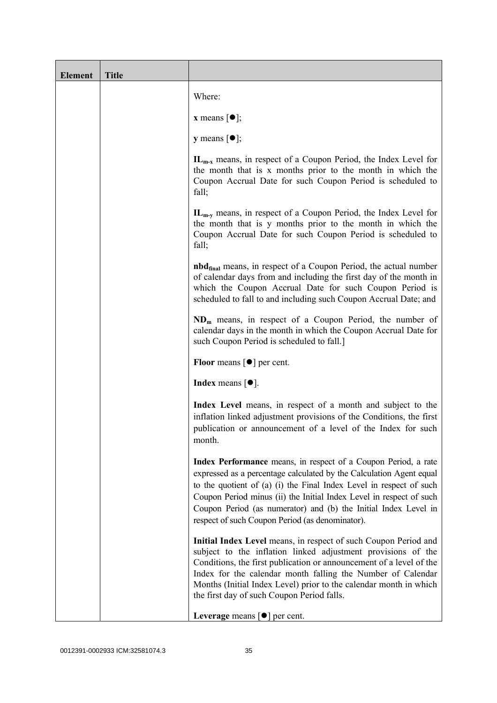| <b>Element</b> | <b>Title</b> |                                                                                                                                                                                                                                                                                                                                                                                                           |
|----------------|--------------|-----------------------------------------------------------------------------------------------------------------------------------------------------------------------------------------------------------------------------------------------------------------------------------------------------------------------------------------------------------------------------------------------------------|
|                |              | Where:                                                                                                                                                                                                                                                                                                                                                                                                    |
|                |              | <b>x</b> means $[\bullet]$ ;                                                                                                                                                                                                                                                                                                                                                                              |
|                |              | <b>y</b> means $[\bullet]$ ;                                                                                                                                                                                                                                                                                                                                                                              |
|                |              | $IL_{m-x}$ means, in respect of a Coupon Period, the Index Level for<br>the month that is x months prior to the month in which the<br>Coupon Accrual Date for such Coupon Period is scheduled to<br>fall;                                                                                                                                                                                                 |
|                |              | $IL_{m-v}$ means, in respect of a Coupon Period, the Index Level for<br>the month that is y months prior to the month in which the<br>Coupon Accrual Date for such Coupon Period is scheduled to<br>fall;                                                                                                                                                                                                 |
|                |              | <b>nbd</b> <sub>final</sub> means, in respect of a Coupon Period, the actual number<br>of calendar days from and including the first day of the month in<br>which the Coupon Accrual Date for such Coupon Period is<br>scheduled to fall to and including such Coupon Accrual Date; and                                                                                                                   |
|                |              | $NDm$ means, in respect of a Coupon Period, the number of<br>calendar days in the month in which the Coupon Accrual Date for<br>such Coupon Period is scheduled to fall.]                                                                                                                                                                                                                                 |
|                |              | <b>Floor</b> means $\lceil \bullet \rceil$ per cent.                                                                                                                                                                                                                                                                                                                                                      |
|                |              | <b>Index</b> means $\lceil \bullet \rceil$ .                                                                                                                                                                                                                                                                                                                                                              |
|                |              | Index Level means, in respect of a month and subject to the<br>inflation linked adjustment provisions of the Conditions, the first<br>publication or announcement of a level of the Index for such<br>month.                                                                                                                                                                                              |
|                |              | Index Performance means, in respect of a Coupon Period, a rate<br>expressed as a percentage calculated by the Calculation Agent equal<br>to the quotient of (a) (i) the Final Index Level in respect of such<br>Coupon Period minus (ii) the Initial Index Level in respect of such<br>Coupon Period (as numerator) and (b) the Initial Index Level in<br>respect of such Coupon Period (as denominator). |
|                |              | Initial Index Level means, in respect of such Coupon Period and<br>subject to the inflation linked adjustment provisions of the<br>Conditions, the first publication or announcement of a level of the<br>Index for the calendar month falling the Number of Calendar<br>Months (Initial Index Level) prior to the calendar month in which<br>the first day of such Coupon Period falls.                  |
|                |              | Leverage means $[\bullet]$ per cent.                                                                                                                                                                                                                                                                                                                                                                      |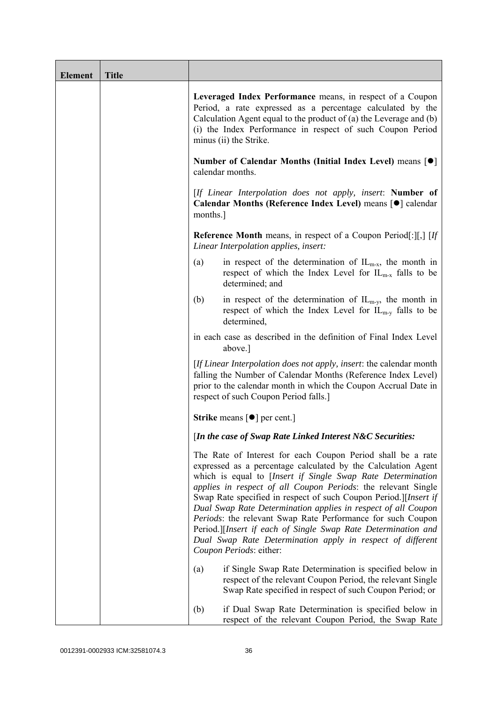| <b>Element</b> | <b>Title</b> |                                                                                                                                                                                                                                                                                                                                                                                                                                                                                                                                                                                                                            |
|----------------|--------------|----------------------------------------------------------------------------------------------------------------------------------------------------------------------------------------------------------------------------------------------------------------------------------------------------------------------------------------------------------------------------------------------------------------------------------------------------------------------------------------------------------------------------------------------------------------------------------------------------------------------------|
|                |              | Leveraged Index Performance means, in respect of a Coupon<br>Period, a rate expressed as a percentage calculated by the<br>Calculation Agent equal to the product of $(a)$ the Leverage and $(b)$<br>(i) the Index Performance in respect of such Coupon Period<br>minus (ii) the Strike.                                                                                                                                                                                                                                                                                                                                  |
|                |              | Number of Calendar Months (Initial Index Level) means [●]<br>calendar months.                                                                                                                                                                                                                                                                                                                                                                                                                                                                                                                                              |
|                |              | [If Linear Interpolation does not apply, insert: Number of<br>Calendar Months (Reference Index Level) means [ $\bullet$ ] calendar<br>months.                                                                                                                                                                                                                                                                                                                                                                                                                                                                              |
|                |              | <b>Reference Month</b> means, in respect of a Coupon Period[:][,] $[If]$<br>Linear Interpolation applies, insert:                                                                                                                                                                                                                                                                                                                                                                                                                                                                                                          |
|                |              | in respect of the determination of $IL_{m-x}$ , the month in<br>(a)<br>respect of which the Index Level for $IL_{m-x}$ falls to be<br>determined; and                                                                                                                                                                                                                                                                                                                                                                                                                                                                      |
|                |              | in respect of the determination of $IL_{m-y}$ , the month in<br>(b)<br>respect of which the Index Level for $IL_{m-v}$ falls to be<br>determined,                                                                                                                                                                                                                                                                                                                                                                                                                                                                          |
|                |              | in each case as described in the definition of Final Index Level<br>above.]                                                                                                                                                                                                                                                                                                                                                                                                                                                                                                                                                |
|                |              | [If Linear Interpolation does not apply, insert: the calendar month<br>falling the Number of Calendar Months (Reference Index Level)<br>prior to the calendar month in which the Coupon Accrual Date in<br>respect of such Coupon Period falls.]                                                                                                                                                                                                                                                                                                                                                                           |
|                |              | <b>Strike</b> means $\lceil \bullet \rceil$ per cent.]                                                                                                                                                                                                                                                                                                                                                                                                                                                                                                                                                                     |
|                |              | [In the case of Swap Rate Linked Interest N&C Securities:                                                                                                                                                                                                                                                                                                                                                                                                                                                                                                                                                                  |
|                |              | The Rate of Interest for each Coupon Period shall be a rate<br>expressed as a percentage calculated by the Calculation Agent<br>which is equal to [Insert if Single Swap Rate Determination<br>applies in respect of all Coupon Periods: the relevant Single<br>Swap Rate specified in respect of such Coupon Period.][Insert if<br>Dual Swap Rate Determination applies in respect of all Coupon<br>Periods: the relevant Swap Rate Performance for such Coupon<br>Period.][Insert if each of Single Swap Rate Determination and<br>Dual Swap Rate Determination apply in respect of different<br>Coupon Periods: either: |
|                |              | if Single Swap Rate Determination is specified below in<br>(a)<br>respect of the relevant Coupon Period, the relevant Single<br>Swap Rate specified in respect of such Coupon Period; or                                                                                                                                                                                                                                                                                                                                                                                                                                   |
|                |              | if Dual Swap Rate Determination is specified below in<br>(b)<br>respect of the relevant Coupon Period, the Swap Rate                                                                                                                                                                                                                                                                                                                                                                                                                                                                                                       |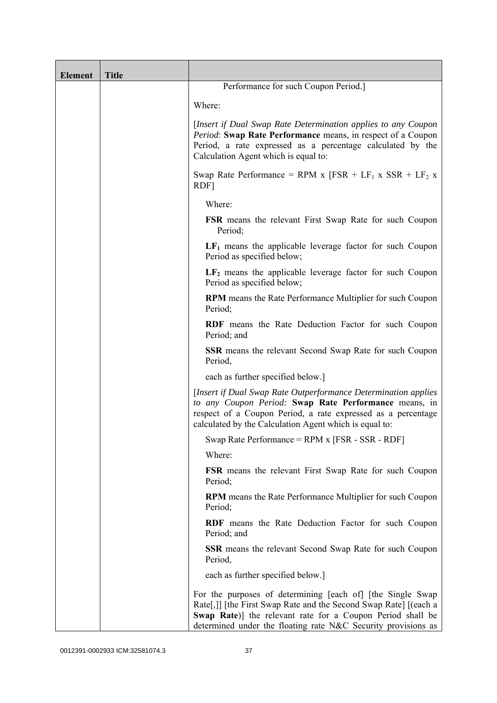| <b>Element</b> | <b>Title</b> |                                                                                                                                                                                                                                                               |
|----------------|--------------|---------------------------------------------------------------------------------------------------------------------------------------------------------------------------------------------------------------------------------------------------------------|
|                |              | Performance for such Coupon Period.]                                                                                                                                                                                                                          |
|                |              | Where:                                                                                                                                                                                                                                                        |
|                |              | [Insert if Dual Swap Rate Determination applies to any Coupon<br>Period: Swap Rate Performance means, in respect of a Coupon<br>Period, a rate expressed as a percentage calculated by the<br>Calculation Agent which is equal to:                            |
|                |              | Swap Rate Performance = RPM x $[FSR + LF_1 x SSR + LF_2 x]$<br>RDF]                                                                                                                                                                                           |
|                |              | Where:                                                                                                                                                                                                                                                        |
|                |              | <b>FSR</b> means the relevant First Swap Rate for such Coupon<br>Period;                                                                                                                                                                                      |
|                |              | $LF1$ means the applicable leverage factor for such Coupon<br>Period as specified below;                                                                                                                                                                      |
|                |              | $LF2$ means the applicable leverage factor for such Coupon<br>Period as specified below;                                                                                                                                                                      |
|                |              | <b>RPM</b> means the Rate Performance Multiplier for such Coupon<br>Period;                                                                                                                                                                                   |
|                |              | RDF means the Rate Deduction Factor for such Coupon<br>Period; and                                                                                                                                                                                            |
|                |              | <b>SSR</b> means the relevant Second Swap Rate for such Coupon<br>Period,                                                                                                                                                                                     |
|                |              | each as further specified below.]                                                                                                                                                                                                                             |
|                |              | [Insert if Dual Swap Rate Outperformance Determination applies]<br>to any Coupon Period: Swap Rate Performance means, in<br>respect of a Coupon Period, a rate expressed as a percentage<br>calculated by the Calculation Agent which is equal to:            |
|                |              | Swap Rate Performance = RPM x [FSR - SSR - RDF]                                                                                                                                                                                                               |
|                |              | Where:                                                                                                                                                                                                                                                        |
|                |              | <b>FSR</b> means the relevant First Swap Rate for such Coupon<br>Period;                                                                                                                                                                                      |
|                |              | RPM means the Rate Performance Multiplier for such Coupon<br>Period;                                                                                                                                                                                          |
|                |              | <b>RDF</b> means the Rate Deduction Factor for such Coupon<br>Period; and                                                                                                                                                                                     |
|                |              | <b>SSR</b> means the relevant Second Swap Rate for such Coupon<br>Period,                                                                                                                                                                                     |
|                |              | each as further specified below.]                                                                                                                                                                                                                             |
|                |              | For the purposes of determining [each of] [the Single Swap<br>Rate[,]] [the First Swap Rate and the Second Swap Rate] [(each a<br>Swap Rate)] the relevant rate for a Coupon Period shall be<br>determined under the floating rate N&C Security provisions as |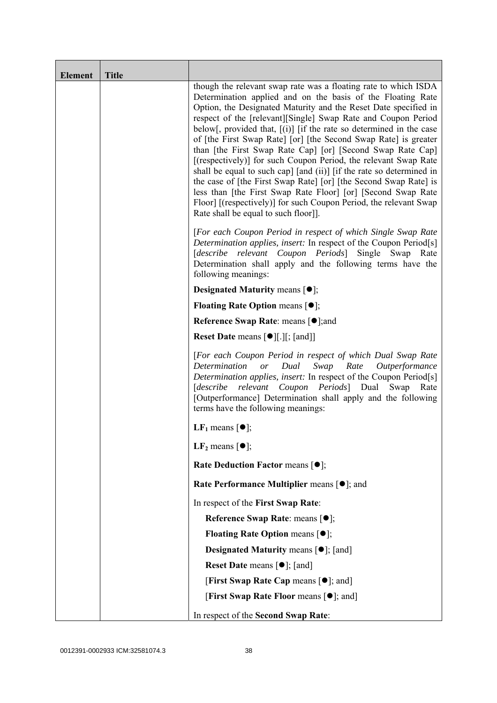| <b>Element</b> | <b>Title</b> |                                                                                                                                                                                                                                                                                                                                                                                                                                                                                                                                                                                                                                                                                                                                                                                                                                                                          |
|----------------|--------------|--------------------------------------------------------------------------------------------------------------------------------------------------------------------------------------------------------------------------------------------------------------------------------------------------------------------------------------------------------------------------------------------------------------------------------------------------------------------------------------------------------------------------------------------------------------------------------------------------------------------------------------------------------------------------------------------------------------------------------------------------------------------------------------------------------------------------------------------------------------------------|
|                |              | though the relevant swap rate was a floating rate to which ISDA<br>Determination applied and on the basis of the Floating Rate<br>Option, the Designated Maturity and the Reset Date specified in<br>respect of the [relevant][Single] Swap Rate and Coupon Period<br>below[, provided that, $[(i)]$ [if the rate so determined in the case<br>of [the First Swap Rate] [or] [the Second Swap Rate] is greater<br>than [the First Swap Rate Cap] [or] [Second Swap Rate Cap]<br>[(respectively)] for such Coupon Period, the relevant Swap Rate<br>shall be equal to such cap] [and (ii)] [if the rate so determined in<br>the case of [the First Swap Rate] [or] [the Second Swap Rate] is<br>less than [the First Swap Rate Floor] [or] [Second Swap Rate<br>Floor] [(respectively)] for such Coupon Period, the relevant Swap<br>Rate shall be equal to such floor]]. |
|                |              | [For each Coupon Period in respect of which Single Swap Rate<br>Determination applies, insert: In respect of the Coupon Period[s]<br>relevant<br>Coupon Periods Single<br>[describe<br>Swap<br>Rate<br>Determination shall apply and the following terms have the<br>following meanings:                                                                                                                                                                                                                                                                                                                                                                                                                                                                                                                                                                                 |
|                |              | <b>Designated Maturity means <math>\lceil \bullet \rceil</math>;</b>                                                                                                                                                                                                                                                                                                                                                                                                                                                                                                                                                                                                                                                                                                                                                                                                     |
|                |              | <b>Floating Rate Option means <math>[•]</math>;</b>                                                                                                                                                                                                                                                                                                                                                                                                                                                                                                                                                                                                                                                                                                                                                                                                                      |
|                |              | <b>Reference Swap Rate: means [●];and</b>                                                                                                                                                                                                                                                                                                                                                                                                                                                                                                                                                                                                                                                                                                                                                                                                                                |
|                |              | <b>Reset Date means <math>[\bullet]</math>[.][; [and]]</b>                                                                                                                                                                                                                                                                                                                                                                                                                                                                                                                                                                                                                                                                                                                                                                                                               |
|                |              | [For each Coupon Period in respect of which Dual Swap Rate<br>Determination or<br>Dual<br>Swap<br>Rate Outperformance<br>Determination applies, insert: In respect of the Coupon Period[s]<br>[describe relevant Coupon Periods] Dual Swap<br>Rate<br>[Outperformance] Determination shall apply and the following<br>terms have the following meanings:                                                                                                                                                                                                                                                                                                                                                                                                                                                                                                                 |
|                |              | LF <sub>1</sub> means $\lceil \bullet \rceil$ ;                                                                                                                                                                                                                                                                                                                                                                                                                                                                                                                                                                                                                                                                                                                                                                                                                          |
|                |              | LF <sub>2</sub> means $\lceil \bullet \rceil$ ;                                                                                                                                                                                                                                                                                                                                                                                                                                                                                                                                                                                                                                                                                                                                                                                                                          |
|                |              | Rate Deduction Factor means [ $\bullet$ ];                                                                                                                                                                                                                                                                                                                                                                                                                                                                                                                                                                                                                                                                                                                                                                                                                               |
|                |              | Rate Performance Multiplier means $[•]$ ; and                                                                                                                                                                                                                                                                                                                                                                                                                                                                                                                                                                                                                                                                                                                                                                                                                            |
|                |              | In respect of the First Swap Rate:                                                                                                                                                                                                                                                                                                                                                                                                                                                                                                                                                                                                                                                                                                                                                                                                                                       |
|                |              | Reference Swap Rate: means [ $\bullet$ ];                                                                                                                                                                                                                                                                                                                                                                                                                                                                                                                                                                                                                                                                                                                                                                                                                                |
|                |              | <b>Floating Rate Option means <math>[①]</math>;</b>                                                                                                                                                                                                                                                                                                                                                                                                                                                                                                                                                                                                                                                                                                                                                                                                                      |
|                |              | <b>Designated Maturity means <math>\lceil \bullet \rceil</math>; [and]</b>                                                                                                                                                                                                                                                                                                                                                                                                                                                                                                                                                                                                                                                                                                                                                                                               |
|                |              | <b>Reset Date means <math>[\bullet]</math>; [and]</b>                                                                                                                                                                                                                                                                                                                                                                                                                                                                                                                                                                                                                                                                                                                                                                                                                    |
|                |              | [First Swap Rate Cap means [ $\bullet$ ]; and]                                                                                                                                                                                                                                                                                                                                                                                                                                                                                                                                                                                                                                                                                                                                                                                                                           |
|                |              | [First Swap Rate Floor means [ <sup>o</sup> ]; and]                                                                                                                                                                                                                                                                                                                                                                                                                                                                                                                                                                                                                                                                                                                                                                                                                      |
|                |              | In respect of the Second Swap Rate:                                                                                                                                                                                                                                                                                                                                                                                                                                                                                                                                                                                                                                                                                                                                                                                                                                      |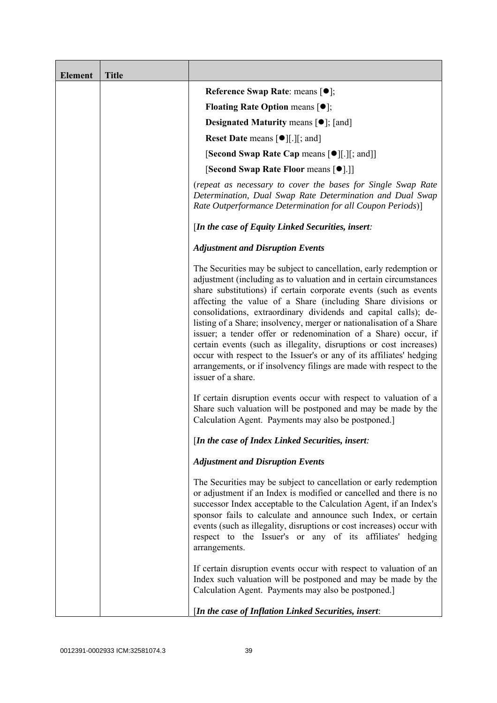| <b>Element</b> | <b>Title</b> |                                                                                                                                                                                                                                                                                                                                                                                                                                                                                                                                                                                                                                                                                                                                      |
|----------------|--------------|--------------------------------------------------------------------------------------------------------------------------------------------------------------------------------------------------------------------------------------------------------------------------------------------------------------------------------------------------------------------------------------------------------------------------------------------------------------------------------------------------------------------------------------------------------------------------------------------------------------------------------------------------------------------------------------------------------------------------------------|
|                |              | Reference Swap Rate: means [ $\bullet$ ];                                                                                                                                                                                                                                                                                                                                                                                                                                                                                                                                                                                                                                                                                            |
|                |              | <b>Floating Rate Option means <math>[①]</math>;</b>                                                                                                                                                                                                                                                                                                                                                                                                                                                                                                                                                                                                                                                                                  |
|                |              | <b>Designated Maturity means <math>[\bullet]</math>; [and]</b>                                                                                                                                                                                                                                                                                                                                                                                                                                                                                                                                                                                                                                                                       |
|                |              | <b>Reset Date means <math>[\bullet]</math>[.][; and]</b>                                                                                                                                                                                                                                                                                                                                                                                                                                                                                                                                                                                                                                                                             |
|                |              | <b>[Second Swap Rate Cap means [<math>\bullet</math></b> ][.][; and]]                                                                                                                                                                                                                                                                                                                                                                                                                                                                                                                                                                                                                                                                |
|                |              | [Second Swap Rate Floor means [ $\bullet$ ].]]                                                                                                                                                                                                                                                                                                                                                                                                                                                                                                                                                                                                                                                                                       |
|                |              | (repeat as necessary to cover the bases for Single Swap Rate<br>Determination, Dual Swap Rate Determination and Dual Swap<br>Rate Outperformance Determination for all Coupon Periods)]                                                                                                                                                                                                                                                                                                                                                                                                                                                                                                                                              |
|                |              | [In the case of Equity Linked Securities, insert:                                                                                                                                                                                                                                                                                                                                                                                                                                                                                                                                                                                                                                                                                    |
|                |              | <b>Adjustment and Disruption Events</b>                                                                                                                                                                                                                                                                                                                                                                                                                                                                                                                                                                                                                                                                                              |
|                |              | The Securities may be subject to cancellation, early redemption or<br>adjustment (including as to valuation and in certain circumstances<br>share substitutions) if certain corporate events (such as events<br>affecting the value of a Share (including Share divisions or<br>consolidations, extraordinary dividends and capital calls); de-<br>listing of a Share; insolvency, merger or nationalisation of a Share<br>issuer; a tender offer or redenomination of a Share) occur, if<br>certain events (such as illegality, disruptions or cost increases)<br>occur with respect to the Issuer's or any of its affiliates' hedging<br>arrangements, or if insolvency filings are made with respect to the<br>issuer of a share. |
|                |              | If certain disruption events occur with respect to valuation of a<br>Share such valuation will be postponed and may be made by the<br>Calculation Agent. Payments may also be postponed.]                                                                                                                                                                                                                                                                                                                                                                                                                                                                                                                                            |
|                |              | [In the case of Index Linked Securities, insert:                                                                                                                                                                                                                                                                                                                                                                                                                                                                                                                                                                                                                                                                                     |
|                |              | <b>Adjustment and Disruption Events</b>                                                                                                                                                                                                                                                                                                                                                                                                                                                                                                                                                                                                                                                                                              |
|                |              | The Securities may be subject to cancellation or early redemption<br>or adjustment if an Index is modified or cancelled and there is no<br>successor Index acceptable to the Calculation Agent, if an Index's<br>sponsor fails to calculate and announce such Index, or certain<br>events (such as illegality, disruptions or cost increases) occur with<br>respect to the Issuer's or any of its affiliates' hedging<br>arrangements.                                                                                                                                                                                                                                                                                               |
|                |              | If certain disruption events occur with respect to valuation of an<br>Index such valuation will be postponed and may be made by the<br>Calculation Agent. Payments may also be postponed.]                                                                                                                                                                                                                                                                                                                                                                                                                                                                                                                                           |
|                |              | [In the case of Inflation Linked Securities, insert:                                                                                                                                                                                                                                                                                                                                                                                                                                                                                                                                                                                                                                                                                 |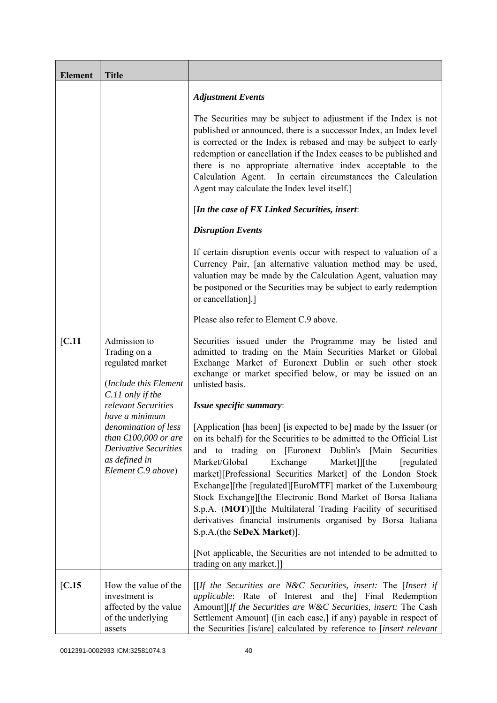| <b>Element</b> | <b>Title</b>                                                                                                                                               |                                                                                                                                                                                                                                                                                                                                                                                                                                                                                                                                                                                                                                              |
|----------------|------------------------------------------------------------------------------------------------------------------------------------------------------------|----------------------------------------------------------------------------------------------------------------------------------------------------------------------------------------------------------------------------------------------------------------------------------------------------------------------------------------------------------------------------------------------------------------------------------------------------------------------------------------------------------------------------------------------------------------------------------------------------------------------------------------------|
|                |                                                                                                                                                            | <b>Adjustment Events</b>                                                                                                                                                                                                                                                                                                                                                                                                                                                                                                                                                                                                                     |
|                |                                                                                                                                                            | The Securities may be subject to adjustment if the Index is not<br>published or announced, there is a successor Index, an Index level<br>is corrected or the Index is rebased and may be subject to early<br>redemption or cancellation if the Index ceases to be published and<br>there is no appropriate alternative index acceptable to the<br>Calculation Agent. In certain circumstances the Calculation<br>Agent may calculate the Index level itself.]                                                                                                                                                                                |
|                |                                                                                                                                                            | [In the case of FX Linked Securities, insert:                                                                                                                                                                                                                                                                                                                                                                                                                                                                                                                                                                                                |
|                |                                                                                                                                                            | <b>Disruption Events</b>                                                                                                                                                                                                                                                                                                                                                                                                                                                                                                                                                                                                                     |
|                |                                                                                                                                                            | If certain disruption events occur with respect to valuation of a<br>Currency Pair, [an alternative valuation method may be used,<br>valuation may be made by the Calculation Agent, valuation may<br>be postponed or the Securities may be subject to early redemption<br>or cancellation].]                                                                                                                                                                                                                                                                                                                                                |
|                |                                                                                                                                                            | Please also refer to Element C.9 above.                                                                                                                                                                                                                                                                                                                                                                                                                                                                                                                                                                                                      |
| [C.11]         | Admission to<br>Trading on a<br>regulated market<br>(Include this Element                                                                                  | Securities issued under the Programme may be listed and<br>admitted to trading on the Main Securities Market or Global<br>Exchange Market of Euronext Dublin or such other stock<br>exchange or market specified below, or may be issued on an<br>unlisted basis.                                                                                                                                                                                                                                                                                                                                                                            |
|                | C.11 only if the<br>relevant Securities                                                                                                                    | Issue specific summary:                                                                                                                                                                                                                                                                                                                                                                                                                                                                                                                                                                                                                      |
|                | have a minimum<br>denomination of less<br>than $\text{\textsterling}100,000$ or are<br><b>Derivative Securities</b><br>as defined in<br>Element C.9 above) | [Application [has been] [is expected to be] made by the Issuer (or<br>on its behalf) for the Securities to be admitted to the Official List<br>on [Euronext Dublin's [Main]<br>to<br>trading<br>Securities<br>and<br>Market/Global<br>Exchange<br>Market]][the<br>[regulated]<br>market][Professional Securities Market] of the London Stock<br>Exchange][the [regulated][EuroMTF] market of the Luxembourg<br>Stock Exchange][the Electronic Bond Market of Borsa Italiana<br>S.p.A. (MOT)][the Multilateral Trading Facility of securitised<br>derivatives financial instruments organised by Borsa Italiana<br>S.p.A.(the SeDeX Market)]. |
|                |                                                                                                                                                            | [Not applicable, the Securities are not intended to be admitted to<br>trading on any market.]                                                                                                                                                                                                                                                                                                                                                                                                                                                                                                                                                |
| [C.15]         | How the value of the<br>investment is<br>affected by the value<br>of the underlying<br>assets                                                              | [[If the Securities are N&C Securities, insert: The [Insert if<br>applicable: Rate of Interest and the] Final Redemption<br>Amount][If the Securities are W&C Securities, insert: The Cash<br>Settlement Amount] ([in each case,] if any) payable in respect of<br>the Securities [is/are] calculated by reference to [insert relevant                                                                                                                                                                                                                                                                                                       |

0012391-0002933 ICM:32581074.3 40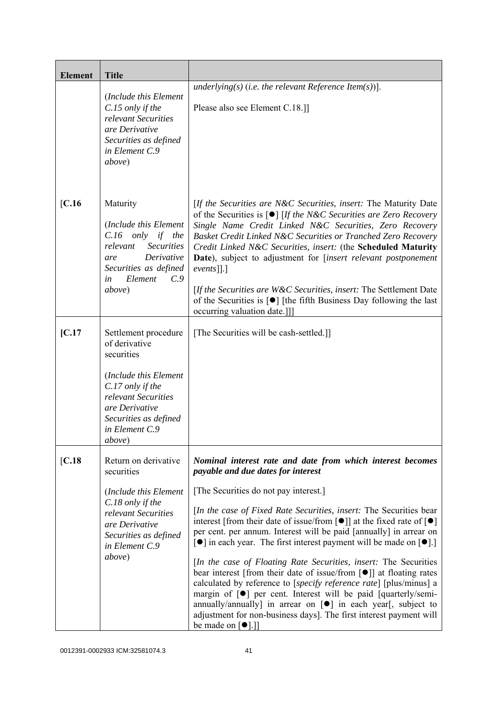| <b>Element</b> | <b>Title</b>                                                                                                                                                                                   |                                                                                                                                                                                                                                                                                                                                                                                                                                                                                                                                                                                                                                                                                                                                                                                                                                                                                                                                                                                                                                     |
|----------------|------------------------------------------------------------------------------------------------------------------------------------------------------------------------------------------------|-------------------------------------------------------------------------------------------------------------------------------------------------------------------------------------------------------------------------------------------------------------------------------------------------------------------------------------------------------------------------------------------------------------------------------------------------------------------------------------------------------------------------------------------------------------------------------------------------------------------------------------------------------------------------------------------------------------------------------------------------------------------------------------------------------------------------------------------------------------------------------------------------------------------------------------------------------------------------------------------------------------------------------------|
|                | (Include this Element<br>C.15 only if the<br>relevant Securities<br>are Derivative<br>Securities as defined<br>in Element C.9<br>above)                                                        | underlying(s) (i.e. the relevant Reference Item(s))].<br>Please also see Element C.18.]                                                                                                                                                                                                                                                                                                                                                                                                                                                                                                                                                                                                                                                                                                                                                                                                                                                                                                                                             |
| $[C.16$        | Maturity<br>(Include this Element<br>$C.16$ only if the<br>relevant<br><b>Securities</b><br>Derivative<br>are<br>Securities as defined<br>Element<br>C.9<br>in<br>above)                       | [If the Securities are N&C Securities, insert: The Maturity Date<br>of the Securities is $\lceil \bullet \rceil$ [If the N&C Securities are Zero Recovery<br>Single Name Credit Linked N&C Securities, Zero Recovery<br>Basket Credit Linked N&C Securities or Tranched Zero Recovery<br>Credit Linked N&C Securities, insert: (the Scheduled Maturity<br>Date), subject to adjustment for [insert relevant postponement<br>$events$ [].]<br>[If the Securities are W&C Securities, insert: The Settlement Date<br>of the Securities is $\lceil \bullet \rceil$ [the fifth Business Day following the last<br>occurring valuation date.]]                                                                                                                                                                                                                                                                                                                                                                                           |
| IC.17          | Settlement procedure<br>of derivative<br>securities<br>(Include this Element<br>C.17 only if the<br>relevant Securities<br>are Derivative<br>Securities as defined<br>in Element C.9<br>above) | [The Securities will be cash-settled.]]                                                                                                                                                                                                                                                                                                                                                                                                                                                                                                                                                                                                                                                                                                                                                                                                                                                                                                                                                                                             |
| [C.18]         | Return on derivative<br>securities<br>(Include this Element<br>C.18 only if the<br>relevant Securities<br>are Derivative<br>Securities as defined<br>in Element C.9<br>above)                  | Nominal interest rate and date from which interest becomes<br>payable and due dates for interest<br>[The Securities do not pay interest.]<br>[In the case of Fixed Rate Securities, insert: The Securities bear<br>interest [from their date of issue/from $\lceil \bullet \rceil$ ] at the fixed rate of $\lceil \bullet \rceil$<br>per cent. per annum. Interest will be paid [annually] in arrear on<br>$\lceil \bullet \rceil$ in each year. The first interest payment will be made on $\lceil \bullet \rceil$ .<br><i>In the case of Floating Rate Securities, insert:</i> The Securities<br>bear interest [from their date of issue/from $\lceil \bullet \rceil$ ] at floating rates<br>calculated by reference to [specify reference rate] [plus/minus] a<br>margin of $[\bullet]$ per cent. Interest will be paid [quarterly/semi-<br>annually/annually] in arrear on $[\bullet]$ in each year[, subject to<br>adjustment for non-business days]. The first interest payment will<br>be made on $\lceil \bullet \rceil$ .] |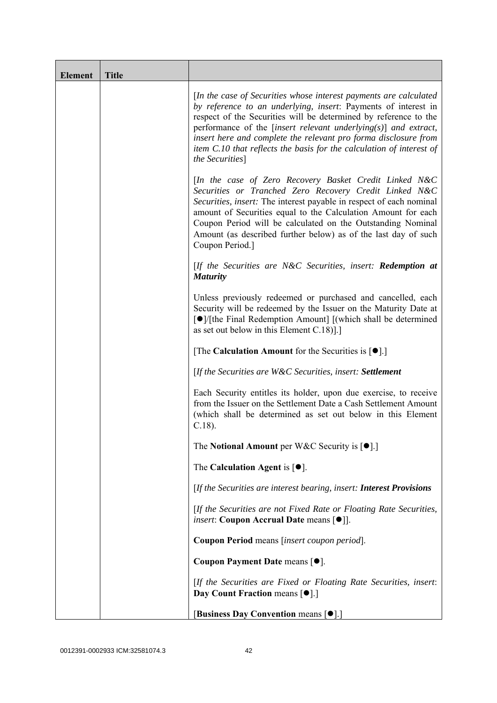| <b>Element</b> | <b>Title</b> |                                                                                                                                                                                                                                                                                                                                                                                                                                              |
|----------------|--------------|----------------------------------------------------------------------------------------------------------------------------------------------------------------------------------------------------------------------------------------------------------------------------------------------------------------------------------------------------------------------------------------------------------------------------------------------|
|                |              | [In the case of Securities whose interest payments are calculated<br>by reference to an underlying, insert: Payments of interest in<br>respect of the Securities will be determined by reference to the<br>performance of the [insert relevant underlying $(s)$ ] and extract,<br>insert here and complete the relevant pro forma disclosure from<br>item C.10 that reflects the basis for the calculation of interest of<br>the Securities] |
|                |              | [In the case of Zero Recovery Basket Credit Linked N&C<br>Securities or Tranched Zero Recovery Credit Linked N&C<br>Securities, insert: The interest payable in respect of each nominal<br>amount of Securities equal to the Calculation Amount for each<br>Coupon Period will be calculated on the Outstanding Nominal<br>Amount (as described further below) as of the last day of such<br>Coupon Period.]                                 |
|                |              | $[$ If the Securities are N&C Securities, insert: <b>Redemption at</b><br><b>Maturity</b>                                                                                                                                                                                                                                                                                                                                                    |
|                |              | Unless previously redeemed or purchased and cancelled, each<br>Security will be redeemed by the Issuer on the Maturity Date at<br>[●]/[the Final Redemption Amount] [(which shall be determined<br>as set out below in this Element $C.18$ ].]                                                                                                                                                                                               |
|                |              | [The Calculation Amount for the Securities is $[•]$ .]                                                                                                                                                                                                                                                                                                                                                                                       |
|                |              | [If the Securities are W&C Securities, insert: Settlement                                                                                                                                                                                                                                                                                                                                                                                    |
|                |              | Each Security entitles its holder, upon due exercise, to receive<br>from the Issuer on the Settlement Date a Cash Settlement Amount<br>(which shall be determined as set out below in this Element<br>$C.18$ ).                                                                                                                                                                                                                              |
|                |              | The Notional Amount per W&C Security is $[•]$ .                                                                                                                                                                                                                                                                                                                                                                                              |
|                |              | The Calculation Agent is $[•]$ .                                                                                                                                                                                                                                                                                                                                                                                                             |
|                |              | [If the Securities are interest bearing, insert: Interest Provisions                                                                                                                                                                                                                                                                                                                                                                         |
|                |              | [If the Securities are not Fixed Rate or Floating Rate Securities,<br><i>insert</i> : Coupon Accrual Date means [ $\bullet$ ].                                                                                                                                                                                                                                                                                                               |
|                |              | Coupon Period means [insert coupon period].                                                                                                                                                                                                                                                                                                                                                                                                  |
|                |              | Coupon Payment Date means [ $\bullet$ ].                                                                                                                                                                                                                                                                                                                                                                                                     |
|                |              | [If the Securities are Fixed or Floating Rate Securities, insert:<br>Day Count Fraction means [ $\bullet$ ].]                                                                                                                                                                                                                                                                                                                                |
|                |              | [Business Day Convention means [ $\bullet$ ].]                                                                                                                                                                                                                                                                                                                                                                                               |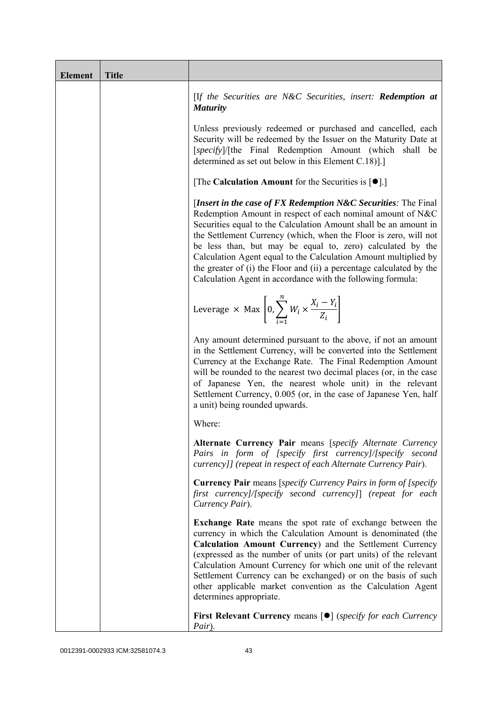| <b>Element</b> | <b>Title</b> |                                                                                                                                                                                                                                                                                                                                                                                                                                                                                                                                                 |
|----------------|--------------|-------------------------------------------------------------------------------------------------------------------------------------------------------------------------------------------------------------------------------------------------------------------------------------------------------------------------------------------------------------------------------------------------------------------------------------------------------------------------------------------------------------------------------------------------|
|                |              | [If the Securities are N&C Securities, insert: Redemption at<br><b>Maturity</b>                                                                                                                                                                                                                                                                                                                                                                                                                                                                 |
|                |              | Unless previously redeemed or purchased and cancelled, each<br>Security will be redeemed by the Issuer on the Maturity Date at<br>[specify]/[the Final Redemption Amount (which shall be<br>determined as set out below in this Element C.18).]                                                                                                                                                                                                                                                                                                 |
|                |              | [The Calculation Amount for the Securities is $[•]$ .]                                                                                                                                                                                                                                                                                                                                                                                                                                                                                          |
|                |              | [Insert in the case of FX Redemption $N\&C$ Securities: The Final<br>Redemption Amount in respect of each nominal amount of N&C<br>Securities equal to the Calculation Amount shall be an amount in<br>the Settlement Currency (which, when the Floor is zero, will not<br>be less than, but may be equal to, zero) calculated by the<br>Calculation Agent equal to the Calculation Amount multiplied by<br>the greater of (i) the Floor and (ii) a percentage calculated by the<br>Calculation Agent in accordance with the following formula: |
|                |              | Leverage $\times$ Max $\left[0, \sum_{i=1}^{n} W_i \times \frac{X_i - Y_i}{Z_i}\right]$                                                                                                                                                                                                                                                                                                                                                                                                                                                         |
|                |              | Any amount determined pursuant to the above, if not an amount<br>in the Settlement Currency, will be converted into the Settlement<br>Currency at the Exchange Rate. The Final Redemption Amount<br>will be rounded to the nearest two decimal places (or, in the case<br>of Japanese Yen, the nearest whole unit) in the relevant<br>Settlement Currency, 0.005 (or, in the case of Japanese Yen, half<br>a unit) being rounded upwards.                                                                                                       |
|                |              | Where:                                                                                                                                                                                                                                                                                                                                                                                                                                                                                                                                          |
|                |              | Alternate Currency Pair means [specify Alternate Currency<br>Pairs in form of [specify first currency]/[specify second<br>currency]] (repeat in respect of each Alternate Currency Pair).                                                                                                                                                                                                                                                                                                                                                       |
|                |              | <b>Currency Pair</b> means [specify Currency Pairs in form of [specify<br>first currency]/[specify second currency]] (repeat for each<br>Currency Pair).                                                                                                                                                                                                                                                                                                                                                                                        |
|                |              | <b>Exchange Rate</b> means the spot rate of exchange between the<br>currency in which the Calculation Amount is denominated (the<br>Calculation Amount Currency) and the Settlement Currency<br>(expressed as the number of units (or part units) of the relevant<br>Calculation Amount Currency for which one unit of the relevant<br>Settlement Currency can be exchanged) or on the basis of such<br>other applicable market convention as the Calculation Agent<br>determines appropriate.                                                  |
|                |              | <b>First Relevant Currency means <math>\lceil \bullet \rceil</math> (specify for each Currency</b><br>Pair).                                                                                                                                                                                                                                                                                                                                                                                                                                    |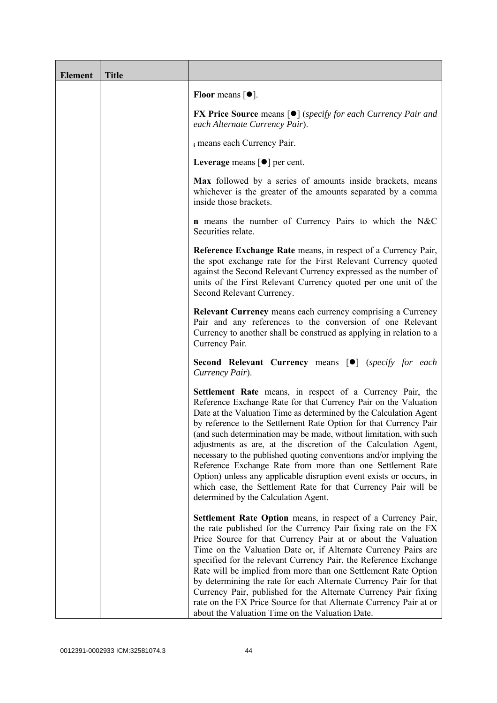| <b>Element</b> | <b>Title</b> |                                                                                                                                                                                                                                                                                                                                                                                                                                                                                                                                                                                                                                                                                                                                      |
|----------------|--------------|--------------------------------------------------------------------------------------------------------------------------------------------------------------------------------------------------------------------------------------------------------------------------------------------------------------------------------------------------------------------------------------------------------------------------------------------------------------------------------------------------------------------------------------------------------------------------------------------------------------------------------------------------------------------------------------------------------------------------------------|
|                |              | Floor means $\lceil \bullet \rceil$ .                                                                                                                                                                                                                                                                                                                                                                                                                                                                                                                                                                                                                                                                                                |
|                |              | <b>FX Price Source</b> means $[\bullet]$ (specify for each Currency Pair and<br>each Alternate Currency Pair).                                                                                                                                                                                                                                                                                                                                                                                                                                                                                                                                                                                                                       |
|                |              | i means each Currency Pair.                                                                                                                                                                                                                                                                                                                                                                                                                                                                                                                                                                                                                                                                                                          |
|                |              | Leverage means $\lceil \bullet \rceil$ per cent.                                                                                                                                                                                                                                                                                                                                                                                                                                                                                                                                                                                                                                                                                     |
|                |              | Max followed by a series of amounts inside brackets, means<br>whichever is the greater of the amounts separated by a comma<br>inside those brackets.                                                                                                                                                                                                                                                                                                                                                                                                                                                                                                                                                                                 |
|                |              | <b>n</b> means the number of Currency Pairs to which the N&C<br>Securities relate.                                                                                                                                                                                                                                                                                                                                                                                                                                                                                                                                                                                                                                                   |
|                |              | Reference Exchange Rate means, in respect of a Currency Pair,<br>the spot exchange rate for the First Relevant Currency quoted<br>against the Second Relevant Currency expressed as the number of<br>units of the First Relevant Currency quoted per one unit of the<br>Second Relevant Currency.                                                                                                                                                                                                                                                                                                                                                                                                                                    |
|                |              | <b>Relevant Currency</b> means each currency comprising a Currency<br>Pair and any references to the conversion of one Relevant<br>Currency to another shall be construed as applying in relation to a<br>Currency Pair.                                                                                                                                                                                                                                                                                                                                                                                                                                                                                                             |
|                |              | <b>Second Relevant Currency means [O]</b> (specify for each<br>Currency Pair).                                                                                                                                                                                                                                                                                                                                                                                                                                                                                                                                                                                                                                                       |
|                |              | Settlement Rate means, in respect of a Currency Pair, the<br>Reference Exchange Rate for that Currency Pair on the Valuation<br>Date at the Valuation Time as determined by the Calculation Agent<br>by reference to the Settlement Rate Option for that Currency Pair<br>(and such determination may be made, without limitation, with such<br>adjustments as are, at the discretion of the Calculation Agent,<br>necessary to the published quoting conventions and/or implying the<br>Reference Exchange Rate from more than one Settlement Rate<br>Option) unless any applicable disruption event exists or occurs, in<br>which case, the Settlement Rate for that Currency Pair will be<br>determined by the Calculation Agent. |
|                |              | <b>Settlement Rate Option</b> means, in respect of a Currency Pair,<br>the rate published for the Currency Pair fixing rate on the FX<br>Price Source for that Currency Pair at or about the Valuation<br>Time on the Valuation Date or, if Alternate Currency Pairs are<br>specified for the relevant Currency Pair, the Reference Exchange<br>Rate will be implied from more than one Settlement Rate Option<br>by determining the rate for each Alternate Currency Pair for that<br>Currency Pair, published for the Alternate Currency Pair fixing<br>rate on the FX Price Source for that Alternate Currency Pair at or<br>about the Valuation Time on the Valuation Date.                                                      |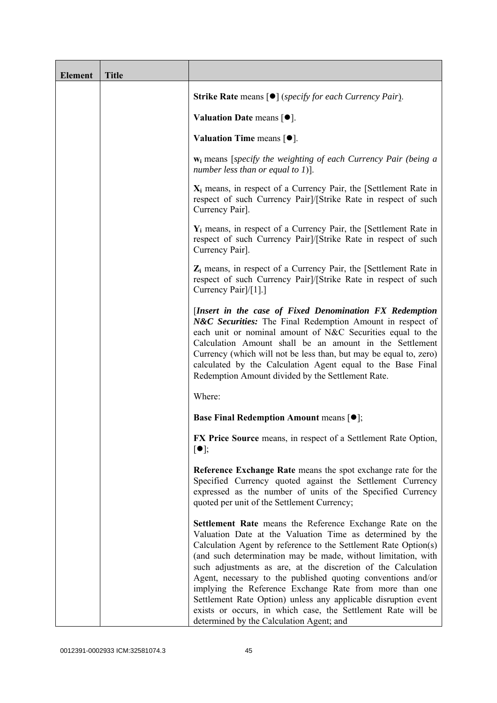| <b>Element</b> | <b>Title</b> |                                                                                                                                                                                                                                                                                                                                                                                                                                                                                                                                                                                                                                     |
|----------------|--------------|-------------------------------------------------------------------------------------------------------------------------------------------------------------------------------------------------------------------------------------------------------------------------------------------------------------------------------------------------------------------------------------------------------------------------------------------------------------------------------------------------------------------------------------------------------------------------------------------------------------------------------------|
|                |              | <b>Strike Rate</b> means $\lceil \bullet \rceil$ ( <i>specify for each Currency Pair</i> ).                                                                                                                                                                                                                                                                                                                                                                                                                                                                                                                                         |
|                |              | Valuation Date means $[•]$ .                                                                                                                                                                                                                                                                                                                                                                                                                                                                                                                                                                                                        |
|                |              | Valuation Time means $[\bullet].$                                                                                                                                                                                                                                                                                                                                                                                                                                                                                                                                                                                                   |
|                |              | $w_i$ means [specify the weighting of each Currency Pair (being a<br>number less than or equal to 1)].                                                                                                                                                                                                                                                                                                                                                                                                                                                                                                                              |
|                |              | $X_i$ means, in respect of a Currency Pair, the [Settlement Rate in<br>respect of such Currency Pair]/[Strike Rate in respect of such<br>Currency Pair].                                                                                                                                                                                                                                                                                                                                                                                                                                                                            |
|                |              | $Y_i$ means, in respect of a Currency Pair, the [Settlement Rate in<br>respect of such Currency Pair]/[Strike Rate in respect of such<br>Currency Pair].                                                                                                                                                                                                                                                                                                                                                                                                                                                                            |
|                |              | $Z_i$ means, in respect of a Currency Pair, the [Settlement Rate in<br>respect of such Currency Pair]/[Strike Rate in respect of such<br>Currency Pair]/[1].]                                                                                                                                                                                                                                                                                                                                                                                                                                                                       |
|                |              | [Insert in the case of Fixed Denomination FX Redemption<br>N&C Securities: The Final Redemption Amount in respect of<br>each unit or nominal amount of N&C Securities equal to the<br>Calculation Amount shall be an amount in the Settlement<br>Currency (which will not be less than, but may be equal to, zero)<br>calculated by the Calculation Agent equal to the Base Final<br>Redemption Amount divided by the Settlement Rate.                                                                                                                                                                                              |
|                |              | Where:                                                                                                                                                                                                                                                                                                                                                                                                                                                                                                                                                                                                                              |
|                |              | <b>Base Final Redemption Amount means <math>[•]</math>;</b>                                                                                                                                                                                                                                                                                                                                                                                                                                                                                                                                                                         |
|                |              | FX Price Source means, in respect of a Settlement Rate Option,<br>$\lceil \bullet \rceil;$                                                                                                                                                                                                                                                                                                                                                                                                                                                                                                                                          |
|                |              | Reference Exchange Rate means the spot exchange rate for the<br>Specified Currency quoted against the Settlement Currency<br>expressed as the number of units of the Specified Currency<br>quoted per unit of the Settlement Currency;                                                                                                                                                                                                                                                                                                                                                                                              |
|                |              | Settlement Rate means the Reference Exchange Rate on the<br>Valuation Date at the Valuation Time as determined by the<br>Calculation Agent by reference to the Settlement Rate Option(s)<br>(and such determination may be made, without limitation, with<br>such adjustments as are, at the discretion of the Calculation<br>Agent, necessary to the published quoting conventions and/or<br>implying the Reference Exchange Rate from more than one<br>Settlement Rate Option) unless any applicable disruption event<br>exists or occurs, in which case, the Settlement Rate will be<br>determined by the Calculation Agent; and |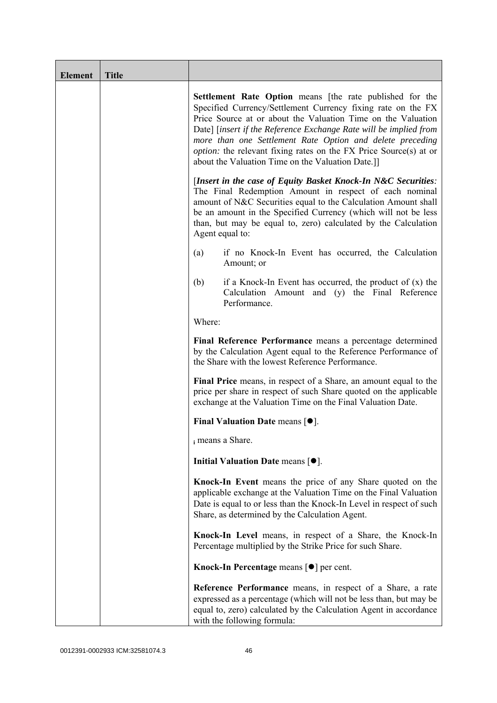| <b>Element</b> | <b>Title</b> |                                                                                                                                                                                                                                                                                                                                                                                                                                                                    |
|----------------|--------------|--------------------------------------------------------------------------------------------------------------------------------------------------------------------------------------------------------------------------------------------------------------------------------------------------------------------------------------------------------------------------------------------------------------------------------------------------------------------|
|                |              | <b>Settlement Rate Option</b> means [the rate published for the<br>Specified Currency/Settlement Currency fixing rate on the FX<br>Price Source at or about the Valuation Time on the Valuation<br>Date] [insert if the Reference Exchange Rate will be implied from<br>more than one Settlement Rate Option and delete preceding<br><i>option:</i> the relevant fixing rates on the FX Price Source(s) at or<br>about the Valuation Time on the Valuation Date.]] |
|                |              | [Insert in the case of Equity Basket Knock-In N&C Securities:<br>The Final Redemption Amount in respect of each nominal<br>amount of N&C Securities equal to the Calculation Amount shall<br>be an amount in the Specified Currency (which will not be less<br>than, but may be equal to, zero) calculated by the Calculation<br>Agent equal to:                                                                                                                   |
|                |              | if no Knock-In Event has occurred, the Calculation<br>(a)<br>Amount; or                                                                                                                                                                                                                                                                                                                                                                                            |
|                |              | (b)<br>if a Knock-In Event has occurred, the product of $(x)$ the<br>Calculation Amount and (y) the Final Reference<br>Performance.                                                                                                                                                                                                                                                                                                                                |
|                |              | Where:                                                                                                                                                                                                                                                                                                                                                                                                                                                             |
|                |              | Final Reference Performance means a percentage determined<br>by the Calculation Agent equal to the Reference Performance of<br>the Share with the lowest Reference Performance.                                                                                                                                                                                                                                                                                    |
|                |              | Final Price means, in respect of a Share, an amount equal to the<br>price per share in respect of such Share quoted on the applicable<br>exchange at the Valuation Time on the Final Valuation Date.                                                                                                                                                                                                                                                               |
|                |              | Final Valuation Date means $[•]$ .                                                                                                                                                                                                                                                                                                                                                                                                                                 |
|                |              | i means a Share.                                                                                                                                                                                                                                                                                                                                                                                                                                                   |
|                |              | Initial Valuation Date means $[•]$ .                                                                                                                                                                                                                                                                                                                                                                                                                               |
|                |              | Knock-In Event means the price of any Share quoted on the<br>applicable exchange at the Valuation Time on the Final Valuation<br>Date is equal to or less than the Knock-In Level in respect of such<br>Share, as determined by the Calculation Agent.                                                                                                                                                                                                             |
|                |              | Knock-In Level means, in respect of a Share, the Knock-In<br>Percentage multiplied by the Strike Price for such Share.                                                                                                                                                                                                                                                                                                                                             |
|                |              | Knock-In Percentage means $\lceil \bullet \rceil$ per cent.                                                                                                                                                                                                                                                                                                                                                                                                        |
|                |              | <b>Reference Performance</b> means, in respect of a Share, a rate<br>expressed as a percentage (which will not be less than, but may be<br>equal to, zero) calculated by the Calculation Agent in accordance<br>with the following formula:                                                                                                                                                                                                                        |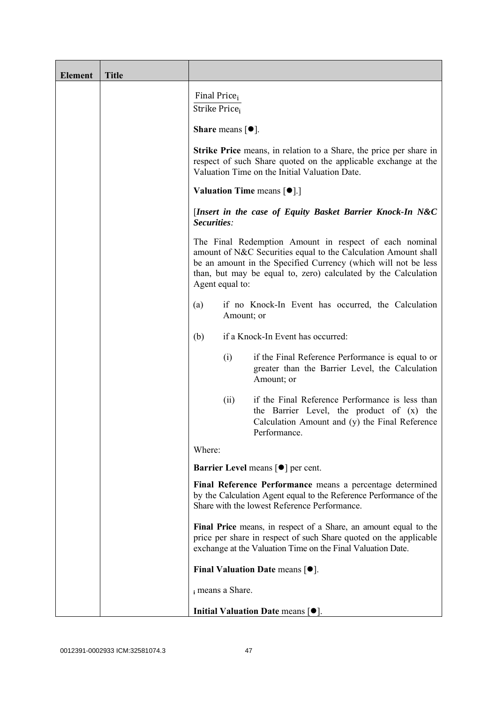| <b>Element</b> | <b>Title</b> |                                                                                                                                                                                                                                                                                 |
|----------------|--------------|---------------------------------------------------------------------------------------------------------------------------------------------------------------------------------------------------------------------------------------------------------------------------------|
|                |              | Final Price <sub>i</sub><br>Strike Price <sub>i</sub>                                                                                                                                                                                                                           |
|                |              | <b>Share</b> means $\lceil \bullet \rceil$ .                                                                                                                                                                                                                                    |
|                |              | <b>Strike Price</b> means, in relation to a Share, the price per share in<br>respect of such Share quoted on the applicable exchange at the<br>Valuation Time on the Initial Valuation Date.                                                                                    |
|                |              | <b>Valuation Time means <math>[\bullet]</math>.</b> ]                                                                                                                                                                                                                           |
|                |              | [Insert in the case of Equity Basket Barrier Knock-In N&C<br>Securities:                                                                                                                                                                                                        |
|                |              | The Final Redemption Amount in respect of each nominal<br>amount of N&C Securities equal to the Calculation Amount shall<br>be an amount in the Specified Currency (which will not be less<br>than, but may be equal to, zero) calculated by the Calculation<br>Agent equal to: |
|                |              | if no Knock-In Event has occurred, the Calculation<br>(a)<br>Amount; or                                                                                                                                                                                                         |
|                |              | if a Knock-In Event has occurred:<br>(b)                                                                                                                                                                                                                                        |
|                |              | if the Final Reference Performance is equal to or<br>(i)<br>greater than the Barrier Level, the Calculation<br>Amount; or                                                                                                                                                       |
|                |              | if the Final Reference Performance is less than<br>(ii)<br>the Barrier Level, the product of (x) the<br>Calculation Amount and (y) the Final Reference<br>Performance.                                                                                                          |
|                |              | Where:                                                                                                                                                                                                                                                                          |
|                |              | <b>Barrier Level means [<math>\bullet</math>] per cent.</b>                                                                                                                                                                                                                     |
|                |              | Final Reference Performance means a percentage determined<br>by the Calculation Agent equal to the Reference Performance of the<br>Share with the lowest Reference Performance.                                                                                                 |
|                |              | Final Price means, in respect of a Share, an amount equal to the<br>price per share in respect of such Share quoted on the applicable<br>exchange at the Valuation Time on the Final Valuation Date.                                                                            |
|                |              | Final Valuation Date means $[•]$ .                                                                                                                                                                                                                                              |
|                |              | i means a Share.                                                                                                                                                                                                                                                                |
|                |              | Initial Valuation Date means $[•]$ .                                                                                                                                                                                                                                            |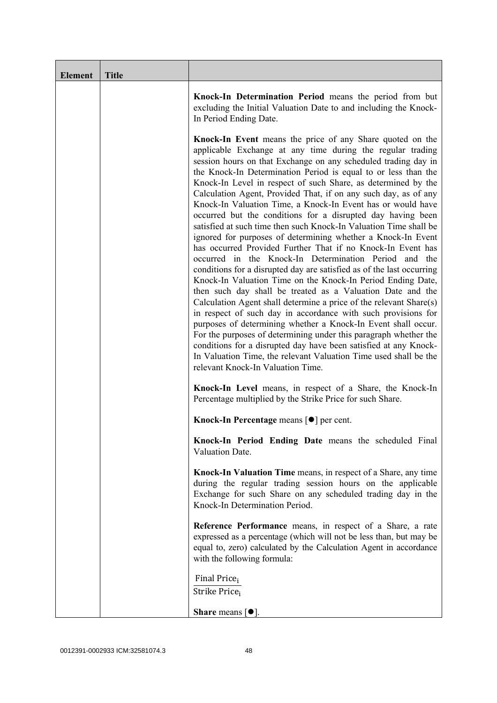| <b>Element</b> | <b>Title</b> |                                                                                                                                                                                                                                                                                                                                                                                                                                                                                                                                                                                                                                                                                                                                                                                                                                                                                                                                                                                                                                                                                                                                                                                                                                                                                                                                                                                                                                                                  |
|----------------|--------------|------------------------------------------------------------------------------------------------------------------------------------------------------------------------------------------------------------------------------------------------------------------------------------------------------------------------------------------------------------------------------------------------------------------------------------------------------------------------------------------------------------------------------------------------------------------------------------------------------------------------------------------------------------------------------------------------------------------------------------------------------------------------------------------------------------------------------------------------------------------------------------------------------------------------------------------------------------------------------------------------------------------------------------------------------------------------------------------------------------------------------------------------------------------------------------------------------------------------------------------------------------------------------------------------------------------------------------------------------------------------------------------------------------------------------------------------------------------|
|                |              | Knock-In Determination Period means the period from but<br>excluding the Initial Valuation Date to and including the Knock-<br>In Period Ending Date.                                                                                                                                                                                                                                                                                                                                                                                                                                                                                                                                                                                                                                                                                                                                                                                                                                                                                                                                                                                                                                                                                                                                                                                                                                                                                                            |
|                |              | <b>Knock-In Event</b> means the price of any Share quoted on the<br>applicable Exchange at any time during the regular trading<br>session hours on that Exchange on any scheduled trading day in<br>the Knock-In Determination Period is equal to or less than the<br>Knock-In Level in respect of such Share, as determined by the<br>Calculation Agent, Provided That, if on any such day, as of any<br>Knock-In Valuation Time, a Knock-In Event has or would have<br>occurred but the conditions for a disrupted day having been<br>satisfied at such time then such Knock-In Valuation Time shall be<br>ignored for purposes of determining whether a Knock-In Event<br>has occurred Provided Further That if no Knock-In Event has<br>occurred in the Knock-In Determination Period and the<br>conditions for a disrupted day are satisfied as of the last occurring<br>Knock-In Valuation Time on the Knock-In Period Ending Date,<br>then such day shall be treated as a Valuation Date and the<br>Calculation Agent shall determine a price of the relevant Share(s)<br>in respect of such day in accordance with such provisions for<br>purposes of determining whether a Knock-In Event shall occur.<br>For the purposes of determining under this paragraph whether the<br>conditions for a disrupted day have been satisfied at any Knock-<br>In Valuation Time, the relevant Valuation Time used shall be the<br>relevant Knock-In Valuation Time. |
|                |              | Knock-In Level means, in respect of a Share, the Knock-In<br>Percentage multiplied by the Strike Price for such Share.                                                                                                                                                                                                                                                                                                                                                                                                                                                                                                                                                                                                                                                                                                                                                                                                                                                                                                                                                                                                                                                                                                                                                                                                                                                                                                                                           |
|                |              | Knock-In Percentage means [●] per cent.                                                                                                                                                                                                                                                                                                                                                                                                                                                                                                                                                                                                                                                                                                                                                                                                                                                                                                                                                                                                                                                                                                                                                                                                                                                                                                                                                                                                                          |
|                |              | Knock-In Period Ending Date means the scheduled Final<br>Valuation Date.                                                                                                                                                                                                                                                                                                                                                                                                                                                                                                                                                                                                                                                                                                                                                                                                                                                                                                                                                                                                                                                                                                                                                                                                                                                                                                                                                                                         |
|                |              | Knock-In Valuation Time means, in respect of a Share, any time<br>during the regular trading session hours on the applicable<br>Exchange for such Share on any scheduled trading day in the<br>Knock-In Determination Period.                                                                                                                                                                                                                                                                                                                                                                                                                                                                                                                                                                                                                                                                                                                                                                                                                                                                                                                                                                                                                                                                                                                                                                                                                                    |
|                |              | Reference Performance means, in respect of a Share, a rate<br>expressed as a percentage (which will not be less than, but may be<br>equal to, zero) calculated by the Calculation Agent in accordance<br>with the following formula:                                                                                                                                                                                                                                                                                                                                                                                                                                                                                                                                                                                                                                                                                                                                                                                                                                                                                                                                                                                                                                                                                                                                                                                                                             |
|                |              | Final Price <sub>i</sub><br>Strike Price;                                                                                                                                                                                                                                                                                                                                                                                                                                                                                                                                                                                                                                                                                                                                                                                                                                                                                                                                                                                                                                                                                                                                                                                                                                                                                                                                                                                                                        |
|                |              | <b>Share</b> means $\lceil \bullet \rceil$ .                                                                                                                                                                                                                                                                                                                                                                                                                                                                                                                                                                                                                                                                                                                                                                                                                                                                                                                                                                                                                                                                                                                                                                                                                                                                                                                                                                                                                     |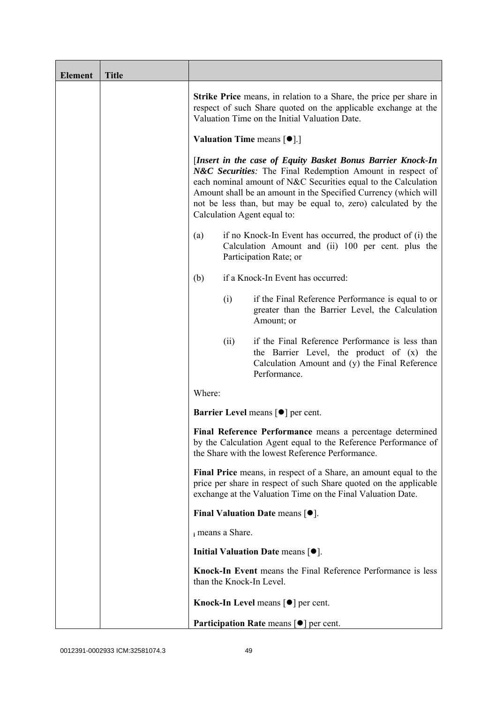| <b>Element</b> | <b>Title</b> |                          |                                                                                                                                                                                                                                                                                                                                                                |
|----------------|--------------|--------------------------|----------------------------------------------------------------------------------------------------------------------------------------------------------------------------------------------------------------------------------------------------------------------------------------------------------------------------------------------------------------|
|                |              |                          | <b>Strike Price</b> means, in relation to a Share, the price per share in<br>respect of such Share quoted on the applicable exchange at the<br>Valuation Time on the Initial Valuation Date.                                                                                                                                                                   |
|                |              |                          | <b>Valuation Time means <math>[\bullet]</math>.</b> ]                                                                                                                                                                                                                                                                                                          |
|                |              |                          | [Insert in the case of Equity Basket Bonus Barrier Knock-In<br>N&C Securities: The Final Redemption Amount in respect of<br>each nominal amount of N&C Securities equal to the Calculation<br>Amount shall be an amount in the Specified Currency (which will<br>not be less than, but may be equal to, zero) calculated by the<br>Calculation Agent equal to: |
|                |              | (a)                      | if no Knock-In Event has occurred, the product of (i) the<br>Calculation Amount and (ii) 100 per cent. plus the<br>Participation Rate; or                                                                                                                                                                                                                      |
|                |              | (b)                      | if a Knock-In Event has occurred:                                                                                                                                                                                                                                                                                                                              |
|                |              | (i)                      | if the Final Reference Performance is equal to or<br>greater than the Barrier Level, the Calculation<br>Amount; or                                                                                                                                                                                                                                             |
|                |              | (ii)                     | if the Final Reference Performance is less than<br>the Barrier Level, the product of (x) the<br>Calculation Amount and (y) the Final Reference<br>Performance.                                                                                                                                                                                                 |
|                |              | Where:                   |                                                                                                                                                                                                                                                                                                                                                                |
|                |              |                          | <b>Barrier Level</b> means $\lceil \bullet \rceil$ per cent.                                                                                                                                                                                                                                                                                                   |
|                |              |                          | Final Reference Performance means a percentage determined<br>by the Calculation Agent equal to the Reference Performance of<br>the Share with the lowest Reference Performance.                                                                                                                                                                                |
|                |              |                          | Final Price means, in respect of a Share, an amount equal to the<br>price per share in respect of such Share quoted on the applicable<br>exchange at the Valuation Time on the Final Valuation Date.                                                                                                                                                           |
|                |              |                          | Final Valuation Date means $[•]$ .                                                                                                                                                                                                                                                                                                                             |
|                |              | i means a Share.         |                                                                                                                                                                                                                                                                                                                                                                |
|                |              |                          | Initial Valuation Date means $[•]$ .                                                                                                                                                                                                                                                                                                                           |
|                |              | than the Knock-In Level. | Knock-In Event means the Final Reference Performance is less                                                                                                                                                                                                                                                                                                   |
|                |              |                          | Knock-In Level means $\lceil \bullet \rceil$ per cent.                                                                                                                                                                                                                                                                                                         |
|                |              |                          | <b>Participation Rate means <math>\lceil \bullet \rceil</math> per cent.</b>                                                                                                                                                                                                                                                                                   |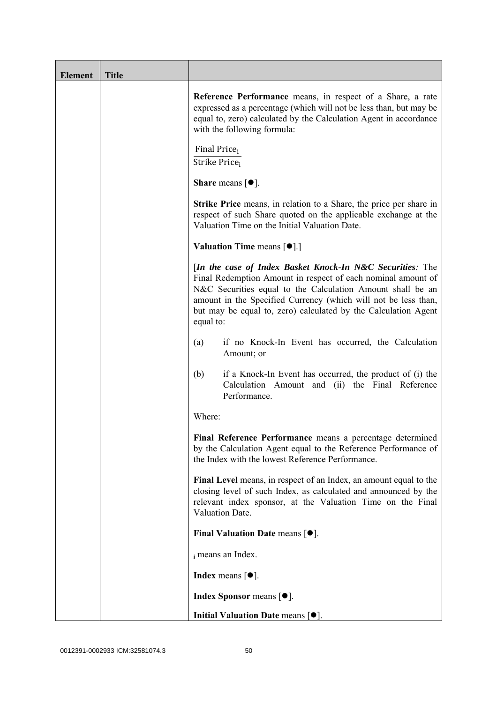| <b>Element</b> | <b>Title</b> |                                                                                                                                                                                                                                                                                                                                          |
|----------------|--------------|------------------------------------------------------------------------------------------------------------------------------------------------------------------------------------------------------------------------------------------------------------------------------------------------------------------------------------------|
|                |              | Reference Performance means, in respect of a Share, a rate<br>expressed as a percentage (which will not be less than, but may be<br>equal to, zero) calculated by the Calculation Agent in accordance<br>with the following formula:                                                                                                     |
|                |              | Final Price <sub>i</sub><br>Strike Price <sub>i</sub>                                                                                                                                                                                                                                                                                    |
|                |              | Share means $[\bullet].$                                                                                                                                                                                                                                                                                                                 |
|                |              | <b>Strike Price</b> means, in relation to a Share, the price per share in<br>respect of such Share quoted on the applicable exchange at the<br>Valuation Time on the Initial Valuation Date.                                                                                                                                             |
|                |              | <b>Valuation Time means <math>\lceil \bullet \rceil</math>.</b>                                                                                                                                                                                                                                                                          |
|                |              | [In the case of Index Basket Knock-In N&C Securities: The<br>Final Redemption Amount in respect of each nominal amount of<br>N&C Securities equal to the Calculation Amount shall be an<br>amount in the Specified Currency (which will not be less than,<br>but may be equal to, zero) calculated by the Calculation Agent<br>equal to: |
|                |              | if no Knock-In Event has occurred, the Calculation<br>(a)<br>Amount; or                                                                                                                                                                                                                                                                  |
|                |              | (b)<br>if a Knock-In Event has occurred, the product of (i) the<br>Calculation Amount and (ii) the Final Reference<br>Performance.                                                                                                                                                                                                       |
|                |              | Where:                                                                                                                                                                                                                                                                                                                                   |
|                |              | Final Reference Performance means a percentage determined<br>by the Calculation Agent equal to the Reference Performance of<br>the Index with the lowest Reference Performance.                                                                                                                                                          |
|                |              | Final Level means, in respect of an Index, an amount equal to the<br>closing level of such Index, as calculated and announced by the<br>relevant index sponsor, at the Valuation Time on the Final<br>Valuation Date.                                                                                                                    |
|                |              | Final Valuation Date means [ $\bullet$ ].                                                                                                                                                                                                                                                                                                |
|                |              | i means an Index.                                                                                                                                                                                                                                                                                                                        |
|                |              | <b>Index</b> means $\lceil \bullet \rceil$ .                                                                                                                                                                                                                                                                                             |
|                |              | <b>Index Sponsor</b> means $[•]$ .                                                                                                                                                                                                                                                                                                       |
|                |              | Initial Valuation Date means $[•]$ .                                                                                                                                                                                                                                                                                                     |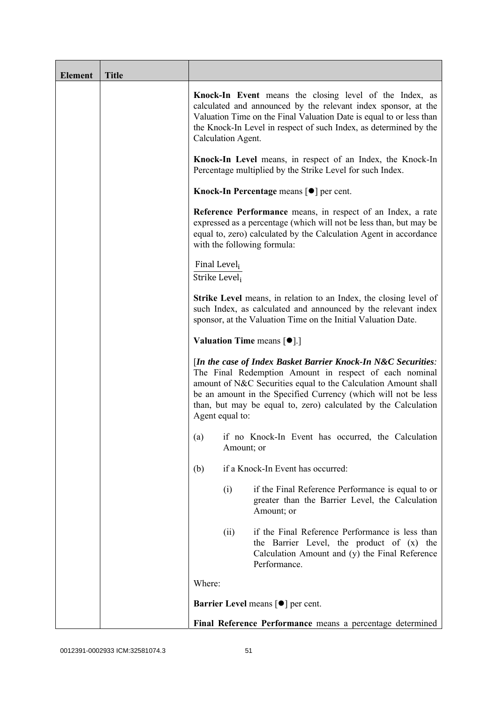| <b>Element</b> | <b>Title</b> |                                           |                                                                                                                                                                                                                                                                                                                               |
|----------------|--------------|-------------------------------------------|-------------------------------------------------------------------------------------------------------------------------------------------------------------------------------------------------------------------------------------------------------------------------------------------------------------------------------|
|                |              | Calculation Agent.                        | Knock-In Event means the closing level of the Index, as<br>calculated and announced by the relevant index sponsor, at the<br>Valuation Time on the Final Valuation Date is equal to or less than<br>the Knock-In Level in respect of such Index, as determined by the                                                         |
|                |              |                                           | Knock-In Level means, in respect of an Index, the Knock-In<br>Percentage multiplied by the Strike Level for such Index.                                                                                                                                                                                                       |
|                |              |                                           | Knock-In Percentage means $\lceil \bullet \rceil$ per cent.                                                                                                                                                                                                                                                                   |
|                |              |                                           | <b>Reference Performance</b> means, in respect of an Index, a rate<br>expressed as a percentage (which will not be less than, but may be<br>equal to, zero) calculated by the Calculation Agent in accordance<br>with the following formula:                                                                                  |
|                |              | Final Level <sub>i</sub><br>Strike Level; |                                                                                                                                                                                                                                                                                                                               |
|                |              |                                           | <b>Strike Level</b> means, in relation to an Index, the closing level of<br>such Index, as calculated and announced by the relevant index<br>sponsor, at the Valuation Time on the Initial Valuation Date.                                                                                                                    |
|                |              |                                           | <b>Valuation Time means <math>[\bullet]</math>.</b> ]                                                                                                                                                                                                                                                                         |
|                |              | Agent equal to:                           | [In the case of Index Basket Barrier Knock-In N&C Securities:<br>The Final Redemption Amount in respect of each nominal<br>amount of N&C Securities equal to the Calculation Amount shall<br>be an amount in the Specified Currency (which will not be less<br>than, but may be equal to, zero) calculated by the Calculation |
|                |              |                                           | (a) if no Knock-In Event has occurred, the Calculation<br>Amount; or                                                                                                                                                                                                                                                          |
|                |              | (b)                                       | if a Knock-In Event has occurred:                                                                                                                                                                                                                                                                                             |
|                |              | (i)                                       | if the Final Reference Performance is equal to or<br>greater than the Barrier Level, the Calculation<br>Amount; or                                                                                                                                                                                                            |
|                |              | (ii)                                      | if the Final Reference Performance is less than<br>the Barrier Level, the product of (x) the<br>Calculation Amount and (y) the Final Reference<br>Performance.                                                                                                                                                                |
|                |              | Where:                                    |                                                                                                                                                                                                                                                                                                                               |
|                |              |                                           | Barrier Level means [ $\bullet$ ] per cent.                                                                                                                                                                                                                                                                                   |
|                |              |                                           | Final Reference Performance means a percentage determined                                                                                                                                                                                                                                                                     |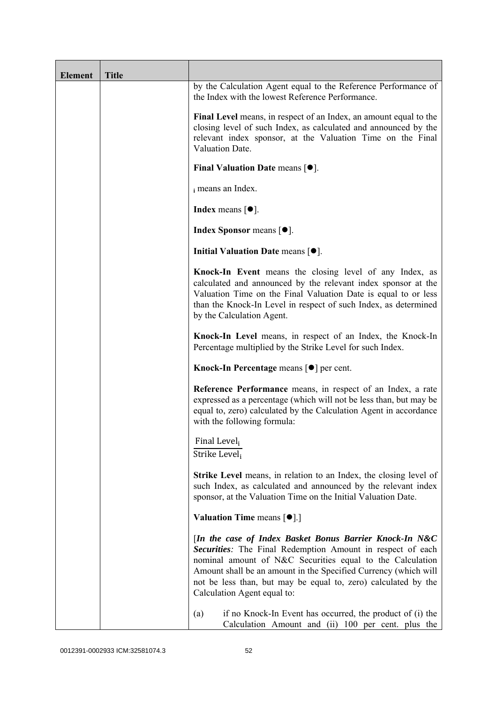| <b>Element</b> | <b>Title</b> |                                                                                                                                                                                                                                                                                                                                                        |
|----------------|--------------|--------------------------------------------------------------------------------------------------------------------------------------------------------------------------------------------------------------------------------------------------------------------------------------------------------------------------------------------------------|
|                |              | by the Calculation Agent equal to the Reference Performance of<br>the Index with the lowest Reference Performance.                                                                                                                                                                                                                                     |
|                |              | Final Level means, in respect of an Index, an amount equal to the<br>closing level of such Index, as calculated and announced by the<br>relevant index sponsor, at the Valuation Time on the Final<br>Valuation Date.                                                                                                                                  |
|                |              | Final Valuation Date means $[•]$ .                                                                                                                                                                                                                                                                                                                     |
|                |              | i means an Index.                                                                                                                                                                                                                                                                                                                                      |
|                |              | <b>Index</b> means $[•]$ .                                                                                                                                                                                                                                                                                                                             |
|                |              | <b>Index Sponsor</b> means $[•]$ .                                                                                                                                                                                                                                                                                                                     |
|                |              | Initial Valuation Date means [ $\bullet$ ].                                                                                                                                                                                                                                                                                                            |
|                |              | Knock-In Event means the closing level of any Index, as<br>calculated and announced by the relevant index sponsor at the<br>Valuation Time on the Final Valuation Date is equal to or less<br>than the Knock-In Level in respect of such Index, as determined<br>by the Calculation Agent.                                                             |
|                |              | Knock-In Level means, in respect of an Index, the Knock-In<br>Percentage multiplied by the Strike Level for such Index.                                                                                                                                                                                                                                |
|                |              | Knock-In Percentage means [●] per cent.                                                                                                                                                                                                                                                                                                                |
|                |              | Reference Performance means, in respect of an Index, a rate<br>expressed as a percentage (which will not be less than, but may be<br>equal to, zero) calculated by the Calculation Agent in accordance<br>with the following formula:                                                                                                                  |
|                |              | Final Level <sub>i</sub><br>Strike Level <sub>i</sub>                                                                                                                                                                                                                                                                                                  |
|                |              | Strike Level means, in relation to an Index, the closing level of<br>such Index, as calculated and announced by the relevant index<br>sponsor, at the Valuation Time on the Initial Valuation Date.                                                                                                                                                    |
|                |              | <b>Valuation Time means <math>\lceil \bullet \rceil</math>.</b>                                                                                                                                                                                                                                                                                        |
|                |              | [In the case of Index Basket Bonus Barrier Knock-In N&C<br>Securities: The Final Redemption Amount in respect of each<br>nominal amount of N&C Securities equal to the Calculation<br>Amount shall be an amount in the Specified Currency (which will<br>not be less than, but may be equal to, zero) calculated by the<br>Calculation Agent equal to: |
|                |              | (a)<br>if no Knock-In Event has occurred, the product of (i) the<br>Calculation Amount and (ii) 100 per cent. plus the                                                                                                                                                                                                                                 |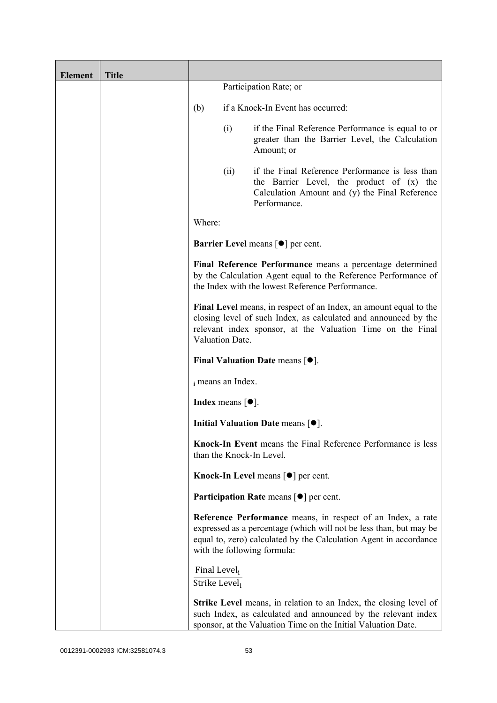| <b>Element</b> | <b>Title</b> |                                                       |                                              |                                                                                                                                                                                                                                       |
|----------------|--------------|-------------------------------------------------------|----------------------------------------------|---------------------------------------------------------------------------------------------------------------------------------------------------------------------------------------------------------------------------------------|
|                |              |                                                       |                                              | Participation Rate; or                                                                                                                                                                                                                |
|                |              | (b)                                                   |                                              | if a Knock-In Event has occurred:                                                                                                                                                                                                     |
|                |              |                                                       | (i)                                          | if the Final Reference Performance is equal to or<br>greater than the Barrier Level, the Calculation<br>Amount; or                                                                                                                    |
|                |              |                                                       | (ii)                                         | if the Final Reference Performance is less than<br>the Barrier Level, the product of (x) the<br>Calculation Amount and (y) the Final Reference<br>Performance.                                                                        |
|                |              | Where:                                                |                                              |                                                                                                                                                                                                                                       |
|                |              |                                                       |                                              | <b>Barrier Level means [<math>\bullet</math>] per cent.</b>                                                                                                                                                                           |
|                |              |                                                       |                                              | Final Reference Performance means a percentage determined<br>by the Calculation Agent equal to the Reference Performance of<br>the Index with the lowest Reference Performance.                                                       |
|                |              |                                                       | Valuation Date.                              | Final Level means, in respect of an Index, an amount equal to the<br>closing level of such Index, as calculated and announced by the<br>relevant index sponsor, at the Valuation Time on the Final                                    |
|                |              |                                                       |                                              | Final Valuation Date means $[•]$ .                                                                                                                                                                                                    |
|                |              |                                                       | i means an Index.                            |                                                                                                                                                                                                                                       |
|                |              |                                                       | <b>Index</b> means $\lceil \bullet \rceil$ . |                                                                                                                                                                                                                                       |
|                |              |                                                       |                                              | Initial Valuation Date means [ $\bullet$ ].                                                                                                                                                                                           |
|                |              |                                                       |                                              | Knock-In Event means the Final Reference Performance is less<br>than the Knock-In Level.                                                                                                                                              |
|                |              |                                                       |                                              | <b>Knock-In Level means <math>\lceil \bullet \rceil</math> per cent.</b>                                                                                                                                                              |
|                |              |                                                       |                                              | <b>Participation Rate</b> means $\lceil \bullet \rceil$ per cent.                                                                                                                                                                     |
|                |              |                                                       |                                              | Reference Performance means, in respect of an Index, a rate<br>expressed as a percentage (which will not be less than, but may be<br>equal to, zero) calculated by the Calculation Agent in accordance<br>with the following formula: |
|                |              | Final Level <sub>i</sub><br>Strike Level <sub>i</sub> |                                              |                                                                                                                                                                                                                                       |
|                |              |                                                       |                                              | <b>Strike Level</b> means, in relation to an Index, the closing level of<br>such Index, as calculated and announced by the relevant index<br>sponsor, at the Valuation Time on the Initial Valuation Date.                            |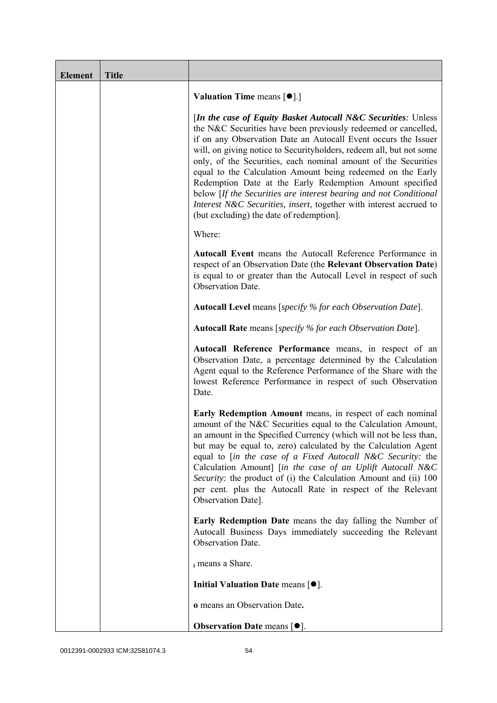| <b>Element</b> | <b>Title</b> |                                                                                                                                                                                                                                                                                                                                                                                                                                                                                                                                                                                                                                                              |
|----------------|--------------|--------------------------------------------------------------------------------------------------------------------------------------------------------------------------------------------------------------------------------------------------------------------------------------------------------------------------------------------------------------------------------------------------------------------------------------------------------------------------------------------------------------------------------------------------------------------------------------------------------------------------------------------------------------|
|                |              | <b>Valuation Time means <math>\lceil \bullet \rceil</math>.</b>                                                                                                                                                                                                                                                                                                                                                                                                                                                                                                                                                                                              |
|                |              | [In the case of Equity Basket Autocall N&C Securities: Unless<br>the N&C Securities have been previously redeemed or cancelled,<br>if on any Observation Date an Autocall Event occurs the Issuer<br>will, on giving notice to Securityholders, redeem all, but not some<br>only, of the Securities, each nominal amount of the Securities<br>equal to the Calculation Amount being redeemed on the Early<br>Redemption Date at the Early Redemption Amount specified<br>below [If the Securities are interest bearing and not Conditional<br>Interest N&C Securities, insert, together with interest accrued to<br>(but excluding) the date of redemption]. |
|                |              | Where:                                                                                                                                                                                                                                                                                                                                                                                                                                                                                                                                                                                                                                                       |
|                |              | Autocall Event means the Autocall Reference Performance in<br>respect of an Observation Date (the Relevant Observation Date)<br>is equal to or greater than the Autocall Level in respect of such<br>Observation Date.                                                                                                                                                                                                                                                                                                                                                                                                                                       |
|                |              | <b>Autocall Level</b> means [specify % for each Observation Date].                                                                                                                                                                                                                                                                                                                                                                                                                                                                                                                                                                                           |
|                |              | <b>Autocall Rate</b> means [specify % for each Observation Date].                                                                                                                                                                                                                                                                                                                                                                                                                                                                                                                                                                                            |
|                |              | Autocall Reference Performance means, in respect of an<br>Observation Date, a percentage determined by the Calculation<br>Agent equal to the Reference Performance of the Share with the<br>lowest Reference Performance in respect of such Observation<br>Date.                                                                                                                                                                                                                                                                                                                                                                                             |
|                |              | Early Redemption Amount means, in respect of each nominal<br>amount of the N&C Securities equal to the Calculation Amount,<br>an amount in the Specified Currency (which will not be less than,<br>but may be equal to, zero) calculated by the Calculation Agent<br>equal to [in the case of a Fixed Autocall N&C Security: the<br>Calculation Amount] [in the case of an Uplift Autocall N&C<br>Security: the product of (i) the Calculation Amount and (ii) 100<br>per cent. plus the Autocall Rate in respect of the Relevant<br>Observation Date].                                                                                                      |
|                |              | <b>Early Redemption Date</b> means the day falling the Number of<br>Autocall Business Days immediately succeeding the Relevant<br>Observation Date.                                                                                                                                                                                                                                                                                                                                                                                                                                                                                                          |
|                |              | i means a Share.                                                                                                                                                                                                                                                                                                                                                                                                                                                                                                                                                                                                                                             |
|                |              | Initial Valuation Date means $[•]$ .                                                                                                                                                                                                                                                                                                                                                                                                                                                                                                                                                                                                                         |
|                |              | o means an Observation Date.                                                                                                                                                                                                                                                                                                                                                                                                                                                                                                                                                                                                                                 |
|                |              | <b>Observation Date means <math>[•]</math>.</b>                                                                                                                                                                                                                                                                                                                                                                                                                                                                                                                                                                                                              |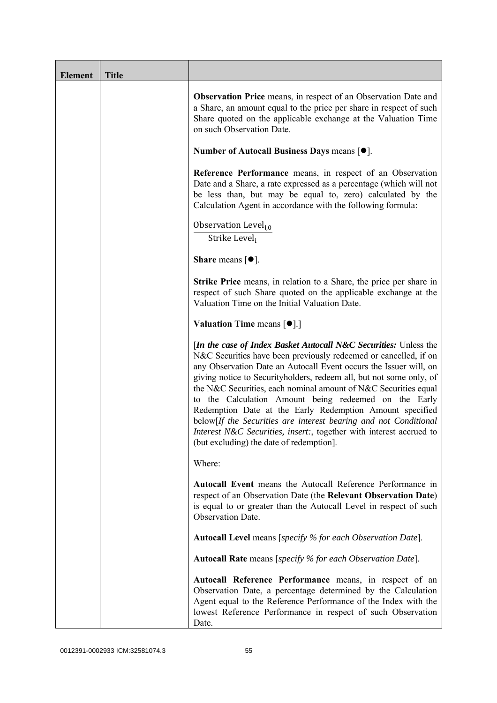| <b>Element</b> | <b>Title</b> |                                                                                                                                                                                                                                                                                                                                                                                                                                                                                                                                                                                                                                                                          |
|----------------|--------------|--------------------------------------------------------------------------------------------------------------------------------------------------------------------------------------------------------------------------------------------------------------------------------------------------------------------------------------------------------------------------------------------------------------------------------------------------------------------------------------------------------------------------------------------------------------------------------------------------------------------------------------------------------------------------|
|                |              | <b>Observation Price</b> means, in respect of an Observation Date and<br>a Share, an amount equal to the price per share in respect of such<br>Share quoted on the applicable exchange at the Valuation Time<br>on such Observation Date.                                                                                                                                                                                                                                                                                                                                                                                                                                |
|                |              | Number of Autocall Business Days means $[•]$ .                                                                                                                                                                                                                                                                                                                                                                                                                                                                                                                                                                                                                           |
|                |              | Reference Performance means, in respect of an Observation<br>Date and a Share, a rate expressed as a percentage (which will not<br>be less than, but may be equal to, zero) calculated by the<br>Calculation Agent in accordance with the following formula:                                                                                                                                                                                                                                                                                                                                                                                                             |
|                |              | Observation Level <sub>i,0</sub><br>Strike Level,                                                                                                                                                                                                                                                                                                                                                                                                                                                                                                                                                                                                                        |
|                |              | <b>Share</b> means $\lceil \bullet \rceil$ .                                                                                                                                                                                                                                                                                                                                                                                                                                                                                                                                                                                                                             |
|                |              | Strike Price means, in relation to a Share, the price per share in<br>respect of such Share quoted on the applicable exchange at the<br>Valuation Time on the Initial Valuation Date.                                                                                                                                                                                                                                                                                                                                                                                                                                                                                    |
|                |              | <b>Valuation Time means <math>\lceil \bullet \rceil</math>.</b>                                                                                                                                                                                                                                                                                                                                                                                                                                                                                                                                                                                                          |
|                |              | <i>In the case of Index Basket Autocall N&amp;C Securities: Unless the</i><br>N&C Securities have been previously redeemed or cancelled, if on<br>any Observation Date an Autocall Event occurs the Issuer will, on<br>giving notice to Securityholders, redeem all, but not some only, of<br>the N&C Securities, each nominal amount of N&C Securities equal<br>to the Calculation Amount being redeemed on the Early<br>Redemption Date at the Early Redemption Amount specified<br>below[If the Securities are interest bearing and not Conditional<br>Interest N&C Securities, insert:, together with interest accrued to<br>(but excluding) the date of redemption. |
|                |              | Where:                                                                                                                                                                                                                                                                                                                                                                                                                                                                                                                                                                                                                                                                   |
|                |              | Autocall Event means the Autocall Reference Performance in<br>respect of an Observation Date (the Relevant Observation Date)<br>is equal to or greater than the Autocall Level in respect of such<br>Observation Date.                                                                                                                                                                                                                                                                                                                                                                                                                                                   |
|                |              | Autocall Level means [specify % for each Observation Date].                                                                                                                                                                                                                                                                                                                                                                                                                                                                                                                                                                                                              |
|                |              | <b>Autocall Rate</b> means [specify % for each Observation Date].                                                                                                                                                                                                                                                                                                                                                                                                                                                                                                                                                                                                        |
|                |              | Autocall Reference Performance means, in respect of an<br>Observation Date, a percentage determined by the Calculation<br>Agent equal to the Reference Performance of the Index with the<br>lowest Reference Performance in respect of such Observation<br>Date.                                                                                                                                                                                                                                                                                                                                                                                                         |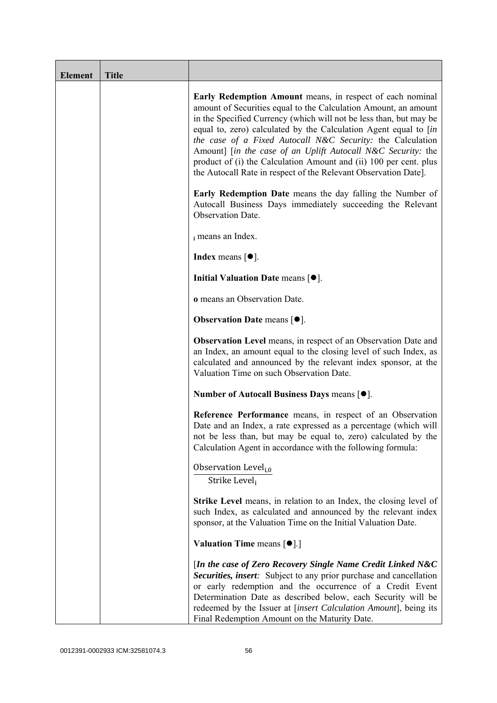| <b>Element</b> | <b>Title</b> |                                                                                                                                                                                                                                                                                                                                                                                                                                                                                                                                              |
|----------------|--------------|----------------------------------------------------------------------------------------------------------------------------------------------------------------------------------------------------------------------------------------------------------------------------------------------------------------------------------------------------------------------------------------------------------------------------------------------------------------------------------------------------------------------------------------------|
|                |              | Early Redemption Amount means, in respect of each nominal<br>amount of Securities equal to the Calculation Amount, an amount<br>in the Specified Currency (which will not be less than, but may be<br>equal to, zero) calculated by the Calculation Agent equal to [in<br>the case of a Fixed Autocall N&C Security: the Calculation<br>Amount] [in the case of an Uplift Autocall N&C Security: the<br>product of (i) the Calculation Amount and (ii) 100 per cent. plus<br>the Autocall Rate in respect of the Relevant Observation Date]. |
|                |              | <b>Early Redemption Date</b> means the day falling the Number of<br>Autocall Business Days immediately succeeding the Relevant<br>Observation Date.                                                                                                                                                                                                                                                                                                                                                                                          |
|                |              | i means an Index.                                                                                                                                                                                                                                                                                                                                                                                                                                                                                                                            |
|                |              | <b>Index</b> means $\lceil \bullet \rceil$ .                                                                                                                                                                                                                                                                                                                                                                                                                                                                                                 |
|                |              | Initial Valuation Date means $[•]$ .                                                                                                                                                                                                                                                                                                                                                                                                                                                                                                         |
|                |              | o means an Observation Date.                                                                                                                                                                                                                                                                                                                                                                                                                                                                                                                 |
|                |              | <b>Observation Date means <math>\lceil \bullet \rceil</math>.</b>                                                                                                                                                                                                                                                                                                                                                                                                                                                                            |
|                |              | <b>Observation Level</b> means, in respect of an Observation Date and<br>an Index, an amount equal to the closing level of such Index, as<br>calculated and announced by the relevant index sponsor, at the<br>Valuation Time on such Observation Date.                                                                                                                                                                                                                                                                                      |
|                |              | Number of Autocall Business Days means [●].                                                                                                                                                                                                                                                                                                                                                                                                                                                                                                  |
|                |              | Reference Performance means, in respect of an Observation<br>Date and an Index, a rate expressed as a percentage (which will<br>not be less than, but may be equal to, zero) calculated by the<br>Calculation Agent in accordance with the following formula:                                                                                                                                                                                                                                                                                |
|                |              | Observation Level <sub>i,0</sub><br>Strike Level,                                                                                                                                                                                                                                                                                                                                                                                                                                                                                            |
|                |              | <b>Strike Level</b> means, in relation to an Index, the closing level of<br>such Index, as calculated and announced by the relevant index<br>sponsor, at the Valuation Time on the Initial Valuation Date.                                                                                                                                                                                                                                                                                                                                   |
|                |              | <b>Valuation Time means <math>[\bullet]</math>.</b> ]                                                                                                                                                                                                                                                                                                                                                                                                                                                                                        |
|                |              | [In the case of Zero Recovery Single Name Credit Linked N&C<br>Securities, insert: Subject to any prior purchase and cancellation<br>or early redemption and the occurrence of a Credit Event<br>Determination Date as described below, each Security will be<br>redeemed by the Issuer at [insert Calculation Amount], being its<br>Final Redemption Amount on the Maturity Date.                                                                                                                                                           |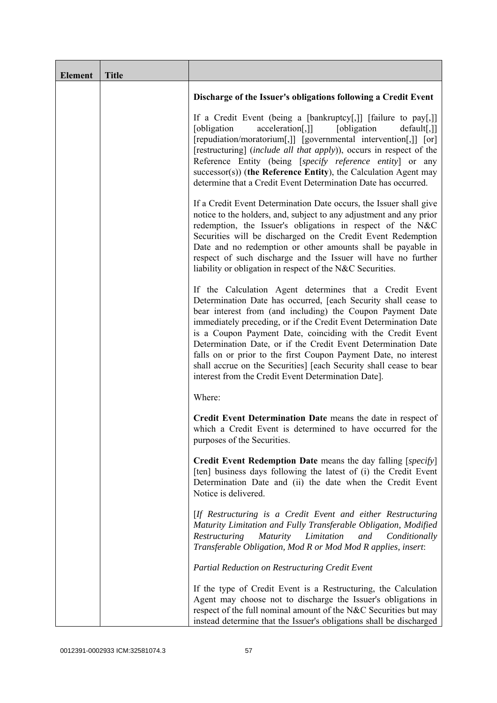| <b>Element</b> | <b>Title</b> |                                                                                                                                                                                                                                                                                                                                                                                                                                                                                                                                                                                            |
|----------------|--------------|--------------------------------------------------------------------------------------------------------------------------------------------------------------------------------------------------------------------------------------------------------------------------------------------------------------------------------------------------------------------------------------------------------------------------------------------------------------------------------------------------------------------------------------------------------------------------------------------|
|                |              | Discharge of the Issuer's obligations following a Credit Event                                                                                                                                                                                                                                                                                                                                                                                                                                                                                                                             |
|                |              | If a Credit Event (being a [bankruptcy[,]] [failure to pay[,]]<br>[obligation]<br>[obligation]<br>acceleration[,]]<br>$default[,$ ]]<br>[repudiation/moratorium[,]] [governmental intervention[,]] [or]<br>[restructuring] (include all that apply)), occurs in respect of the<br>Reference Entity (being [specify reference entity] or any<br>$successor(s)$ ) (the Reference Entity), the Calculation Agent may<br>determine that a Credit Event Determination Date has occurred.                                                                                                        |
|                |              | If a Credit Event Determination Date occurs, the Issuer shall give<br>notice to the holders, and, subject to any adjustment and any prior<br>redemption, the Issuer's obligations in respect of the N&C<br>Securities will be discharged on the Credit Event Redemption<br>Date and no redemption or other amounts shall be payable in<br>respect of such discharge and the Issuer will have no further<br>liability or obligation in respect of the N&C Securities.                                                                                                                       |
|                |              | If the Calculation Agent determines that a Credit Event<br>Determination Date has occurred, [each Security shall cease to<br>bear interest from (and including) the Coupon Payment Date<br>immediately preceding, or if the Credit Event Determination Date<br>is a Coupon Payment Date, coinciding with the Credit Event<br>Determination Date, or if the Credit Event Determination Date<br>falls on or prior to the first Coupon Payment Date, no interest<br>shall accrue on the Securities] [each Security shall cease to bear<br>interest from the Credit Event Determination Date]. |
|                |              | Where:                                                                                                                                                                                                                                                                                                                                                                                                                                                                                                                                                                                     |
|                |              | Credit Event Determination Date means the date in respect of<br>which a Credit Event is determined to have occurred for the<br>purposes of the Securities.                                                                                                                                                                                                                                                                                                                                                                                                                                 |
|                |              | <b>Credit Event Redemption Date</b> means the day falling [specify]<br>[ten] business days following the latest of (i) the Credit Event<br>Determination Date and (ii) the date when the Credit Event<br>Notice is delivered.                                                                                                                                                                                                                                                                                                                                                              |
|                |              | [If Restructuring is a Credit Event and either Restructuring<br>Maturity Limitation and Fully Transferable Obligation, Modified<br>Restructuring<br><i>Maturity</i><br>Limitation<br>and<br>Conditionally<br>Transferable Obligation, Mod R or Mod Mod R applies, insert:                                                                                                                                                                                                                                                                                                                  |
|                |              | Partial Reduction on Restructuring Credit Event                                                                                                                                                                                                                                                                                                                                                                                                                                                                                                                                            |
|                |              | If the type of Credit Event is a Restructuring, the Calculation<br>Agent may choose not to discharge the Issuer's obligations in<br>respect of the full nominal amount of the N&C Securities but may<br>instead determine that the Issuer's obligations shall be discharged                                                                                                                                                                                                                                                                                                                |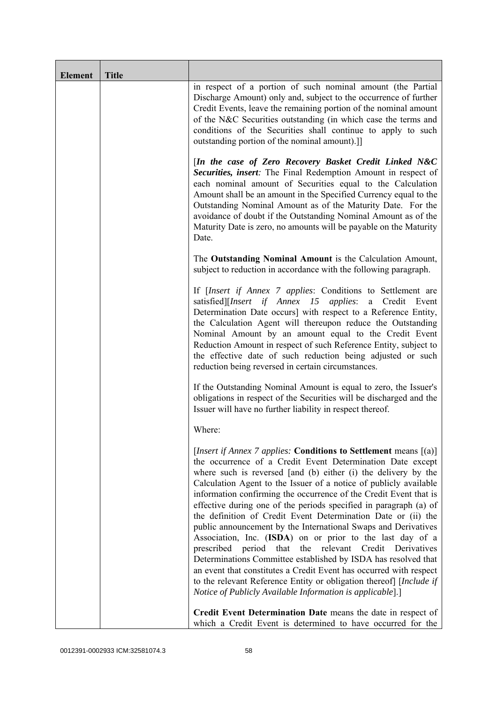| <b>Element</b> | <b>Title</b> |                                                                                                                                                                                                                                                                                                                                                                                                                                                                                                                                                                                                                                                                                                                                                                                                                                                                                                                                                                   |
|----------------|--------------|-------------------------------------------------------------------------------------------------------------------------------------------------------------------------------------------------------------------------------------------------------------------------------------------------------------------------------------------------------------------------------------------------------------------------------------------------------------------------------------------------------------------------------------------------------------------------------------------------------------------------------------------------------------------------------------------------------------------------------------------------------------------------------------------------------------------------------------------------------------------------------------------------------------------------------------------------------------------|
|                |              | in respect of a portion of such nominal amount (the Partial<br>Discharge Amount) only and, subject to the occurrence of further<br>Credit Events, leave the remaining portion of the nominal amount<br>of the N&C Securities outstanding (in which case the terms and<br>conditions of the Securities shall continue to apply to such<br>outstanding portion of the nominal amount).]                                                                                                                                                                                                                                                                                                                                                                                                                                                                                                                                                                             |
|                |              | [In the case of Zero Recovery Basket Credit Linked N&C<br>Securities, insert: The Final Redemption Amount in respect of<br>each nominal amount of Securities equal to the Calculation<br>Amount shall be an amount in the Specified Currency equal to the<br>Outstanding Nominal Amount as of the Maturity Date. For the<br>avoidance of doubt if the Outstanding Nominal Amount as of the<br>Maturity Date is zero, no amounts will be payable on the Maturity<br>Date.                                                                                                                                                                                                                                                                                                                                                                                                                                                                                          |
|                |              | The Outstanding Nominal Amount is the Calculation Amount,<br>subject to reduction in accordance with the following paragraph.                                                                                                                                                                                                                                                                                                                                                                                                                                                                                                                                                                                                                                                                                                                                                                                                                                     |
|                |              | If [Insert if Annex 7 applies: Conditions to Settlement are<br>satisfied][Insert if Annex 15 applies: a Credit Event<br>Determination Date occurs] with respect to a Reference Entity,<br>the Calculation Agent will thereupon reduce the Outstanding<br>Nominal Amount by an amount equal to the Credit Event<br>Reduction Amount in respect of such Reference Entity, subject to<br>the effective date of such reduction being adjusted or such<br>reduction being reversed in certain circumstances.                                                                                                                                                                                                                                                                                                                                                                                                                                                           |
|                |              | If the Outstanding Nominal Amount is equal to zero, the Issuer's<br>obligations in respect of the Securities will be discharged and the<br>Issuer will have no further liability in respect thereof.                                                                                                                                                                                                                                                                                                                                                                                                                                                                                                                                                                                                                                                                                                                                                              |
|                |              | Where:                                                                                                                                                                                                                                                                                                                                                                                                                                                                                                                                                                                                                                                                                                                                                                                                                                                                                                                                                            |
|                |              | [Insert if Annex 7 applies: Conditions to Settlement means [(a)]<br>the occurrence of a Credit Event Determination Date except<br>where such is reversed [and (b) either (i) the delivery by the<br>Calculation Agent to the Issuer of a notice of publicly available<br>information confirming the occurrence of the Credit Event that is<br>effective during one of the periods specified in paragraph (a) of<br>the definition of Credit Event Determination Date or (ii) the<br>public announcement by the International Swaps and Derivatives<br>Association, Inc. (ISDA) on or prior to the last day of a<br>period<br>that<br>the relevant Credit<br>prescribed<br>Derivatives<br>Determinations Committee established by ISDA has resolved that<br>an event that constitutes a Credit Event has occurred with respect<br>to the relevant Reference Entity or obligation thereof] [Include if<br>Notice of Publicly Available Information is applicable].] |
|                |              | Credit Event Determination Date means the date in respect of<br>which a Credit Event is determined to have occurred for the                                                                                                                                                                                                                                                                                                                                                                                                                                                                                                                                                                                                                                                                                                                                                                                                                                       |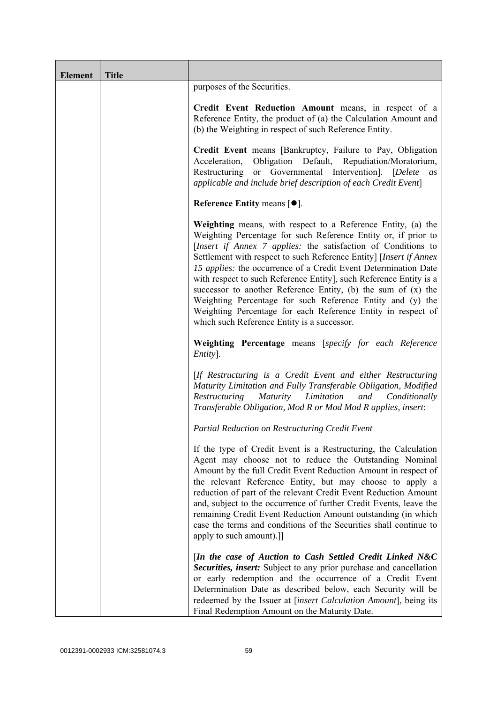| <b>Element</b> | <b>Title</b> |                                                                                                                                                                                                                                                                                                                                                                                                                                                                                                                                                                                                                                                                |
|----------------|--------------|----------------------------------------------------------------------------------------------------------------------------------------------------------------------------------------------------------------------------------------------------------------------------------------------------------------------------------------------------------------------------------------------------------------------------------------------------------------------------------------------------------------------------------------------------------------------------------------------------------------------------------------------------------------|
|                |              | purposes of the Securities.                                                                                                                                                                                                                                                                                                                                                                                                                                                                                                                                                                                                                                    |
|                |              | Credit Event Reduction Amount means, in respect of a<br>Reference Entity, the product of (a) the Calculation Amount and<br>(b) the Weighting in respect of such Reference Entity.                                                                                                                                                                                                                                                                                                                                                                                                                                                                              |
|                |              | Credit Event means [Bankruptcy, Failure to Pay, Obligation<br>Obligation Default, Repudiation/Moratorium,<br>Acceleration,<br>Restructuring or Governmental Intervention]. [Delete<br>as<br>applicable and include brief description of each Credit Event]                                                                                                                                                                                                                                                                                                                                                                                                     |
|                |              | Reference Entity means $[•]$ .                                                                                                                                                                                                                                                                                                                                                                                                                                                                                                                                                                                                                                 |
|                |              | Weighting means, with respect to a Reference Entity, (a) the<br>Weighting Percentage for such Reference Entity or, if prior to<br>[Insert if Annex 7 applies: the satisfaction of Conditions to<br>Settlement with respect to such Reference Entity] [Insert if Annex<br>15 applies: the occurrence of a Credit Event Determination Date<br>with respect to such Reference Entity], such Reference Entity is a<br>successor to another Reference Entity, (b) the sum of $(x)$ the<br>Weighting Percentage for such Reference Entity and (y) the<br>Weighting Percentage for each Reference Entity in respect of<br>which such Reference Entity is a successor. |
|                |              | Weighting Percentage means [specify for each Reference<br>Entity].                                                                                                                                                                                                                                                                                                                                                                                                                                                                                                                                                                                             |
|                |              | [If Restructuring is a Credit Event and either Restructuring<br>Maturity Limitation and Fully Transferable Obligation, Modified<br>Maturity Limitation<br>Restructuring<br>and<br>Conditionally<br>Transferable Obligation, Mod R or Mod Mod R applies, insert:                                                                                                                                                                                                                                                                                                                                                                                                |
|                |              | Partial Reduction on Restructuring Credit Event                                                                                                                                                                                                                                                                                                                                                                                                                                                                                                                                                                                                                |
|                |              | If the type of Credit Event is a Restructuring, the Calculation<br>Agent may choose not to reduce the Outstanding Nominal<br>Amount by the full Credit Event Reduction Amount in respect of<br>the relevant Reference Entity, but may choose to apply a<br>reduction of part of the relevant Credit Event Reduction Amount<br>and, subject to the occurrence of further Credit Events, leave the<br>remaining Credit Event Reduction Amount outstanding (in which<br>case the terms and conditions of the Securities shall continue to<br>apply to such amount).]                                                                                              |
|                |              | [In the case of Auction to Cash Settled Credit Linked N&C<br>Securities, insert: Subject to any prior purchase and cancellation<br>or early redemption and the occurrence of a Credit Event<br>Determination Date as described below, each Security will be<br>redeemed by the Issuer at [insert Calculation Amount], being its<br>Final Redemption Amount on the Maturity Date.                                                                                                                                                                                                                                                                               |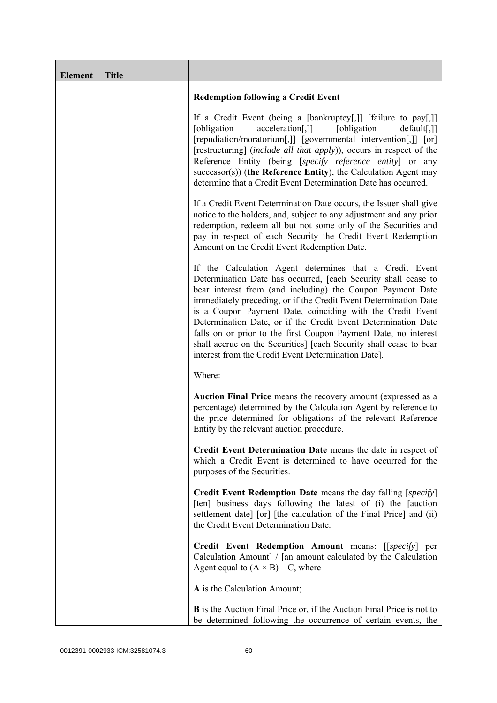| <b>Element</b> | <b>Title</b> |                                                                                                                                                                                                                                                                                                                                                                                                                                                                                                                                                                                            |
|----------------|--------------|--------------------------------------------------------------------------------------------------------------------------------------------------------------------------------------------------------------------------------------------------------------------------------------------------------------------------------------------------------------------------------------------------------------------------------------------------------------------------------------------------------------------------------------------------------------------------------------------|
|                |              | <b>Redemption following a Credit Event</b>                                                                                                                                                                                                                                                                                                                                                                                                                                                                                                                                                 |
|                |              | If a Credit Event (being a [bankruptcy[,]] [failure to pay[,]]<br>acceleration[,]]<br>[obligation<br>[obligation]<br>default[,]]<br>[repudiation/moratorium[,]] [governmental intervention[,]] [or]<br>[restructuring] (include all that apply)), occurs in respect of the<br>Reference Entity (being [specify reference entity] or any<br>$successor(s)$ ) (the Reference Entity), the Calculation Agent may<br>determine that a Credit Event Determination Date has occurred.                                                                                                            |
|                |              | If a Credit Event Determination Date occurs, the Issuer shall give<br>notice to the holders, and, subject to any adjustment and any prior<br>redemption, redeem all but not some only of the Securities and<br>pay in respect of each Security the Credit Event Redemption<br>Amount on the Credit Event Redemption Date.                                                                                                                                                                                                                                                                  |
|                |              | If the Calculation Agent determines that a Credit Event<br>Determination Date has occurred, [each Security shall cease to<br>bear interest from (and including) the Coupon Payment Date<br>immediately preceding, or if the Credit Event Determination Date<br>is a Coupon Payment Date, coinciding with the Credit Event<br>Determination Date, or if the Credit Event Determination Date<br>falls on or prior to the first Coupon Payment Date, no interest<br>shall accrue on the Securities] [each Security shall cease to bear<br>interest from the Credit Event Determination Date]. |
|                |              | Where:                                                                                                                                                                                                                                                                                                                                                                                                                                                                                                                                                                                     |
|                |              | Auction Final Price means the recovery amount (expressed as a<br>percentage) determined by the Calculation Agent by reference to<br>the price determined for obligations of the relevant Reference<br>Entity by the relevant auction procedure.                                                                                                                                                                                                                                                                                                                                            |
|                |              | Credit Event Determination Date means the date in respect of<br>which a Credit Event is determined to have occurred for the<br>purposes of the Securities.                                                                                                                                                                                                                                                                                                                                                                                                                                 |
|                |              | <b>Credit Event Redemption Date</b> means the day falling [specify]<br>[ten] business days following the latest of (i) the [auction<br>settlement date] [or] [the calculation of the Final Price] and (ii)<br>the Credit Event Determination Date.                                                                                                                                                                                                                                                                                                                                         |
|                |              | Credit Event Redemption Amount means: [[specify] per<br>Calculation Amount] / [an amount calculated by the Calculation<br>Agent equal to $(A \times B) - C$ , where                                                                                                                                                                                                                                                                                                                                                                                                                        |
|                |              | A is the Calculation Amount;                                                                                                                                                                                                                                                                                                                                                                                                                                                                                                                                                               |
|                |              | <b>B</b> is the Auction Final Price or, if the Auction Final Price is not to<br>be determined following the occurrence of certain events, the                                                                                                                                                                                                                                                                                                                                                                                                                                              |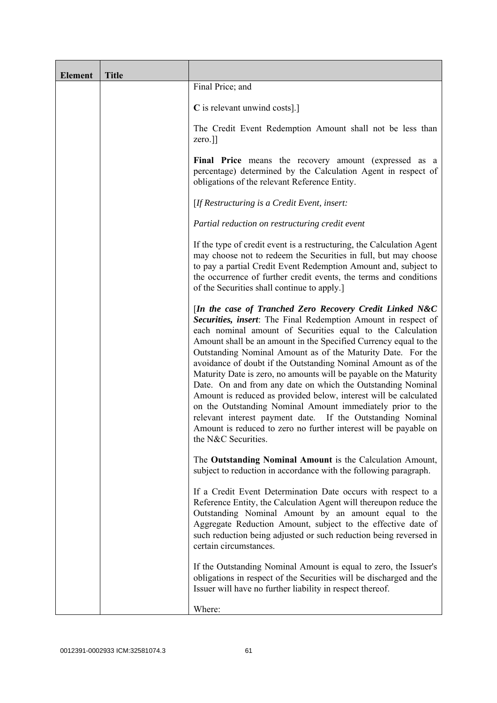| <b>Element</b> | <b>Title</b> |                                                                                                                                                                                                                                                                                                                                                                                                                                                                                                                                                                                                                                                                                                                                                                                                                             |
|----------------|--------------|-----------------------------------------------------------------------------------------------------------------------------------------------------------------------------------------------------------------------------------------------------------------------------------------------------------------------------------------------------------------------------------------------------------------------------------------------------------------------------------------------------------------------------------------------------------------------------------------------------------------------------------------------------------------------------------------------------------------------------------------------------------------------------------------------------------------------------|
|                |              | Final Price; and                                                                                                                                                                                                                                                                                                                                                                                                                                                                                                                                                                                                                                                                                                                                                                                                            |
|                |              | C is relevant unwind costs].]                                                                                                                                                                                                                                                                                                                                                                                                                                                                                                                                                                                                                                                                                                                                                                                               |
|                |              | The Credit Event Redemption Amount shall not be less than<br>zero.]]                                                                                                                                                                                                                                                                                                                                                                                                                                                                                                                                                                                                                                                                                                                                                        |
|                |              | Final Price means the recovery amount (expressed as a<br>percentage) determined by the Calculation Agent in respect of<br>obligations of the relevant Reference Entity.                                                                                                                                                                                                                                                                                                                                                                                                                                                                                                                                                                                                                                                     |
|                |              | [If Restructuring is a Credit Event, insert:                                                                                                                                                                                                                                                                                                                                                                                                                                                                                                                                                                                                                                                                                                                                                                                |
|                |              | Partial reduction on restructuring credit event                                                                                                                                                                                                                                                                                                                                                                                                                                                                                                                                                                                                                                                                                                                                                                             |
|                |              | If the type of credit event is a restructuring, the Calculation Agent<br>may choose not to redeem the Securities in full, but may choose<br>to pay a partial Credit Event Redemption Amount and, subject to<br>the occurrence of further credit events, the terms and conditions<br>of the Securities shall continue to apply.]                                                                                                                                                                                                                                                                                                                                                                                                                                                                                             |
|                |              | [In the case of Tranched Zero Recovery Credit Linked N&C<br>Securities, insert: The Final Redemption Amount in respect of<br>each nominal amount of Securities equal to the Calculation<br>Amount shall be an amount in the Specified Currency equal to the<br>Outstanding Nominal Amount as of the Maturity Date. For the<br>avoidance of doubt if the Outstanding Nominal Amount as of the<br>Maturity Date is zero, no amounts will be payable on the Maturity<br>Date. On and from any date on which the Outstanding Nominal<br>Amount is reduced as provided below, interest will be calculated<br>on the Outstanding Nominal Amount immediately prior to the<br>relevant interest payment date. If the Outstanding Nominal<br>Amount is reduced to zero no further interest will be payable on<br>the N&C Securities. |
|                |              | The Outstanding Nominal Amount is the Calculation Amount,<br>subject to reduction in accordance with the following paragraph.                                                                                                                                                                                                                                                                                                                                                                                                                                                                                                                                                                                                                                                                                               |
|                |              | If a Credit Event Determination Date occurs with respect to a<br>Reference Entity, the Calculation Agent will thereupon reduce the<br>Outstanding Nominal Amount by an amount equal to the<br>Aggregate Reduction Amount, subject to the effective date of<br>such reduction being adjusted or such reduction being reversed in<br>certain circumstances.                                                                                                                                                                                                                                                                                                                                                                                                                                                                   |
|                |              | If the Outstanding Nominal Amount is equal to zero, the Issuer's<br>obligations in respect of the Securities will be discharged and the<br>Issuer will have no further liability in respect thereof.                                                                                                                                                                                                                                                                                                                                                                                                                                                                                                                                                                                                                        |
|                |              | Where:                                                                                                                                                                                                                                                                                                                                                                                                                                                                                                                                                                                                                                                                                                                                                                                                                      |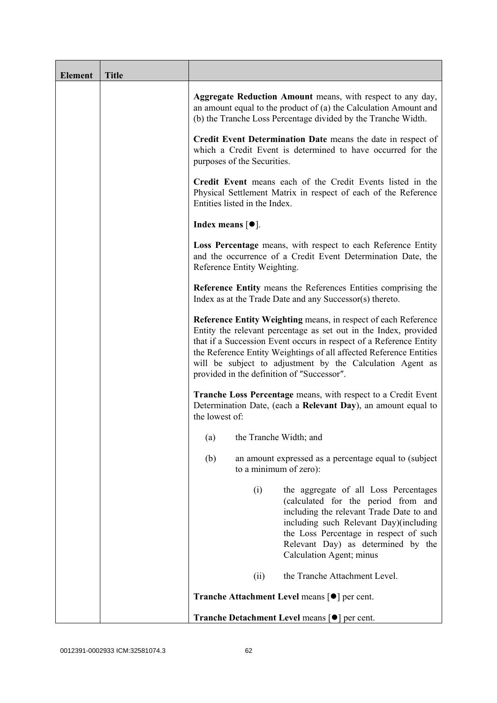| <b>Element</b> | <b>Title</b> |                                                                                                                                                                                                                                                                                                                                                                                           |
|----------------|--------------|-------------------------------------------------------------------------------------------------------------------------------------------------------------------------------------------------------------------------------------------------------------------------------------------------------------------------------------------------------------------------------------------|
|                |              | Aggregate Reduction Amount means, with respect to any day,<br>an amount equal to the product of (a) the Calculation Amount and<br>(b) the Tranche Loss Percentage divided by the Tranche Width.                                                                                                                                                                                           |
|                |              | Credit Event Determination Date means the date in respect of<br>which a Credit Event is determined to have occurred for the<br>purposes of the Securities.                                                                                                                                                                                                                                |
|                |              | Credit Event means each of the Credit Events listed in the<br>Physical Settlement Matrix in respect of each of the Reference<br>Entities listed in the Index.                                                                                                                                                                                                                             |
|                |              | Index means $[①]$ .                                                                                                                                                                                                                                                                                                                                                                       |
|                |              | Loss Percentage means, with respect to each Reference Entity<br>and the occurrence of a Credit Event Determination Date, the<br>Reference Entity Weighting.                                                                                                                                                                                                                               |
|                |              | <b>Reference Entity means the References Entities comprising the</b><br>Index as at the Trade Date and any Successor(s) thereto.                                                                                                                                                                                                                                                          |
|                |              | Reference Entity Weighting means, in respect of each Reference<br>Entity the relevant percentage as set out in the Index, provided<br>that if a Succession Event occurs in respect of a Reference Entity<br>the Reference Entity Weightings of all affected Reference Entities<br>will be subject to adjustment by the Calculation Agent as<br>provided in the definition of "Successor". |
|                |              | <b>Tranche Loss Percentage means, with respect to a Credit Event</b><br>Determination Date, (each a Relevant Day), an amount equal to<br>the lowest of:                                                                                                                                                                                                                                   |
|                |              | the Tranche Width; and<br>(a)                                                                                                                                                                                                                                                                                                                                                             |
|                |              | (b)<br>an amount expressed as a percentage equal to (subject)<br>to a minimum of zero):                                                                                                                                                                                                                                                                                                   |
|                |              | (i)<br>the aggregate of all Loss Percentages<br>(calculated for the period from and<br>including the relevant Trade Date to and<br>including such Relevant Day)(including<br>the Loss Percentage in respect of such<br>Relevant Day) as determined by the<br>Calculation Agent; minus                                                                                                     |
|                |              | the Tranche Attachment Level.<br>(ii)                                                                                                                                                                                                                                                                                                                                                     |
|                |              | <b>Tranche Attachment Level means [●] per cent.</b>                                                                                                                                                                                                                                                                                                                                       |
|                |              | Tranche Detachment Level means [●] per cent.                                                                                                                                                                                                                                                                                                                                              |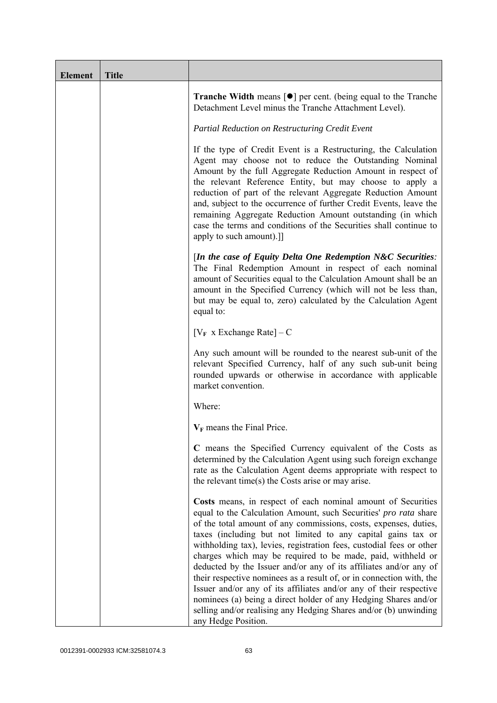| <b>Element</b> | <b>Title</b> |                                                                                                                                                                                                                                                                                                                                                                                                                                                                                                                                                                                                                                                                                                                                                                                              |
|----------------|--------------|----------------------------------------------------------------------------------------------------------------------------------------------------------------------------------------------------------------------------------------------------------------------------------------------------------------------------------------------------------------------------------------------------------------------------------------------------------------------------------------------------------------------------------------------------------------------------------------------------------------------------------------------------------------------------------------------------------------------------------------------------------------------------------------------|
|                |              | <b>Tranche Width</b> means $\lceil \bullet \rceil$ per cent. (being equal to the Tranche<br>Detachment Level minus the Tranche Attachment Level).                                                                                                                                                                                                                                                                                                                                                                                                                                                                                                                                                                                                                                            |
|                |              | Partial Reduction on Restructuring Credit Event                                                                                                                                                                                                                                                                                                                                                                                                                                                                                                                                                                                                                                                                                                                                              |
|                |              | If the type of Credit Event is a Restructuring, the Calculation<br>Agent may choose not to reduce the Outstanding Nominal<br>Amount by the full Aggregate Reduction Amount in respect of<br>the relevant Reference Entity, but may choose to apply a<br>reduction of part of the relevant Aggregate Reduction Amount<br>and, subject to the occurrence of further Credit Events, leave the<br>remaining Aggregate Reduction Amount outstanding (in which<br>case the terms and conditions of the Securities shall continue to<br>apply to such amount).]]                                                                                                                                                                                                                                    |
|                |              | [In the case of Equity Delta One Redemption $N\&C$ Securities:<br>The Final Redemption Amount in respect of each nominal<br>amount of Securities equal to the Calculation Amount shall be an<br>amount in the Specified Currency (which will not be less than,<br>but may be equal to, zero) calculated by the Calculation Agent<br>equal to:                                                                                                                                                                                                                                                                                                                                                                                                                                                |
|                |              | $[V_F \times Exchange Rate] - C$                                                                                                                                                                                                                                                                                                                                                                                                                                                                                                                                                                                                                                                                                                                                                             |
|                |              | Any such amount will be rounded to the nearest sub-unit of the<br>relevant Specified Currency, half of any such sub-unit being<br>rounded upwards or otherwise in accordance with applicable<br>market convention.                                                                                                                                                                                                                                                                                                                                                                                                                                                                                                                                                                           |
|                |              | Where:                                                                                                                                                                                                                                                                                                                                                                                                                                                                                                                                                                                                                                                                                                                                                                                       |
|                |              | $V_F$ means the Final Price.                                                                                                                                                                                                                                                                                                                                                                                                                                                                                                                                                                                                                                                                                                                                                                 |
|                |              | C means the Specified Currency equivalent of the Costs as<br>determined by the Calculation Agent using such foreign exchange<br>rate as the Calculation Agent deems appropriate with respect to<br>the relevant time(s) the Costs arise or may arise.                                                                                                                                                                                                                                                                                                                                                                                                                                                                                                                                        |
|                |              | Costs means, in respect of each nominal amount of Securities<br>equal to the Calculation Amount, such Securities' pro rata share<br>of the total amount of any commissions, costs, expenses, duties,<br>taxes (including but not limited to any capital gains tax or<br>withholding tax), levies, registration fees, custodial fees or other<br>charges which may be required to be made, paid, withheld or<br>deducted by the Issuer and/or any of its affiliates and/or any of<br>their respective nominees as a result of, or in connection with, the<br>Issuer and/or any of its affiliates and/or any of their respective<br>nominees (a) being a direct holder of any Hedging Shares and/or<br>selling and/or realising any Hedging Shares and/or (b) unwinding<br>any Hedge Position. |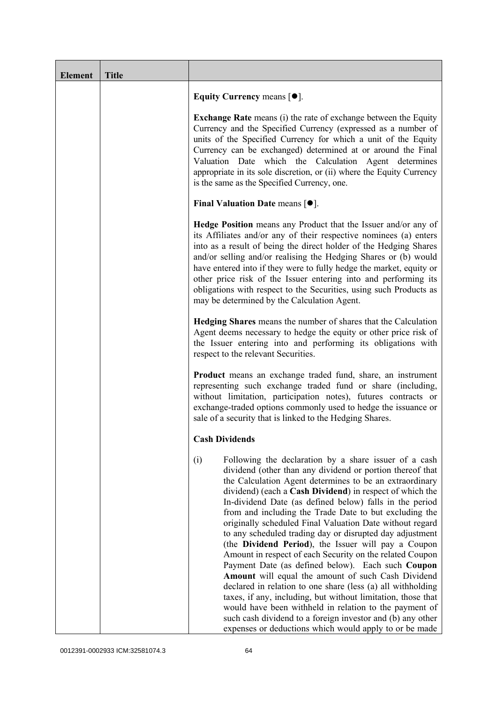| <b>Element</b> | <b>Title</b> |                                                                                                                                                                                                                                                                                                                                                                                                                                                                                                                                                                                                                                                                                                                                                                                                                                                                                                                                                                                                                                              |
|----------------|--------------|----------------------------------------------------------------------------------------------------------------------------------------------------------------------------------------------------------------------------------------------------------------------------------------------------------------------------------------------------------------------------------------------------------------------------------------------------------------------------------------------------------------------------------------------------------------------------------------------------------------------------------------------------------------------------------------------------------------------------------------------------------------------------------------------------------------------------------------------------------------------------------------------------------------------------------------------------------------------------------------------------------------------------------------------|
|                |              | Equity Currency means $[\bullet].$                                                                                                                                                                                                                                                                                                                                                                                                                                                                                                                                                                                                                                                                                                                                                                                                                                                                                                                                                                                                           |
|                |              | <b>Exchange Rate</b> means (i) the rate of exchange between the Equity<br>Currency and the Specified Currency (expressed as a number of<br>units of the Specified Currency for which a unit of the Equity<br>Currency can be exchanged) determined at or around the Final<br>Valuation Date which the Calculation Agent determines<br>appropriate in its sole discretion, or (ii) where the Equity Currency<br>is the same as the Specified Currency, one.                                                                                                                                                                                                                                                                                                                                                                                                                                                                                                                                                                                   |
|                |              | Final Valuation Date means $[•]$ .                                                                                                                                                                                                                                                                                                                                                                                                                                                                                                                                                                                                                                                                                                                                                                                                                                                                                                                                                                                                           |
|                |              | <b>Hedge Position</b> means any Product that the Issuer and/or any of<br>its Affiliates and/or any of their respective nominees (a) enters<br>into as a result of being the direct holder of the Hedging Shares<br>and/or selling and/or realising the Hedging Shares or (b) would<br>have entered into if they were to fully hedge the market, equity or<br>other price risk of the Issuer entering into and performing its<br>obligations with respect to the Securities, using such Products as<br>may be determined by the Calculation Agent.                                                                                                                                                                                                                                                                                                                                                                                                                                                                                            |
|                |              | Hedging Shares means the number of shares that the Calculation<br>Agent deems necessary to hedge the equity or other price risk of<br>the Issuer entering into and performing its obligations with<br>respect to the relevant Securities.                                                                                                                                                                                                                                                                                                                                                                                                                                                                                                                                                                                                                                                                                                                                                                                                    |
|                |              | <b>Product</b> means an exchange traded fund, share, an instrument<br>representing such exchange traded fund or share (including,<br>without limitation, participation notes), futures contracts or<br>exchange-traded options commonly used to hedge the issuance or<br>sale of a security that is linked to the Hedging Shares.                                                                                                                                                                                                                                                                                                                                                                                                                                                                                                                                                                                                                                                                                                            |
|                |              | <b>Cash Dividends</b>                                                                                                                                                                                                                                                                                                                                                                                                                                                                                                                                                                                                                                                                                                                                                                                                                                                                                                                                                                                                                        |
|                |              | (i)<br>Following the declaration by a share issuer of a cash<br>dividend (other than any dividend or portion thereof that<br>the Calculation Agent determines to be an extraordinary<br>dividend) (each a Cash Dividend) in respect of which the<br>In-dividend Date (as defined below) falls in the period<br>from and including the Trade Date to but excluding the<br>originally scheduled Final Valuation Date without regard<br>to any scheduled trading day or disrupted day adjustment<br>(the Dividend Period), the Issuer will pay a Coupon<br>Amount in respect of each Security on the related Coupon<br>Payment Date (as defined below). Each such Coupon<br>Amount will equal the amount of such Cash Dividend<br>declared in relation to one share (less (a) all withholding<br>taxes, if any, including, but without limitation, those that<br>would have been withheld in relation to the payment of<br>such cash dividend to a foreign investor and (b) any other<br>expenses or deductions which would apply to or be made |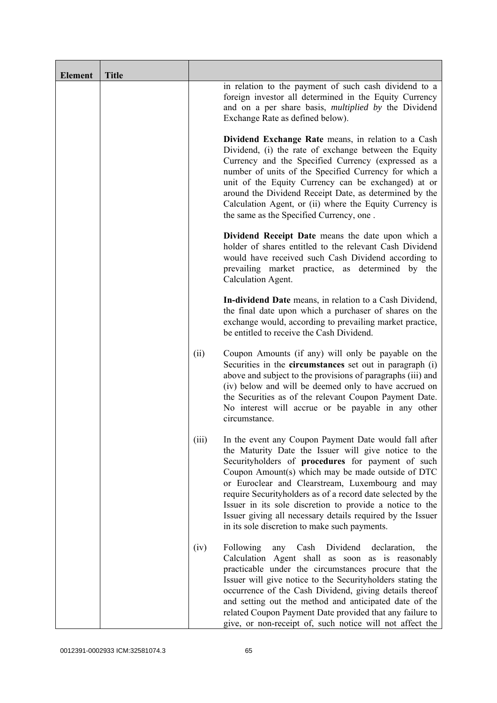| <b>Element</b> | <b>Title</b> |       |                                                                                                                                                                                                                                                                                                                                                                                                                                                                                                                       |
|----------------|--------------|-------|-----------------------------------------------------------------------------------------------------------------------------------------------------------------------------------------------------------------------------------------------------------------------------------------------------------------------------------------------------------------------------------------------------------------------------------------------------------------------------------------------------------------------|
|                |              |       | in relation to the payment of such cash dividend to a<br>foreign investor all determined in the Equity Currency<br>and on a per share basis, <i>multiplied by</i> the Dividend<br>Exchange Rate as defined below).                                                                                                                                                                                                                                                                                                    |
|                |              |       | Dividend Exchange Rate means, in relation to a Cash<br>Dividend, (i) the rate of exchange between the Equity<br>Currency and the Specified Currency (expressed as a<br>number of units of the Specified Currency for which a<br>unit of the Equity Currency can be exchanged) at or<br>around the Dividend Receipt Date, as determined by the<br>Calculation Agent, or (ii) where the Equity Currency is<br>the same as the Specified Currency, one.                                                                  |
|                |              |       | Dividend Receipt Date means the date upon which a<br>holder of shares entitled to the relevant Cash Dividend<br>would have received such Cash Dividend according to<br>prevailing market practice, as determined by the<br>Calculation Agent.                                                                                                                                                                                                                                                                         |
|                |              |       | In-dividend Date means, in relation to a Cash Dividend,<br>the final date upon which a purchaser of shares on the<br>exchange would, according to prevailing market practice,<br>be entitled to receive the Cash Dividend.                                                                                                                                                                                                                                                                                            |
|                |              | (ii)  | Coupon Amounts (if any) will only be payable on the<br>Securities in the <b>circumstances</b> set out in paragraph (i)<br>above and subject to the provisions of paragraphs (iii) and<br>(iv) below and will be deemed only to have accrued on<br>the Securities as of the relevant Coupon Payment Date.<br>No interest will accrue or be payable in any other<br>circumstance.                                                                                                                                       |
|                |              | (iii) | In the event any Coupon Payment Date would fall after<br>the Maturity Date the Issuer will give notice to the<br>Securityholders of procedures for payment of such<br>Coupon Amount(s) which may be made outside of DTC<br>or Euroclear and Clearstream, Luxembourg and may<br>require Securityholders as of a record date selected by the<br>Issuer in its sole discretion to provide a notice to the<br>Issuer giving all necessary details required by the Issuer<br>in its sole discretion to make such payments. |
|                |              | (iv)  | Dividend<br>Following<br>Cash<br>declaration,<br>the<br>any<br>Calculation Agent shall as soon as is reasonably<br>practicable under the circumstances procure that the<br>Issuer will give notice to the Securityholders stating the<br>occurrence of the Cash Dividend, giving details thereof<br>and setting out the method and anticipated date of the<br>related Coupon Payment Date provided that any failure to<br>give, or non-receipt of, such notice will not affect the                                    |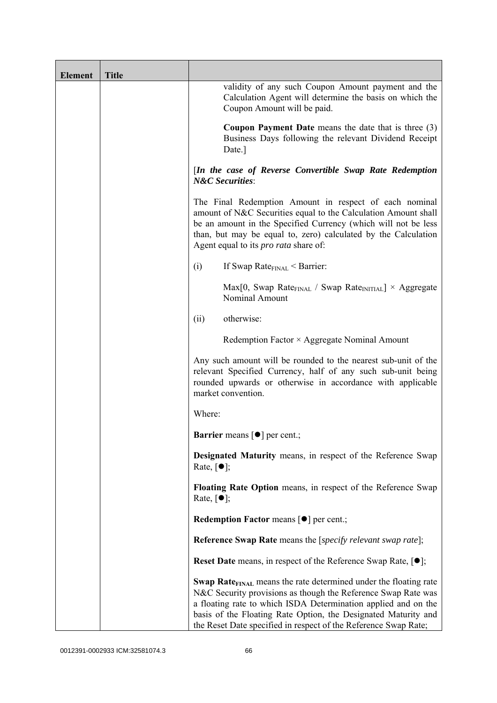| <b>Element</b> | <b>Title</b> |                                                                                                                                                                                                                                                                                                                                                             |
|----------------|--------------|-------------------------------------------------------------------------------------------------------------------------------------------------------------------------------------------------------------------------------------------------------------------------------------------------------------------------------------------------------------|
|                |              | validity of any such Coupon Amount payment and the<br>Calculation Agent will determine the basis on which the<br>Coupon Amount will be paid.                                                                                                                                                                                                                |
|                |              | <b>Coupon Payment Date</b> means the date that is three $(3)$<br>Business Days following the relevant Dividend Receipt<br>Date.]                                                                                                                                                                                                                            |
|                |              | [In the case of Reverse Convertible Swap Rate Redemption<br><b>N&amp;C</b> Securities:                                                                                                                                                                                                                                                                      |
|                |              | The Final Redemption Amount in respect of each nominal<br>amount of N&C Securities equal to the Calculation Amount shall<br>be an amount in the Specified Currency (which will not be less<br>than, but may be equal to, zero) calculated by the Calculation<br>Agent equal to its <i>pro rata</i> share of:                                                |
|                |              | If Swap Rate $_{\text{FINAL}}$ < Barrier:<br>(i)                                                                                                                                                                                                                                                                                                            |
|                |              | $Max[0, Swap Rate_{FINAL} / Swap Rate_{INITIAL}] \times Aggregate$<br>Nominal Amount                                                                                                                                                                                                                                                                        |
|                |              | otherwise:<br>(ii)                                                                                                                                                                                                                                                                                                                                          |
|                |              | Redemption Factor $\times$ Aggregate Nominal Amount                                                                                                                                                                                                                                                                                                         |
|                |              | Any such amount will be rounded to the nearest sub-unit of the<br>relevant Specified Currency, half of any such sub-unit being<br>rounded upwards or otherwise in accordance with applicable<br>market convention.                                                                                                                                          |
|                |              | Where:                                                                                                                                                                                                                                                                                                                                                      |
|                |              | <b>Barrier</b> means $\lceil \bullet \rceil$ per cent.;                                                                                                                                                                                                                                                                                                     |
|                |              | Designated Maturity means, in respect of the Reference Swap<br>Rate, $\lceil \bullet \rceil$ ;                                                                                                                                                                                                                                                              |
|                |              | Floating Rate Option means, in respect of the Reference Swap<br>Rate, $\lceil \bullet \rceil$ ;                                                                                                                                                                                                                                                             |
|                |              | <b>Redemption Factor means [O] per cent.;</b>                                                                                                                                                                                                                                                                                                               |
|                |              | <b>Reference Swap Rate</b> means the [ <i>specify relevant swap rate</i> ];                                                                                                                                                                                                                                                                                 |
|                |              | <b>Reset Date</b> means, in respect of the Reference Swap Rate, $[•]$ ;                                                                                                                                                                                                                                                                                     |
|                |              | <b>Swap Rate</b> <sub>FINAL</sub> means the rate determined under the floating rate<br>N&C Security provisions as though the Reference Swap Rate was<br>a floating rate to which ISDA Determination applied and on the<br>basis of the Floating Rate Option, the Designated Maturity and<br>the Reset Date specified in respect of the Reference Swap Rate; |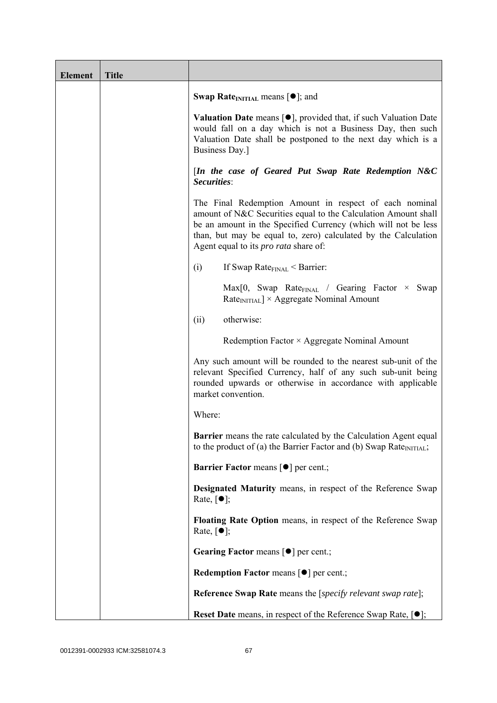| <b>Element</b> | <b>Title</b> |                                                                                                                                                                                                                                                                                                              |
|----------------|--------------|--------------------------------------------------------------------------------------------------------------------------------------------------------------------------------------------------------------------------------------------------------------------------------------------------------------|
|                |              | <b>Swap Rate</b> <sub>INITIAL</sub> means $[\bullet]$ ; and                                                                                                                                                                                                                                                  |
|                |              | <b>Valuation Date</b> means $[\bullet]$ , provided that, if such Valuation Date<br>would fall on a day which is not a Business Day, then such<br>Valuation Date shall be postponed to the next day which is a<br>Business Day.]                                                                              |
|                |              | [In the case of Geared Put Swap Rate Redemption N&C<br>Securities:                                                                                                                                                                                                                                           |
|                |              | The Final Redemption Amount in respect of each nominal<br>amount of N&C Securities equal to the Calculation Amount shall<br>be an amount in the Specified Currency (which will not be less<br>than, but may be equal to, zero) calculated by the Calculation<br>Agent equal to its <i>pro rata</i> share of: |
|                |              | If Swap Rate $_{\text{FINAL}}$ < Barrier:<br>(i)                                                                                                                                                                                                                                                             |
|                |              | $Max[0, Swap Rate_{FINAL} / Gearing Factor \times Swap$<br>$RateINITIAL$ × Aggregate Nominal Amount                                                                                                                                                                                                          |
|                |              | otherwise:<br>(ii)                                                                                                                                                                                                                                                                                           |
|                |              | Redemption Factor × Aggregate Nominal Amount                                                                                                                                                                                                                                                                 |
|                |              | Any such amount will be rounded to the nearest sub-unit of the<br>relevant Specified Currency, half of any such sub-unit being<br>rounded upwards or otherwise in accordance with applicable<br>market convention.                                                                                           |
|                |              | Where:                                                                                                                                                                                                                                                                                                       |
|                |              | Barrier means the rate calculated by the Calculation Agent equal<br>to the product of (a) the Barrier Factor and (b) Swap Rate <sub>INITIAL</sub> ;                                                                                                                                                          |
|                |              | <b>Barrier Factor means [O] per cent.;</b>                                                                                                                                                                                                                                                                   |
|                |              | Designated Maturity means, in respect of the Reference Swap<br>Rate, $\lceil \bullet \rceil$ ;                                                                                                                                                                                                               |
|                |              | Floating Rate Option means, in respect of the Reference Swap<br>Rate, $\lceil \bullet \rceil$ ;                                                                                                                                                                                                              |
|                |              | Gearing Factor means [ $\bullet$ ] per cent.;                                                                                                                                                                                                                                                                |
|                |              | Redemption Factor means [ $\bullet$ ] per cent.;                                                                                                                                                                                                                                                             |
|                |              | <b>Reference Swap Rate</b> means the [specify relevant swap rate];                                                                                                                                                                                                                                           |
|                |              | <b>Reset Date</b> means, in respect of the Reference Swap Rate, $[•]$ ;                                                                                                                                                                                                                                      |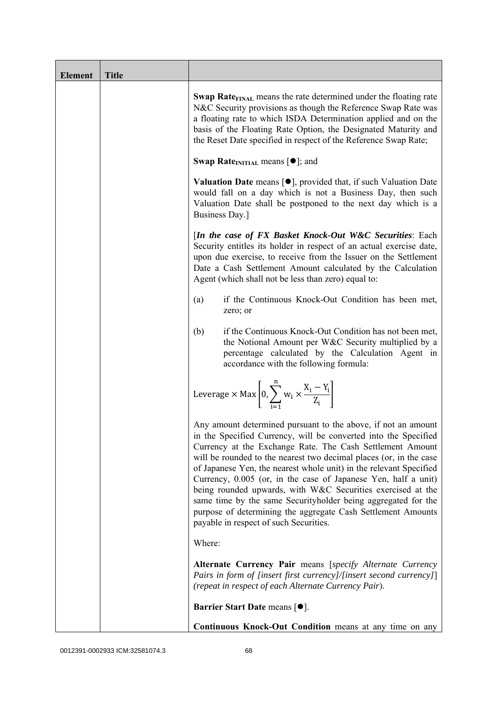| <b>Element</b> | <b>Title</b> |                                                                                                                                                                                                                                                                                                                                                                                                                                                                                                                                                                                                                                                       |
|----------------|--------------|-------------------------------------------------------------------------------------------------------------------------------------------------------------------------------------------------------------------------------------------------------------------------------------------------------------------------------------------------------------------------------------------------------------------------------------------------------------------------------------------------------------------------------------------------------------------------------------------------------------------------------------------------------|
|                |              | <b>Swap Rate</b> <sub>FINAL</sub> means the rate determined under the floating rate<br>N&C Security provisions as though the Reference Swap Rate was<br>a floating rate to which ISDA Determination applied and on the<br>basis of the Floating Rate Option, the Designated Maturity and<br>the Reset Date specified in respect of the Reference Swap Rate;                                                                                                                                                                                                                                                                                           |
|                |              | <b>Swap Rate</b> <sub>INITIAL</sub> means $[\bullet]$ ; and                                                                                                                                                                                                                                                                                                                                                                                                                                                                                                                                                                                           |
|                |              | <b>Valuation Date</b> means $[\bullet]$ , provided that, if such Valuation Date<br>would fall on a day which is not a Business Day, then such<br>Valuation Date shall be postponed to the next day which is a<br>Business Day.]                                                                                                                                                                                                                                                                                                                                                                                                                       |
|                |              | [In the case of FX Basket Knock-Out W&C Securities: Each<br>Security entitles its holder in respect of an actual exercise date,<br>upon due exercise, to receive from the Issuer on the Settlement<br>Date a Cash Settlement Amount calculated by the Calculation<br>Agent (which shall not be less than zero) equal to:                                                                                                                                                                                                                                                                                                                              |
|                |              | if the Continuous Knock-Out Condition has been met,<br>(a)<br>zero; or                                                                                                                                                                                                                                                                                                                                                                                                                                                                                                                                                                                |
|                |              | if the Continuous Knock-Out Condition has not been met,<br>(b)<br>the Notional Amount per W&C Security multiplied by a<br>percentage calculated by the Calculation Agent in<br>accordance with the following formula:                                                                                                                                                                                                                                                                                                                                                                                                                                 |
|                |              | Leverage $\times$ Max $\left  0, \sum_{i=1}^{n} w_i \times \frac{X_i - Y_i}{Z_i} \right $                                                                                                                                                                                                                                                                                                                                                                                                                                                                                                                                                             |
|                |              | Any amount determined pursuant to the above, if not an amount<br>in the Specified Currency, will be converted into the Specified<br>Currency at the Exchange Rate. The Cash Settlement Amount<br>will be rounded to the nearest two decimal places (or, in the case<br>of Japanese Yen, the nearest whole unit) in the relevant Specified<br>Currency, 0.005 (or, in the case of Japanese Yen, half a unit)<br>being rounded upwards, with W&C Securities exercised at the<br>same time by the same Securityholder being aggregated for the<br>purpose of determining the aggregate Cash Settlement Amounts<br>payable in respect of such Securities. |
|                |              | Where:                                                                                                                                                                                                                                                                                                                                                                                                                                                                                                                                                                                                                                                |
|                |              | Alternate Currency Pair means [specify Alternate Currency<br>Pairs in form of [insert first currency]/[insert second currency]]<br>(repeat in respect of each Alternate Currency Pair).                                                                                                                                                                                                                                                                                                                                                                                                                                                               |
|                |              | <b>Barrier Start Date means [<math>\bullet</math>].</b>                                                                                                                                                                                                                                                                                                                                                                                                                                                                                                                                                                                               |
|                |              | Continuous Knock-Out Condition means at any time on any                                                                                                                                                                                                                                                                                                                                                                                                                                                                                                                                                                                               |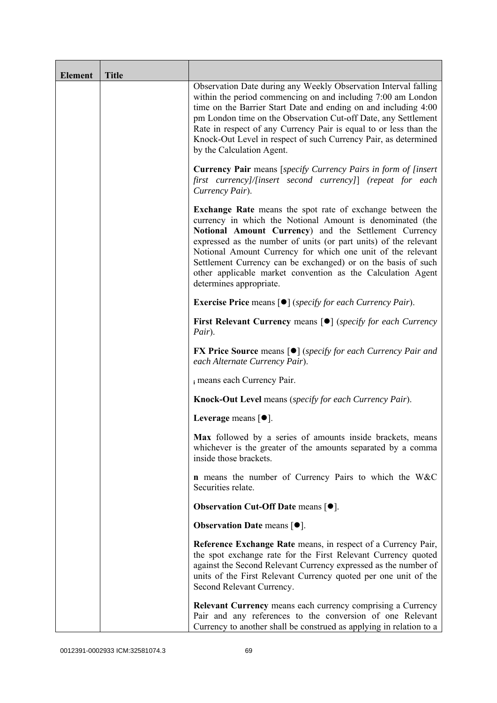| <b>Element</b> | <b>Title</b> |                                                                                                                                                                                                                                                                                                                                                                                                                                                                                      |
|----------------|--------------|--------------------------------------------------------------------------------------------------------------------------------------------------------------------------------------------------------------------------------------------------------------------------------------------------------------------------------------------------------------------------------------------------------------------------------------------------------------------------------------|
|                |              | Observation Date during any Weekly Observation Interval falling<br>within the period commencing on and including 7:00 am London<br>time on the Barrier Start Date and ending on and including 4:00<br>pm London time on the Observation Cut-off Date, any Settlement<br>Rate in respect of any Currency Pair is equal to or less than the<br>Knock-Out Level in respect of such Currency Pair, as determined<br>by the Calculation Agent.                                            |
|                |              | <b>Currency Pair</b> means [specify Currency Pairs in form of [insert]<br>first currency]/[insert second currency]] (repeat for each<br>Currency Pair).                                                                                                                                                                                                                                                                                                                              |
|                |              | <b>Exchange Rate</b> means the spot rate of exchange between the<br>currency in which the Notional Amount is denominated (the<br>Notional Amount Currency) and the Settlement Currency<br>expressed as the number of units (or part units) of the relevant<br>Notional Amount Currency for which one unit of the relevant<br>Settlement Currency can be exchanged) or on the basis of such<br>other applicable market convention as the Calculation Agent<br>determines appropriate. |
|                |              | <b>Exercise Price</b> means $\lceil \bullet \rceil$ ( <i>specify for each Currency Pair</i> ).                                                                                                                                                                                                                                                                                                                                                                                       |
|                |              | <b>First Relevant Currency means [O]</b> (specify for each Currency<br>Pair).                                                                                                                                                                                                                                                                                                                                                                                                        |
|                |              | <b>FX Price Source</b> means $\lceil \bullet \rceil$ (specify for each Currency Pair and<br>each Alternate Currency Pair).                                                                                                                                                                                                                                                                                                                                                           |
|                |              | i means each Currency Pair.                                                                                                                                                                                                                                                                                                                                                                                                                                                          |
|                |              | <b>Knock-Out Level</b> means (specify for each Currency Pair).                                                                                                                                                                                                                                                                                                                                                                                                                       |
|                |              | Leverage means $[•]$ .                                                                                                                                                                                                                                                                                                                                                                                                                                                               |
|                |              | Max followed by a series of amounts inside brackets, means<br>whichever is the greater of the amounts separated by a comma<br>inside those brackets.                                                                                                                                                                                                                                                                                                                                 |
|                |              | <b>n</b> means the number of Currency Pairs to which the W&C<br>Securities relate.                                                                                                                                                                                                                                                                                                                                                                                                   |
|                |              | <b>Observation Cut-Off Date means <math>[•]</math>.</b>                                                                                                                                                                                                                                                                                                                                                                                                                              |
|                |              | <b>Observation Date means <math>\lceil \bullet \rceil</math>.</b>                                                                                                                                                                                                                                                                                                                                                                                                                    |
|                |              | Reference Exchange Rate means, in respect of a Currency Pair,<br>the spot exchange rate for the First Relevant Currency quoted<br>against the Second Relevant Currency expressed as the number of<br>units of the First Relevant Currency quoted per one unit of the<br>Second Relevant Currency.                                                                                                                                                                                    |
|                |              | <b>Relevant Currency</b> means each currency comprising a Currency<br>Pair and any references to the conversion of one Relevant<br>Currency to another shall be construed as applying in relation to a                                                                                                                                                                                                                                                                               |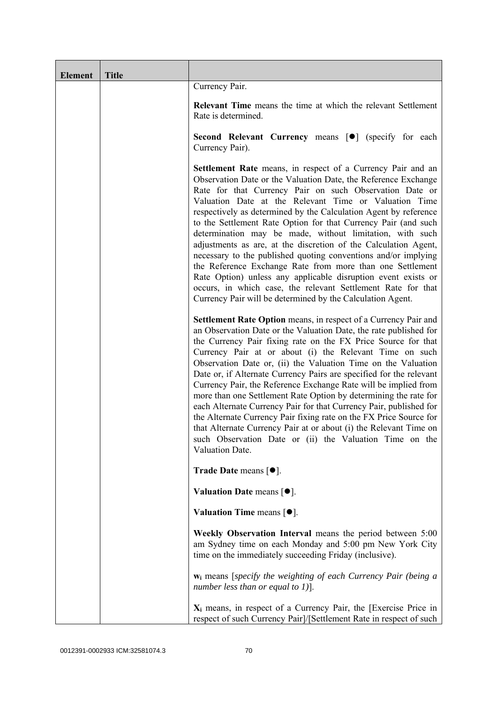| <b>Element</b> | <b>Title</b> |                                                                                                                                                                                                                                                                                                                                                                                                                                                                                                                                                                                                                                                                                                                                                                                                                                                             |
|----------------|--------------|-------------------------------------------------------------------------------------------------------------------------------------------------------------------------------------------------------------------------------------------------------------------------------------------------------------------------------------------------------------------------------------------------------------------------------------------------------------------------------------------------------------------------------------------------------------------------------------------------------------------------------------------------------------------------------------------------------------------------------------------------------------------------------------------------------------------------------------------------------------|
|                |              | Currency Pair.                                                                                                                                                                                                                                                                                                                                                                                                                                                                                                                                                                                                                                                                                                                                                                                                                                              |
|                |              | <b>Relevant Time</b> means the time at which the relevant Settlement<br>Rate is determined.                                                                                                                                                                                                                                                                                                                                                                                                                                                                                                                                                                                                                                                                                                                                                                 |
|                |              | Second Relevant Currency means [ $\bullet$ ] (specify for each<br>Currency Pair).                                                                                                                                                                                                                                                                                                                                                                                                                                                                                                                                                                                                                                                                                                                                                                           |
|                |              | <b>Settlement Rate</b> means, in respect of a Currency Pair and an<br>Observation Date or the Valuation Date, the Reference Exchange<br>Rate for that Currency Pair on such Observation Date or<br>Valuation Date at the Relevant Time or Valuation Time<br>respectively as determined by the Calculation Agent by reference<br>to the Settlement Rate Option for that Currency Pair (and such<br>determination may be made, without limitation, with such<br>adjustments as are, at the discretion of the Calculation Agent,<br>necessary to the published quoting conventions and/or implying<br>the Reference Exchange Rate from more than one Settlement<br>Rate Option) unless any applicable disruption event exists or<br>occurs, in which case, the relevant Settlement Rate for that<br>Currency Pair will be determined by the Calculation Agent. |
|                |              | Settlement Rate Option means, in respect of a Currency Pair and<br>an Observation Date or the Valuation Date, the rate published for<br>the Currency Pair fixing rate on the FX Price Source for that<br>Currency Pair at or about (i) the Relevant Time on such<br>Observation Date or, (ii) the Valuation Time on the Valuation<br>Date or, if Alternate Currency Pairs are specified for the relevant<br>Currency Pair, the Reference Exchange Rate will be implied from<br>more than one Settlement Rate Option by determining the rate for<br>each Alternate Currency Pair for that Currency Pair, published for<br>the Alternate Currency Pair fixing rate on the FX Price Source for<br>that Alternate Currency Pair at or about (i) the Relevant Time on<br>such Observation Date or (ii) the Valuation Time on the<br>Valuation Date.              |
|                |              | <b>Trade Date means <math>\lceil \bullet \rceil</math>.</b>                                                                                                                                                                                                                                                                                                                                                                                                                                                                                                                                                                                                                                                                                                                                                                                                 |
|                |              | Valuation Date means $[•]$ .                                                                                                                                                                                                                                                                                                                                                                                                                                                                                                                                                                                                                                                                                                                                                                                                                                |
|                |              | Valuation Time means $[\bullet].$                                                                                                                                                                                                                                                                                                                                                                                                                                                                                                                                                                                                                                                                                                                                                                                                                           |
|                |              | Weekly Observation Interval means the period between 5:00<br>am Sydney time on each Monday and 5:00 pm New York City<br>time on the immediately succeeding Friday (inclusive).                                                                                                                                                                                                                                                                                                                                                                                                                                                                                                                                                                                                                                                                              |
|                |              | $w_i$ means [specify the weighting of each Currency Pair (being a<br>number less than or equal to 1)].                                                                                                                                                                                                                                                                                                                                                                                                                                                                                                                                                                                                                                                                                                                                                      |
|                |              | $X_i$ means, in respect of a Currency Pair, the [Exercise Price in<br>respect of such Currency Pair]/[Settlement Rate in respect of such                                                                                                                                                                                                                                                                                                                                                                                                                                                                                                                                                                                                                                                                                                                    |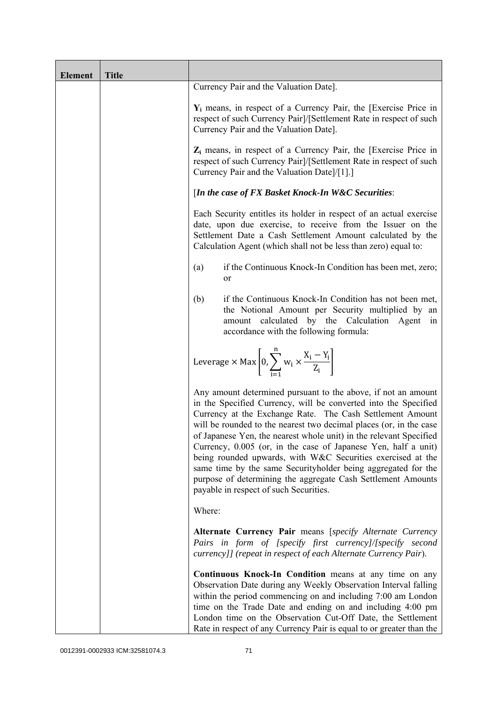| <b>Element</b> | <b>Title</b> |                                                                                                                                                                                                                                                                                                                                                                                                                                                                                                                                                                                                                                                       |
|----------------|--------------|-------------------------------------------------------------------------------------------------------------------------------------------------------------------------------------------------------------------------------------------------------------------------------------------------------------------------------------------------------------------------------------------------------------------------------------------------------------------------------------------------------------------------------------------------------------------------------------------------------------------------------------------------------|
|                |              | Currency Pair and the Valuation Date].                                                                                                                                                                                                                                                                                                                                                                                                                                                                                                                                                                                                                |
|                |              | $Y_i$ means, in respect of a Currency Pair, the [Exercise Price in<br>respect of such Currency Pair]/[Settlement Rate in respect of such<br>Currency Pair and the Valuation Date].                                                                                                                                                                                                                                                                                                                                                                                                                                                                    |
|                |              | $Z_i$ means, in respect of a Currency Pair, the [Exercise Price in<br>respect of such Currency Pair]/[Settlement Rate in respect of such<br>Currency Pair and the Valuation Date]/[1].]                                                                                                                                                                                                                                                                                                                                                                                                                                                               |
|                |              | [In the case of FX Basket Knock-In W&C Securities:                                                                                                                                                                                                                                                                                                                                                                                                                                                                                                                                                                                                    |
|                |              | Each Security entitles its holder in respect of an actual exercise<br>date, upon due exercise, to receive from the Issuer on the<br>Settlement Date a Cash Settlement Amount calculated by the<br>Calculation Agent (which shall not be less than zero) equal to:                                                                                                                                                                                                                                                                                                                                                                                     |
|                |              | if the Continuous Knock-In Condition has been met, zero;<br>(a)<br>or                                                                                                                                                                                                                                                                                                                                                                                                                                                                                                                                                                                 |
|                |              | if the Continuous Knock-In Condition has not been met,<br>(b)<br>the Notional Amount per Security multiplied by an<br>amount calculated by the Calculation Agent<br>in<br>accordance with the following formula:                                                                                                                                                                                                                                                                                                                                                                                                                                      |
|                |              | Leverage $\times$ Max $\left[0, \sum_{i=1}^{n} w_i \times \frac{X_i - Y_i}{Z_i}\right]$                                                                                                                                                                                                                                                                                                                                                                                                                                                                                                                                                               |
|                |              | Any amount determined pursuant to the above, if not an amount<br>in the Specified Currency, will be converted into the Specified<br>Currency at the Exchange Rate. The Cash Settlement Amount<br>will be rounded to the nearest two decimal places (or, in the case<br>of Japanese Yen, the nearest whole unit) in the relevant Specified<br>Currency, 0.005 (or, in the case of Japanese Yen, half a unit)<br>being rounded upwards, with W&C Securities exercised at the<br>same time by the same Securityholder being aggregated for the<br>purpose of determining the aggregate Cash Settlement Amounts<br>payable in respect of such Securities. |
|                |              | Where:                                                                                                                                                                                                                                                                                                                                                                                                                                                                                                                                                                                                                                                |
|                |              | Alternate Currency Pair means [specify Alternate Currency<br>Pairs in form of [specify first currency]/[specify second<br>currency]] (repeat in respect of each Alternate Currency Pair).                                                                                                                                                                                                                                                                                                                                                                                                                                                             |
|                |              | Continuous Knock-In Condition means at any time on any<br>Observation Date during any Weekly Observation Interval falling<br>within the period commencing on and including 7:00 am London<br>time on the Trade Date and ending on and including 4:00 pm<br>London time on the Observation Cut-Off Date, the Settlement<br>Rate in respect of any Currency Pair is equal to or greater than the                                                                                                                                                                                                                                                        |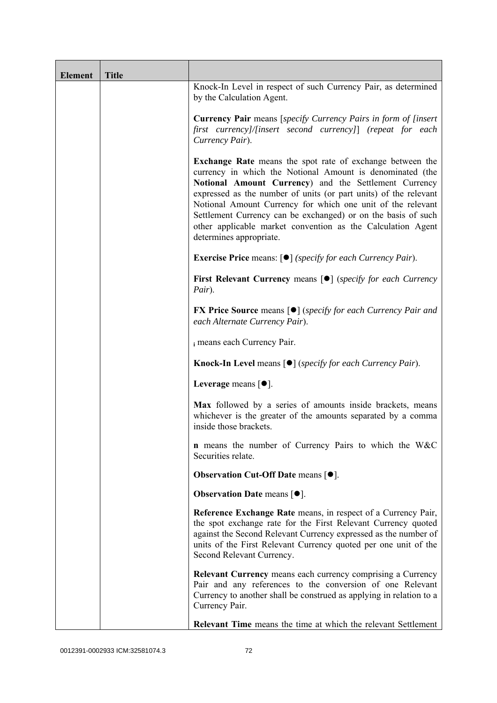| <b>Element</b> | <b>Title</b> |                                                                                                                                                                                                                                                                                                                                                                                                                                                                                      |
|----------------|--------------|--------------------------------------------------------------------------------------------------------------------------------------------------------------------------------------------------------------------------------------------------------------------------------------------------------------------------------------------------------------------------------------------------------------------------------------------------------------------------------------|
|                |              | Knock-In Level in respect of such Currency Pair, as determined<br>by the Calculation Agent.                                                                                                                                                                                                                                                                                                                                                                                          |
|                |              | <b>Currency Pair</b> means [specify Currency Pairs in form of [insert]<br>first currency]/[insert second currency]] (repeat for each<br>Currency Pair).                                                                                                                                                                                                                                                                                                                              |
|                |              | <b>Exchange Rate</b> means the spot rate of exchange between the<br>currency in which the Notional Amount is denominated (the<br>Notional Amount Currency) and the Settlement Currency<br>expressed as the number of units (or part units) of the relevant<br>Notional Amount Currency for which one unit of the relevant<br>Settlement Currency can be exchanged) or on the basis of such<br>other applicable market convention as the Calculation Agent<br>determines appropriate. |
|                |              | <b>Exercise Price</b> means: $\lceil \bullet \rceil$ ( <i>specify for each Currency Pair</i> ).                                                                                                                                                                                                                                                                                                                                                                                      |
|                |              | <b>First Relevant Currency means [O]</b> ( <i>specify for each Currency</i><br>Pair).                                                                                                                                                                                                                                                                                                                                                                                                |
|                |              | <b>FX Price Source</b> means $\lceil \bullet \rceil$ (specify for each Currency Pair and<br>each Alternate Currency Pair).                                                                                                                                                                                                                                                                                                                                                           |
|                |              | i means each Currency Pair.                                                                                                                                                                                                                                                                                                                                                                                                                                                          |
|                |              | <b>Knock-In Level means <math>\lceil \bullet \rceil</math> (specify for each Currency Pair).</b>                                                                                                                                                                                                                                                                                                                                                                                     |
|                |              | Leverage means [ $\bullet$ ].                                                                                                                                                                                                                                                                                                                                                                                                                                                        |
|                |              | Max followed by a series of amounts inside brackets, means<br>whichever is the greater of the amounts separated by a comma<br>inside those brackets.                                                                                                                                                                                                                                                                                                                                 |
|                |              | <b>n</b> means the number of Currency Pairs to which the W&C<br>Securities relate.                                                                                                                                                                                                                                                                                                                                                                                                   |
|                |              | <b>Observation Cut-Off Date means <math>[•]</math>.</b>                                                                                                                                                                                                                                                                                                                                                                                                                              |
|                |              | <b>Observation Date means <math>\lceil \bullet \rceil</math>.</b>                                                                                                                                                                                                                                                                                                                                                                                                                    |
|                |              | Reference Exchange Rate means, in respect of a Currency Pair,<br>the spot exchange rate for the First Relevant Currency quoted<br>against the Second Relevant Currency expressed as the number of<br>units of the First Relevant Currency quoted per one unit of the<br>Second Relevant Currency.                                                                                                                                                                                    |
|                |              | Relevant Currency means each currency comprising a Currency<br>Pair and any references to the conversion of one Relevant<br>Currency to another shall be construed as applying in relation to a<br>Currency Pair.                                                                                                                                                                                                                                                                    |
|                |              | <b>Relevant Time</b> means the time at which the relevant Settlement                                                                                                                                                                                                                                                                                                                                                                                                                 |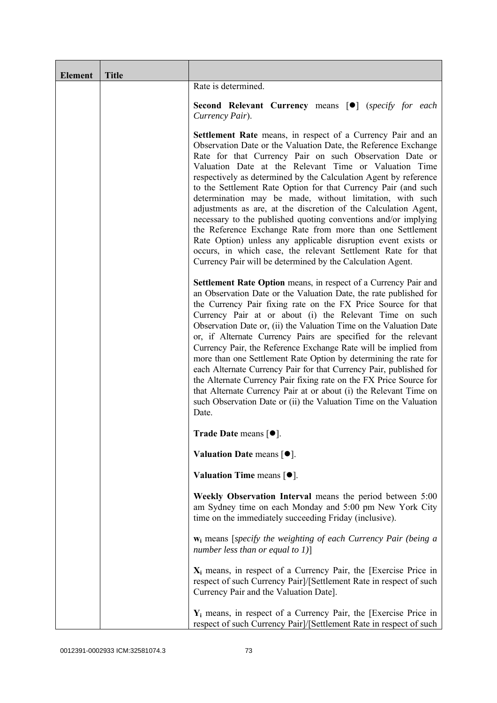| <b>Element</b> | <b>Title</b> |                                                                                                                                                                                                                                                                                                                                                                                                                                                                                                                                                                                                                                                                                                                                                                                                                                                             |
|----------------|--------------|-------------------------------------------------------------------------------------------------------------------------------------------------------------------------------------------------------------------------------------------------------------------------------------------------------------------------------------------------------------------------------------------------------------------------------------------------------------------------------------------------------------------------------------------------------------------------------------------------------------------------------------------------------------------------------------------------------------------------------------------------------------------------------------------------------------------------------------------------------------|
|                |              | Rate is determined.                                                                                                                                                                                                                                                                                                                                                                                                                                                                                                                                                                                                                                                                                                                                                                                                                                         |
|                |              | <b>Second Relevant Currency means [O]</b> (specify for each<br>Currency Pair).                                                                                                                                                                                                                                                                                                                                                                                                                                                                                                                                                                                                                                                                                                                                                                              |
|                |              | <b>Settlement Rate</b> means, in respect of a Currency Pair and an<br>Observation Date or the Valuation Date, the Reference Exchange<br>Rate for that Currency Pair on such Observation Date or<br>Valuation Date at the Relevant Time or Valuation Time<br>respectively as determined by the Calculation Agent by reference<br>to the Settlement Rate Option for that Currency Pair (and such<br>determination may be made, without limitation, with such<br>adjustments as are, at the discretion of the Calculation Agent,<br>necessary to the published quoting conventions and/or implying<br>the Reference Exchange Rate from more than one Settlement<br>Rate Option) unless any applicable disruption event exists or<br>occurs, in which case, the relevant Settlement Rate for that<br>Currency Pair will be determined by the Calculation Agent. |
|                |              | Settlement Rate Option means, in respect of a Currency Pair and<br>an Observation Date or the Valuation Date, the rate published for<br>the Currency Pair fixing rate on the FX Price Source for that<br>Currency Pair at or about (i) the Relevant Time on such<br>Observation Date or, (ii) the Valuation Time on the Valuation Date<br>or, if Alternate Currency Pairs are specified for the relevant<br>Currency Pair, the Reference Exchange Rate will be implied from<br>more than one Settlement Rate Option by determining the rate for<br>each Alternate Currency Pair for that Currency Pair, published for<br>the Alternate Currency Pair fixing rate on the FX Price Source for<br>that Alternate Currency Pair at or about (i) the Relevant Time on<br>such Observation Date or (ii) the Valuation Time on the Valuation<br>Date.              |
|                |              | Trade Date means $[•]$ .                                                                                                                                                                                                                                                                                                                                                                                                                                                                                                                                                                                                                                                                                                                                                                                                                                    |
|                |              | Valuation Date means [ $\bullet$ ].                                                                                                                                                                                                                                                                                                                                                                                                                                                                                                                                                                                                                                                                                                                                                                                                                         |
|                |              | Valuation Time means $[•]$ .                                                                                                                                                                                                                                                                                                                                                                                                                                                                                                                                                                                                                                                                                                                                                                                                                                |
|                |              | Weekly Observation Interval means the period between 5:00<br>am Sydney time on each Monday and 5:00 pm New York City<br>time on the immediately succeeding Friday (inclusive).                                                                                                                                                                                                                                                                                                                                                                                                                                                                                                                                                                                                                                                                              |
|                |              | $w_i$ means [specify the weighting of each Currency Pair (being a<br>number less than or equal to $1$ ]                                                                                                                                                                                                                                                                                                                                                                                                                                                                                                                                                                                                                                                                                                                                                     |
|                |              | $X_i$ means, in respect of a Currency Pair, the [Exercise Price in<br>respect of such Currency Pair]/[Settlement Rate in respect of such<br>Currency Pair and the Valuation Date].                                                                                                                                                                                                                                                                                                                                                                                                                                                                                                                                                                                                                                                                          |
|                |              | $Y_i$ means, in respect of a Currency Pair, the [Exercise Price in<br>respect of such Currency Pair]/[Settlement Rate in respect of such                                                                                                                                                                                                                                                                                                                                                                                                                                                                                                                                                                                                                                                                                                                    |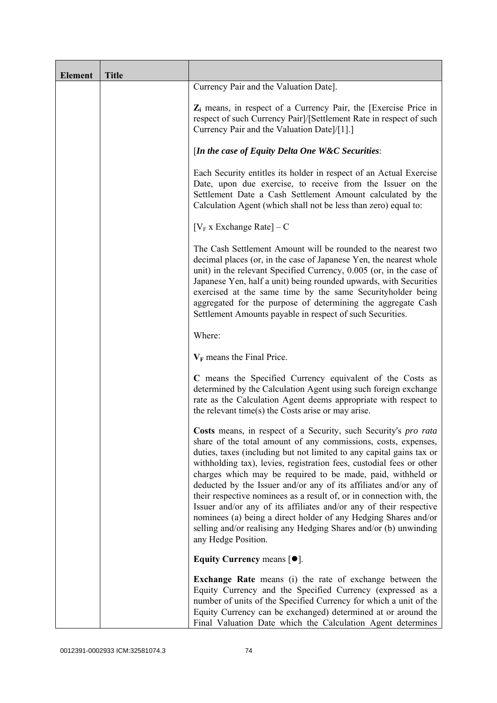| <b>Element</b> | <b>Title</b> |                                                                                                                                                                                                                                                                                                                                                                                                                                                                                                                                                                                                                                                                                                                                   |
|----------------|--------------|-----------------------------------------------------------------------------------------------------------------------------------------------------------------------------------------------------------------------------------------------------------------------------------------------------------------------------------------------------------------------------------------------------------------------------------------------------------------------------------------------------------------------------------------------------------------------------------------------------------------------------------------------------------------------------------------------------------------------------------|
|                |              | Currency Pair and the Valuation Date].                                                                                                                                                                                                                                                                                                                                                                                                                                                                                                                                                                                                                                                                                            |
|                |              | $Z_i$ means, in respect of a Currency Pair, the [Exercise Price in<br>respect of such Currency Pair]/[Settlement Rate in respect of such<br>Currency Pair and the Valuation Date]/[1].]                                                                                                                                                                                                                                                                                                                                                                                                                                                                                                                                           |
|                |              | [In the case of Equity Delta One W&C Securities:                                                                                                                                                                                                                                                                                                                                                                                                                                                                                                                                                                                                                                                                                  |
|                |              | Each Security entitles its holder in respect of an Actual Exercise<br>Date, upon due exercise, to receive from the Issuer on the<br>Settlement Date a Cash Settlement Amount calculated by the<br>Calculation Agent (which shall not be less than zero) equal to:                                                                                                                                                                                                                                                                                                                                                                                                                                                                 |
|                |              | $[V_F x]$ Exchange Rate $] - C$                                                                                                                                                                                                                                                                                                                                                                                                                                                                                                                                                                                                                                                                                                   |
|                |              | The Cash Settlement Amount will be rounded to the nearest two<br>decimal places (or, in the case of Japanese Yen, the nearest whole<br>unit) in the relevant Specified Currency, 0.005 (or, in the case of<br>Japanese Yen, half a unit) being rounded upwards, with Securities<br>exercised at the same time by the same Securityholder being<br>aggregated for the purpose of determining the aggregate Cash<br>Settlement Amounts payable in respect of such Securities.                                                                                                                                                                                                                                                       |
|                |              | Where:                                                                                                                                                                                                                                                                                                                                                                                                                                                                                                                                                                                                                                                                                                                            |
|                |              | $V_F$ means the Final Price.                                                                                                                                                                                                                                                                                                                                                                                                                                                                                                                                                                                                                                                                                                      |
|                |              | C means the Specified Currency equivalent of the Costs as<br>determined by the Calculation Agent using such foreign exchange<br>rate as the Calculation Agent deems appropriate with respect to<br>the relevant time(s) the Costs arise or may arise.                                                                                                                                                                                                                                                                                                                                                                                                                                                                             |
|                |              | Costs means, in respect of a Security, such Security's pro rata<br>share of the total amount of any commissions, costs, expenses,<br>duties, taxes (including but not limited to any capital gains tax or<br>withholding tax), levies, registration fees, custodial fees or other<br>charges which may be required to be made, paid, withheld or<br>deducted by the Issuer and/or any of its affiliates and/or any of<br>their respective nominees as a result of, or in connection with, the<br>Issuer and/or any of its affiliates and/or any of their respective<br>nominees (a) being a direct holder of any Hedging Shares and/or<br>selling and/or realising any Hedging Shares and/or (b) unwinding<br>any Hedge Position. |
|                |              | Equity Currency means $[•]$ .                                                                                                                                                                                                                                                                                                                                                                                                                                                                                                                                                                                                                                                                                                     |
|                |              | <b>Exchange Rate</b> means (i) the rate of exchange between the<br>Equity Currency and the Specified Currency (expressed as a<br>number of units of the Specified Currency for which a unit of the<br>Equity Currency can be exchanged) determined at or around the<br>Final Valuation Date which the Calculation Agent determines                                                                                                                                                                                                                                                                                                                                                                                                |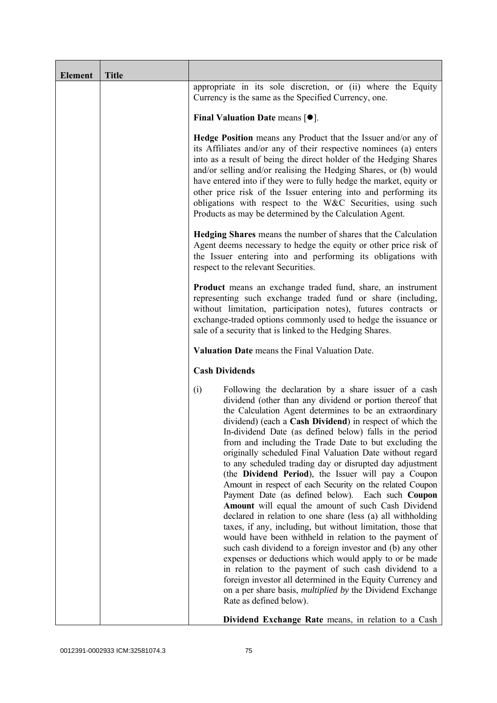| <b>Element</b> | <b>Title</b> |                                                                                                                                                                                                                                                                                                                                                                                                                                                                                                                                                                                                                                                                                                                                                                                                                                                                                                                                                                                                                                                                                                                                                                                                                                                                    |
|----------------|--------------|--------------------------------------------------------------------------------------------------------------------------------------------------------------------------------------------------------------------------------------------------------------------------------------------------------------------------------------------------------------------------------------------------------------------------------------------------------------------------------------------------------------------------------------------------------------------------------------------------------------------------------------------------------------------------------------------------------------------------------------------------------------------------------------------------------------------------------------------------------------------------------------------------------------------------------------------------------------------------------------------------------------------------------------------------------------------------------------------------------------------------------------------------------------------------------------------------------------------------------------------------------------------|
|                |              | appropriate in its sole discretion, or (ii) where the Equity<br>Currency is the same as the Specified Currency, one.                                                                                                                                                                                                                                                                                                                                                                                                                                                                                                                                                                                                                                                                                                                                                                                                                                                                                                                                                                                                                                                                                                                                               |
|                |              | Final Valuation Date means $[•]$ .                                                                                                                                                                                                                                                                                                                                                                                                                                                                                                                                                                                                                                                                                                                                                                                                                                                                                                                                                                                                                                                                                                                                                                                                                                 |
|                |              | <b>Hedge Position</b> means any Product that the Issuer and/or any of<br>its Affiliates and/or any of their respective nominees (a) enters<br>into as a result of being the direct holder of the Hedging Shares<br>and/or selling and/or realising the Hedging Shares, or (b) would<br>have entered into if they were to fully hedge the market, equity or<br>other price risk of the Issuer entering into and performing its<br>obligations with respect to the W&C Securities, using such<br>Products as may be determined by the Calculation Agent.                                                                                                                                                                                                                                                                                                                                                                                                                                                                                                                                                                                                                                                                                                             |
|                |              | <b>Hedging Shares</b> means the number of shares that the Calculation<br>Agent deems necessary to hedge the equity or other price risk of<br>the Issuer entering into and performing its obligations with<br>respect to the relevant Securities.                                                                                                                                                                                                                                                                                                                                                                                                                                                                                                                                                                                                                                                                                                                                                                                                                                                                                                                                                                                                                   |
|                |              | <b>Product</b> means an exchange traded fund, share, an instrument<br>representing such exchange traded fund or share (including,<br>without limitation, participation notes), futures contracts or<br>exchange-traded options commonly used to hedge the issuance or<br>sale of a security that is linked to the Hedging Shares.                                                                                                                                                                                                                                                                                                                                                                                                                                                                                                                                                                                                                                                                                                                                                                                                                                                                                                                                  |
|                |              | Valuation Date means the Final Valuation Date.                                                                                                                                                                                                                                                                                                                                                                                                                                                                                                                                                                                                                                                                                                                                                                                                                                                                                                                                                                                                                                                                                                                                                                                                                     |
|                |              | <b>Cash Dividends</b>                                                                                                                                                                                                                                                                                                                                                                                                                                                                                                                                                                                                                                                                                                                                                                                                                                                                                                                                                                                                                                                                                                                                                                                                                                              |
|                |              | Following the declaration by a share issuer of a cash<br>(i)<br>dividend (other than any dividend or portion thereof that<br>the Calculation Agent determines to be an extraordinary<br>dividend) (each a Cash Dividend) in respect of which the<br>In-dividend Date (as defined below) falls in the period<br>from and including the Trade Date to but excluding the<br>originally scheduled Final Valuation Date without regard<br>to any scheduled trading day or disrupted day adjustment<br>(the Dividend Period), the Issuer will pay a Coupon<br>Amount in respect of each Security on the related Coupon<br>Payment Date (as defined below). Each such Coupon<br>Amount will equal the amount of such Cash Dividend<br>declared in relation to one share (less (a) all withholding<br>taxes, if any, including, but without limitation, those that<br>would have been withheld in relation to the payment of<br>such cash dividend to a foreign investor and (b) any other<br>expenses or deductions which would apply to or be made<br>in relation to the payment of such cash dividend to a<br>foreign investor all determined in the Equity Currency and<br>on a per share basis, <i>multiplied by</i> the Dividend Exchange<br>Rate as defined below). |
|                |              | Dividend Exchange Rate means, in relation to a Cash                                                                                                                                                                                                                                                                                                                                                                                                                                                                                                                                                                                                                                                                                                                                                                                                                                                                                                                                                                                                                                                                                                                                                                                                                |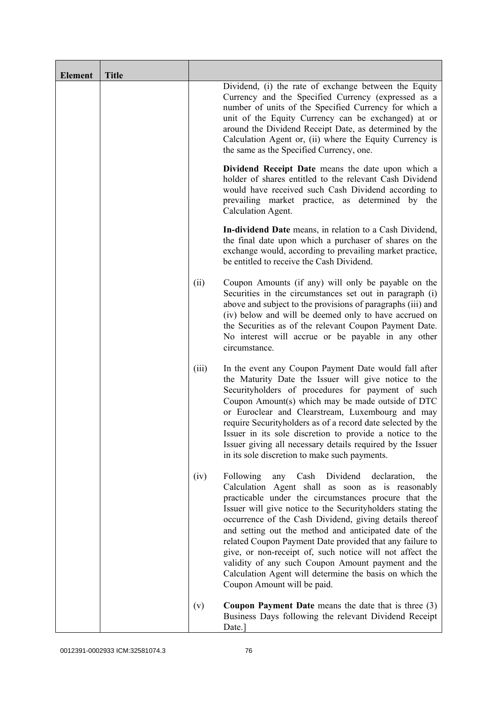| <b>Element</b> | <b>Title</b> |       |                                                                                                                                                                                                                                                                                                                                                                                                                                                                                                                                                                                                                                    |
|----------------|--------------|-------|------------------------------------------------------------------------------------------------------------------------------------------------------------------------------------------------------------------------------------------------------------------------------------------------------------------------------------------------------------------------------------------------------------------------------------------------------------------------------------------------------------------------------------------------------------------------------------------------------------------------------------|
|                |              |       | Dividend, (i) the rate of exchange between the Equity<br>Currency and the Specified Currency (expressed as a<br>number of units of the Specified Currency for which a<br>unit of the Equity Currency can be exchanged) at or<br>around the Dividend Receipt Date, as determined by the<br>Calculation Agent or, (ii) where the Equity Currency is<br>the same as the Specified Currency, one.                                                                                                                                                                                                                                      |
|                |              |       | Dividend Receipt Date means the date upon which a<br>holder of shares entitled to the relevant Cash Dividend<br>would have received such Cash Dividend according to<br>prevailing market practice, as determined by the<br>Calculation Agent.                                                                                                                                                                                                                                                                                                                                                                                      |
|                |              |       | In-dividend Date means, in relation to a Cash Dividend,<br>the final date upon which a purchaser of shares on the<br>exchange would, according to prevailing market practice,<br>be entitled to receive the Cash Dividend.                                                                                                                                                                                                                                                                                                                                                                                                         |
|                |              | (ii)  | Coupon Amounts (if any) will only be payable on the<br>Securities in the circumstances set out in paragraph (i)<br>above and subject to the provisions of paragraphs (iii) and<br>(iv) below and will be deemed only to have accrued on<br>the Securities as of the relevant Coupon Payment Date.<br>No interest will accrue or be payable in any other<br>circumstance.                                                                                                                                                                                                                                                           |
|                |              | (iii) | In the event any Coupon Payment Date would fall after<br>the Maturity Date the Issuer will give notice to the<br>Securityholders of procedures for payment of such<br>Coupon Amount(s) which may be made outside of DTC<br>or Euroclear and Clearstream, Luxembourg and may<br>require Securityholders as of a record date selected by the<br>Issuer in its sole discretion to provide a notice to the<br>Issuer giving all necessary details required by the Issuer<br>in its sole discretion to make such payments.                                                                                                              |
|                |              | (iv)  | Following<br>Dividend<br>Cash<br>declaration,<br>any<br>the<br>Calculation Agent shall as soon as is reasonably<br>practicable under the circumstances procure that the<br>Issuer will give notice to the Securityholders stating the<br>occurrence of the Cash Dividend, giving details thereof<br>and setting out the method and anticipated date of the<br>related Coupon Payment Date provided that any failure to<br>give, or non-receipt of, such notice will not affect the<br>validity of any such Coupon Amount payment and the<br>Calculation Agent will determine the basis on which the<br>Coupon Amount will be paid. |
|                |              | (v)   | <b>Coupon Payment Date</b> means the date that is three $(3)$<br>Business Days following the relevant Dividend Receipt<br>Date.]                                                                                                                                                                                                                                                                                                                                                                                                                                                                                                   |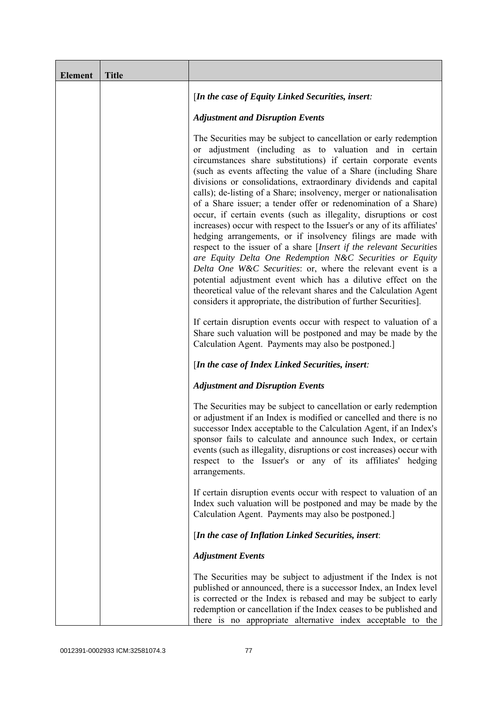| <b>Element</b> | <b>Title</b> |                                                                                                                                                                                                                                                                                                                                                                                                                                                                                                                                                                                                                                                                                                                                                                                                                                                                                                                                                                                                                                                                                                                  |
|----------------|--------------|------------------------------------------------------------------------------------------------------------------------------------------------------------------------------------------------------------------------------------------------------------------------------------------------------------------------------------------------------------------------------------------------------------------------------------------------------------------------------------------------------------------------------------------------------------------------------------------------------------------------------------------------------------------------------------------------------------------------------------------------------------------------------------------------------------------------------------------------------------------------------------------------------------------------------------------------------------------------------------------------------------------------------------------------------------------------------------------------------------------|
|                |              | [In the case of Equity Linked Securities, insert:                                                                                                                                                                                                                                                                                                                                                                                                                                                                                                                                                                                                                                                                                                                                                                                                                                                                                                                                                                                                                                                                |
|                |              | <b>Adjustment and Disruption Events</b>                                                                                                                                                                                                                                                                                                                                                                                                                                                                                                                                                                                                                                                                                                                                                                                                                                                                                                                                                                                                                                                                          |
|                |              | The Securities may be subject to cancellation or early redemption<br>or adjustment (including as to valuation and in certain<br>circumstances share substitutions) if certain corporate events<br>(such as events affecting the value of a Share (including Share)<br>divisions or consolidations, extraordinary dividends and capital<br>calls); de-listing of a Share; insolvency, merger or nationalisation<br>of a Share issuer; a tender offer or redenomination of a Share)<br>occur, if certain events (such as illegality, disruptions or cost<br>increases) occur with respect to the Issuer's or any of its affiliates'<br>hedging arrangements, or if insolvency filings are made with<br>respect to the issuer of a share [Insert if the relevant Securities<br>are Equity Delta One Redemption N&C Securities or Equity<br>Delta One W&C Securities: or, where the relevant event is a<br>potential adjustment event which has a dilutive effect on the<br>theoretical value of the relevant shares and the Calculation Agent<br>considers it appropriate, the distribution of further Securities]. |
|                |              | If certain disruption events occur with respect to valuation of a<br>Share such valuation will be postponed and may be made by the<br>Calculation Agent. Payments may also be postponed.]                                                                                                                                                                                                                                                                                                                                                                                                                                                                                                                                                                                                                                                                                                                                                                                                                                                                                                                        |
|                |              | [In the case of Index Linked Securities, insert:                                                                                                                                                                                                                                                                                                                                                                                                                                                                                                                                                                                                                                                                                                                                                                                                                                                                                                                                                                                                                                                                 |
|                |              | <b>Adjustment and Disruption Events</b>                                                                                                                                                                                                                                                                                                                                                                                                                                                                                                                                                                                                                                                                                                                                                                                                                                                                                                                                                                                                                                                                          |
|                |              | The Securities may be subject to cancellation or early redemption<br>or adjustment if an Index is modified or cancelled and there is no<br>successor Index acceptable to the Calculation Agent, if an Index's<br>sponsor fails to calculate and announce such Index, or certain<br>events (such as illegality, disruptions or cost increases) occur with<br>respect to the Issuer's or any of its affiliates' hedging<br>arrangements.                                                                                                                                                                                                                                                                                                                                                                                                                                                                                                                                                                                                                                                                           |
|                |              | If certain disruption events occur with respect to valuation of an<br>Index such valuation will be postponed and may be made by the<br>Calculation Agent. Payments may also be postponed.]                                                                                                                                                                                                                                                                                                                                                                                                                                                                                                                                                                                                                                                                                                                                                                                                                                                                                                                       |
|                |              | [In the case of Inflation Linked Securities, insert:                                                                                                                                                                                                                                                                                                                                                                                                                                                                                                                                                                                                                                                                                                                                                                                                                                                                                                                                                                                                                                                             |
|                |              | <b>Adjustment Events</b>                                                                                                                                                                                                                                                                                                                                                                                                                                                                                                                                                                                                                                                                                                                                                                                                                                                                                                                                                                                                                                                                                         |
|                |              | The Securities may be subject to adjustment if the Index is not<br>published or announced, there is a successor Index, an Index level<br>is corrected or the Index is rebased and may be subject to early<br>redemption or cancellation if the Index ceases to be published and<br>there is no appropriate alternative index acceptable to the                                                                                                                                                                                                                                                                                                                                                                                                                                                                                                                                                                                                                                                                                                                                                                   |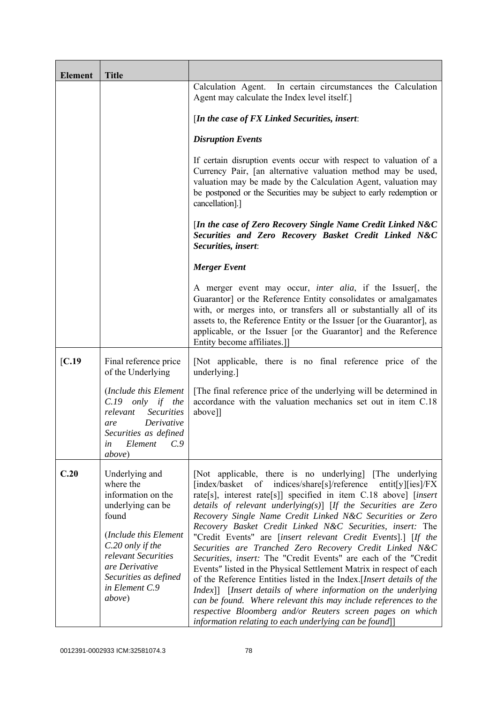| <b>Element</b> | <b>Title</b>                                                                                                                                                                                                               |                                                                                                                                                                                                                                                                                                                                                                                                                                                                                                                                                                                                                                                                                                                                                                                                                                                                                                                                                                                                              |
|----------------|----------------------------------------------------------------------------------------------------------------------------------------------------------------------------------------------------------------------------|--------------------------------------------------------------------------------------------------------------------------------------------------------------------------------------------------------------------------------------------------------------------------------------------------------------------------------------------------------------------------------------------------------------------------------------------------------------------------------------------------------------------------------------------------------------------------------------------------------------------------------------------------------------------------------------------------------------------------------------------------------------------------------------------------------------------------------------------------------------------------------------------------------------------------------------------------------------------------------------------------------------|
|                |                                                                                                                                                                                                                            | Calculation Agent. In certain circumstances the Calculation<br>Agent may calculate the Index level itself.]                                                                                                                                                                                                                                                                                                                                                                                                                                                                                                                                                                                                                                                                                                                                                                                                                                                                                                  |
|                |                                                                                                                                                                                                                            | [In the case of $FX$ Linked Securities, insert:                                                                                                                                                                                                                                                                                                                                                                                                                                                                                                                                                                                                                                                                                                                                                                                                                                                                                                                                                              |
|                |                                                                                                                                                                                                                            | <b>Disruption Events</b>                                                                                                                                                                                                                                                                                                                                                                                                                                                                                                                                                                                                                                                                                                                                                                                                                                                                                                                                                                                     |
|                |                                                                                                                                                                                                                            | If certain disruption events occur with respect to valuation of a<br>Currency Pair, [an alternative valuation method may be used,<br>valuation may be made by the Calculation Agent, valuation may<br>be postponed or the Securities may be subject to early redemption or<br>cancellation].]                                                                                                                                                                                                                                                                                                                                                                                                                                                                                                                                                                                                                                                                                                                |
|                |                                                                                                                                                                                                                            | [In the case of Zero Recovery Single Name Credit Linked N&C<br>Securities and Zero Recovery Basket Credit Linked N&C<br>Securities, insert:                                                                                                                                                                                                                                                                                                                                                                                                                                                                                                                                                                                                                                                                                                                                                                                                                                                                  |
|                |                                                                                                                                                                                                                            | <b>Merger Event</b>                                                                                                                                                                                                                                                                                                                                                                                                                                                                                                                                                                                                                                                                                                                                                                                                                                                                                                                                                                                          |
|                |                                                                                                                                                                                                                            | A merger event may occur, <i>inter alia</i> , if the Issuer[, the<br>Guarantor] or the Reference Entity consolidates or amalgamates<br>with, or merges into, or transfers all or substantially all of its<br>assets to, the Reference Entity or the Issuer [or the Guarantor], as<br>applicable, or the Issuer [or the Guarantor] and the Reference<br>Entity become affiliates.]                                                                                                                                                                                                                                                                                                                                                                                                                                                                                                                                                                                                                            |
| [C.19]         | Final reference price<br>of the Underlying                                                                                                                                                                                 | [Not applicable, there is no final reference price of the<br>underlying.]                                                                                                                                                                                                                                                                                                                                                                                                                                                                                                                                                                                                                                                                                                                                                                                                                                                                                                                                    |
|                | (Include this Element<br>$C.19$ only if the<br><b>Securities</b><br>relevant<br>Derivative<br>are<br>Securities as defined<br>C.9<br>Element<br>in<br><i>above</i> )                                                       | [The final reference price of the underlying will be determined in<br>accordance with the valuation mechanics set out in item C.18<br>above]]                                                                                                                                                                                                                                                                                                                                                                                                                                                                                                                                                                                                                                                                                                                                                                                                                                                                |
| C.20           | Underlying and<br>where the<br>information on the<br>underlying can be<br>found<br>(Include this Element<br>C.20 only if the<br>relevant Securities<br>are Derivative<br>Securities as defined<br>in Element C.9<br>above) | [Not applicable, there is no underlying] [The underlying]<br>[index/basket of indices/share[s]/reference<br>entit[y][ies]/ $FX$<br>rate[s], interest rate[s]] specified in item C.18 above] [insert<br>details of relevant underlying $(s)$ [If the Securities are Zero<br>Recovery Single Name Credit Linked N&C Securities or Zero<br>Recovery Basket Credit Linked N&C Securities, insert: The<br>"Credit Events" are [insert relevant Credit Events].] [If the<br>Securities are Tranched Zero Recovery Credit Linked N&C<br>Securities, insert: The "Credit Events" are each of the "Credit<br>Events" listed in the Physical Settlement Matrix in respect of each<br>of the Reference Entities listed in the Index. [Insert details of the<br>Index]] [Insert details of where information on the underlying<br>can be found. Where relevant this may include references to the<br>respective Bloomberg and/or Reuters screen pages on which<br>information relating to each underlying can be found]] |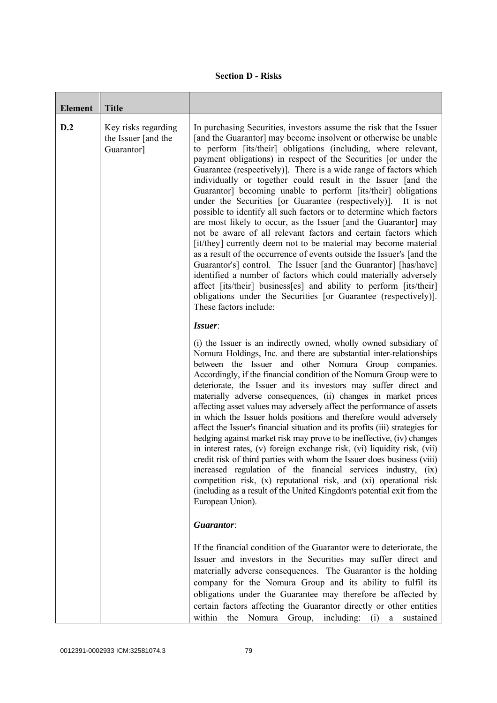|  | <b>Section D - Risks</b> |
|--|--------------------------|
|--|--------------------------|

| <b>Element</b> | <b>Title</b>                                             |                                                                                                                                                                                                                                                                                                                                                                                                                                                                                                                                                                                                                                                                                                                                                                                                                                                                                                                                                                                                                                                                                                                                                                                                                     |
|----------------|----------------------------------------------------------|---------------------------------------------------------------------------------------------------------------------------------------------------------------------------------------------------------------------------------------------------------------------------------------------------------------------------------------------------------------------------------------------------------------------------------------------------------------------------------------------------------------------------------------------------------------------------------------------------------------------------------------------------------------------------------------------------------------------------------------------------------------------------------------------------------------------------------------------------------------------------------------------------------------------------------------------------------------------------------------------------------------------------------------------------------------------------------------------------------------------------------------------------------------------------------------------------------------------|
| D.2            | Key risks regarding<br>the Issuer [and the<br>Guarantor] | In purchasing Securities, investors assume the risk that the Issuer<br>[and the Guarantor] may become insolvent or otherwise be unable<br>to perform [its/their] obligations (including, where relevant,<br>payment obligations) in respect of the Securities [or under the<br>Guarantee (respectively)]. There is a wide range of factors which<br>individually or together could result in the Issuer [and the<br>Guarantor] becoming unable to perform [its/their] obligations<br>under the Securities [or Guarantee (respectively)]. It is not<br>possible to identify all such factors or to determine which factors<br>are most likely to occur, as the Issuer [and the Guarantor] may<br>not be aware of all relevant factors and certain factors which<br>[it/they] currently deem not to be material may become material<br>as a result of the occurrence of events outside the Issuer's [and the<br>Guarantor's] control. The Issuer [and the Guarantor] [has/have]<br>identified a number of factors which could materially adversely<br>affect [its/their] business[es] and ability to perform [its/their]<br>obligations under the Securities [or Guarantee (respectively)].<br>These factors include: |
|                |                                                          | Issuer:<br>(i) the Issuer is an indirectly owned, wholly owned subsidiary of<br>Nomura Holdings, Inc. and there are substantial inter-relationships<br>between the Issuer and other Nomura Group companies.<br>Accordingly, if the financial condition of the Nomura Group were to<br>deteriorate, the Issuer and its investors may suffer direct and<br>materially adverse consequences, (ii) changes in market prices<br>affecting asset values may adversely affect the performance of assets<br>in which the Issuer holds positions and therefore would adversely<br>affect the Issuer's financial situation and its profits (iii) strategies for<br>hedging against market risk may prove to be ineffective, (iv) changes<br>in interest rates, (v) foreign exchange risk, (vi) liquidity risk, (vii)<br>credit risk of third parties with whom the Issuer does business (viii)<br>increased regulation of the financial services industry, (ix)<br>competition risk, (x) reputational risk, and (xi) operational risk<br>(including as a result of the United Kingdom's potential exit from the<br>European Union).                                                                                           |
|                |                                                          | Guarantor:<br>If the financial condition of the Guarantor were to deteriorate, the<br>Issuer and investors in the Securities may suffer direct and<br>materially adverse consequences. The Guarantor is the holding<br>company for the Nomura Group and its ability to fulfil its<br>obligations under the Guarantee may therefore be affected by<br>certain factors affecting the Guarantor directly or other entities<br>within<br>the Nomura Group, including: (i) a sustained                                                                                                                                                                                                                                                                                                                                                                                                                                                                                                                                                                                                                                                                                                                                   |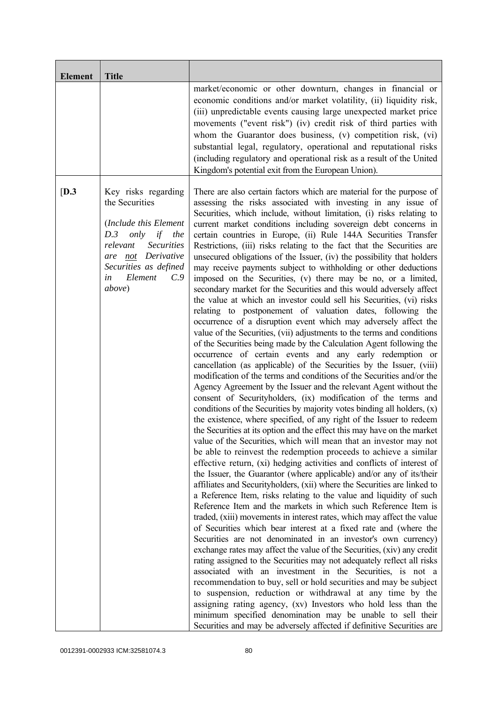| <b>Element</b> | <b>Title</b>                                                                                                                                                                                                    |                                                                                                                                                                                                                                                                                                                                                                                                                                                                                                                                                                                                                                                                                                                                                                                                                                                                                                                                                                                                                                                                                                                                                                                                                                                                                                                                                                                                                                                                                                                                                                                                                                                                                                                                                                                                                                                                                                                                                                                                                                                                                                                                                                                                                                                                                                                                                                                                                                                                                                                                                                                                                                                                                                                                                                                                                                                                                                                                                           |
|----------------|-----------------------------------------------------------------------------------------------------------------------------------------------------------------------------------------------------------------|-----------------------------------------------------------------------------------------------------------------------------------------------------------------------------------------------------------------------------------------------------------------------------------------------------------------------------------------------------------------------------------------------------------------------------------------------------------------------------------------------------------------------------------------------------------------------------------------------------------------------------------------------------------------------------------------------------------------------------------------------------------------------------------------------------------------------------------------------------------------------------------------------------------------------------------------------------------------------------------------------------------------------------------------------------------------------------------------------------------------------------------------------------------------------------------------------------------------------------------------------------------------------------------------------------------------------------------------------------------------------------------------------------------------------------------------------------------------------------------------------------------------------------------------------------------------------------------------------------------------------------------------------------------------------------------------------------------------------------------------------------------------------------------------------------------------------------------------------------------------------------------------------------------------------------------------------------------------------------------------------------------------------------------------------------------------------------------------------------------------------------------------------------------------------------------------------------------------------------------------------------------------------------------------------------------------------------------------------------------------------------------------------------------------------------------------------------------------------------------------------------------------------------------------------------------------------------------------------------------------------------------------------------------------------------------------------------------------------------------------------------------------------------------------------------------------------------------------------------------------------------------------------------------------------------------------------------------|
|                |                                                                                                                                                                                                                 | market/economic or other downturn, changes in financial or<br>economic conditions and/or market volatility, (ii) liquidity risk,<br>(iii) unpredictable events causing large unexpected market price<br>movements ("event risk") (iv) credit risk of third parties with<br>whom the Guarantor does business, (v) competition risk, (vi)<br>substantial legal, regulatory, operational and reputational risks<br>(including regulatory and operational risk as a result of the United<br>Kingdom's potential exit from the European Union).                                                                                                                                                                                                                                                                                                                                                                                                                                                                                                                                                                                                                                                                                                                                                                                                                                                                                                                                                                                                                                                                                                                                                                                                                                                                                                                                                                                                                                                                                                                                                                                                                                                                                                                                                                                                                                                                                                                                                                                                                                                                                                                                                                                                                                                                                                                                                                                                                |
| [D.3]          | Key risks regarding<br>the Securities<br>(Include this Element<br>only<br>D.3<br>if<br>the<br>relevant<br><b>Securities</b><br>not Derivative<br>are<br>Securities as defined<br>Element<br>C.9<br>in<br>above) | There are also certain factors which are material for the purpose of<br>assessing the risks associated with investing in any issue of<br>Securities, which include, without limitation, (i) risks relating to<br>current market conditions including sovereign debt concerns in<br>certain countries in Europe, (ii) Rule 144A Securities Transfer<br>Restrictions, (iii) risks relating to the fact that the Securities are<br>unsecured obligations of the Issuer, (iv) the possibility that holders<br>may receive payments subject to withholding or other deductions<br>imposed on the Securities, (v) there may be no, or a limited,<br>secondary market for the Securities and this would adversely affect<br>the value at which an investor could sell his Securities, (vi) risks<br>relating to postponement of valuation dates, following the<br>occurrence of a disruption event which may adversely affect the<br>value of the Securities, (vii) adjustments to the terms and conditions<br>of the Securities being made by the Calculation Agent following the<br>occurrence of certain events and any early redemption or<br>cancellation (as applicable) of the Securities by the Issuer, (viii)<br>modification of the terms and conditions of the Securities and/or the<br>Agency Agreement by the Issuer and the relevant Agent without the<br>consent of Securityholders, (ix) modification of the terms and<br>conditions of the Securities by majority votes binding all holders, (x)<br>the existence, where specified, of any right of the Issuer to redeem<br>the Securities at its option and the effect this may have on the market<br>value of the Securities, which will mean that an investor may not<br>be able to reinvest the redemption proceeds to achieve a similar<br>effective return, (xi) hedging activities and conflicts of interest of<br>the Issuer, the Guarantor (where applicable) and/or any of its/their<br>affiliates and Securityholders, (xii) where the Securities are linked to<br>a Reference Item, risks relating to the value and liquidity of such<br>Reference Item and the markets in which such Reference Item is<br>traded, (xiii) movements in interest rates, which may affect the value<br>of Securities which bear interest at a fixed rate and (where the<br>Securities are not denominated in an investor's own currency)<br>exchange rates may affect the value of the Securities, (xiv) any credit<br>rating assigned to the Securities may not adequately reflect all risks<br>associated with an investment in the Securities, is not a<br>recommendation to buy, sell or hold securities and may be subject<br>to suspension, reduction or withdrawal at any time by the<br>assigning rating agency, (xv) Investors who hold less than the<br>minimum specified denomination may be unable to sell their<br>Securities and may be adversely affected if definitive Securities are |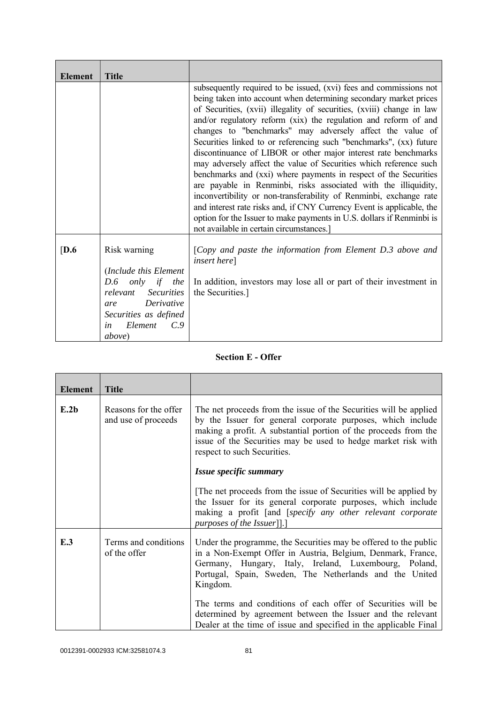| <b>Element</b> | <b>Title</b>                                                                                                                                                                         |                                                                                                                                                                                                                                                                                                                                                                                                                                                                                                                                                                                                                                                                                                                                                                                                                                                                                                                                                                           |
|----------------|--------------------------------------------------------------------------------------------------------------------------------------------------------------------------------------|---------------------------------------------------------------------------------------------------------------------------------------------------------------------------------------------------------------------------------------------------------------------------------------------------------------------------------------------------------------------------------------------------------------------------------------------------------------------------------------------------------------------------------------------------------------------------------------------------------------------------------------------------------------------------------------------------------------------------------------------------------------------------------------------------------------------------------------------------------------------------------------------------------------------------------------------------------------------------|
|                |                                                                                                                                                                                      | subsequently required to be issued, (xvi) fees and commissions not<br>being taken into account when determining secondary market prices<br>of Securities, (xvii) illegality of securities, (xviii) change in law<br>and/or regulatory reform (xix) the regulation and reform of and<br>changes to "benchmarks" may adversely affect the value of<br>Securities linked to or referencing such "benchmarks", (xx) future<br>discontinuance of LIBOR or other major interest rate benchmarks<br>may adversely affect the value of Securities which reference such<br>benchmarks and (xxi) where payments in respect of the Securities<br>are payable in Renminbi, risks associated with the illiquidity,<br>inconvertibility or non-transferability of Renminbi, exchange rate<br>and interest rate risks and, if CNY Currency Event is applicable, the<br>option for the Issuer to make payments in U.S. dollars if Renminbi is<br>not available in certain circumstances.] |
| [D.6]          | Risk warning<br>(Include this Element<br>only if the<br>D.6<br>relevant Securities<br>Derivative<br>are<br>Securities as defined<br>Element<br>$C_{\cdot}$ 9<br>in<br><i>above</i> ) | [Copy and paste the information from Element D.3 above and<br><i>insert here</i> ]<br>In addition, investors may lose all or part of their investment in<br>the Securities.]                                                                                                                                                                                                                                                                                                                                                                                                                                                                                                                                                                                                                                                                                                                                                                                              |

## **Section E - Offer**

| <b>Element</b> | <b>Title</b>                                 |                                                                                                                                                                                                                                                                                                                                 |
|----------------|----------------------------------------------|---------------------------------------------------------------------------------------------------------------------------------------------------------------------------------------------------------------------------------------------------------------------------------------------------------------------------------|
| E.2b           | Reasons for the offer<br>and use of proceeds | The net proceeds from the issue of the Securities will be applied<br>by the Issuer for general corporate purposes, which include<br>making a profit. A substantial portion of the proceeds from the<br>issue of the Securities may be used to hedge market risk with<br>respect to such Securities.                             |
|                |                                              | Issue specific summary                                                                                                                                                                                                                                                                                                          |
|                |                                              | The net proceeds from the issue of Securities will be applied by<br>the Issuer for its general corporate purposes, which include<br>making a profit [and [specify any other relevant corporate<br><i>purposes of the Issuer</i> ]].]                                                                                            |
| E.3            | Terms and conditions<br>of the offer         | Under the programme, the Securities may be offered to the public<br>in a Non-Exempt Offer in Austria, Belgium, Denmark, France,<br>Germany, Hungary, Italy, Ireland, Luxembourg, Poland,<br>Portugal, Spain, Sweden, The Netherlands and the United<br>Kingdom.<br>The terms and conditions of each offer of Securities will be |
|                |                                              | determined by agreement between the Issuer and the relevant<br>Dealer at the time of issue and specified in the applicable Final                                                                                                                                                                                                |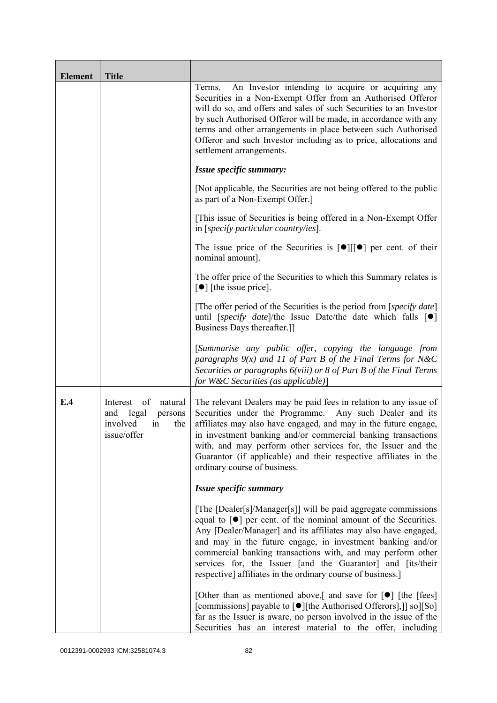| <b>Element</b> | <b>Title</b>                                                                                 |                                                                                                                                                                                                                                                                                                                                                                                                                                                                                    |
|----------------|----------------------------------------------------------------------------------------------|------------------------------------------------------------------------------------------------------------------------------------------------------------------------------------------------------------------------------------------------------------------------------------------------------------------------------------------------------------------------------------------------------------------------------------------------------------------------------------|
|                |                                                                                              | An Investor intending to acquire or acquiring any<br>Terms.<br>Securities in a Non-Exempt Offer from an Authorised Offeror<br>will do so, and offers and sales of such Securities to an Investor<br>by such Authorised Offeror will be made, in accordance with any<br>terms and other arrangements in place between such Authorised<br>Offeror and such Investor including as to price, allocations and<br>settlement arrangements.                                               |
|                |                                                                                              | Issue specific summary:                                                                                                                                                                                                                                                                                                                                                                                                                                                            |
|                |                                                                                              | [Not applicable, the Securities are not being offered to the public<br>as part of a Non-Exempt Offer.]                                                                                                                                                                                                                                                                                                                                                                             |
|                |                                                                                              | [This issue of Securities is being offered in a Non-Exempt Offer<br>in [specify particular country/ies].                                                                                                                                                                                                                                                                                                                                                                           |
|                |                                                                                              | The issue price of the Securities is $[\bullet] [[\bullet] ]$ per cent. of their<br>nominal amount].                                                                                                                                                                                                                                                                                                                                                                               |
|                |                                                                                              | The offer price of the Securities to which this Summary relates is<br>$\lceil \bullet \rceil$ [the issue price].                                                                                                                                                                                                                                                                                                                                                                   |
|                |                                                                                              | [The offer period of the Securities is the period from [ <i>specify date</i> ]<br>until [specify date]/the Issue Date/the date which falls $[\bullet]$<br>Business Days thereafter.]                                                                                                                                                                                                                                                                                               |
|                |                                                                                              | [Summarise any public offer, copying the language from<br>paragraphs $9(x)$ and 11 of Part B of the Final Terms for N&C<br>Securities or paragraphs 6(viii) or 8 of Part B of the Final Terms<br>for W&C Securities (as applicable)]                                                                                                                                                                                                                                               |
| E.4            | of<br>natural<br>Interest<br>and<br>legal<br>persons<br>involved<br>the<br>in<br>issue/offer | The relevant Dealers may be paid fees in relation to any issue of<br>Securities under the Programme.<br>Any such Dealer and its<br>affiliates may also have engaged, and may in the future engage,<br>in investment banking and/or commercial banking transactions<br>with, and may perform other services for, the Issuer and the<br>Guarantor (if applicable) and their respective affiliates in the<br>ordinary course of business.                                             |
|                |                                                                                              | Issue specific summary                                                                                                                                                                                                                                                                                                                                                                                                                                                             |
|                |                                                                                              | [The [Dealer[s]/Manager[s]] will be paid aggregate commissions<br>equal to $\lceil \bullet \rceil$ per cent. of the nominal amount of the Securities.<br>Any [Dealer/Manager] and its affiliates may also have engaged,<br>and may in the future engage, in investment banking and/or<br>commercial banking transactions with, and may perform other<br>services for, the Issuer [and the Guarantor] and [its/their<br>respective] affiliates in the ordinary course of business.] |
|                |                                                                                              | [Other than as mentioned above,] and save for $\lceil \bullet \rceil$ [the [fees]<br>[commissions] payable to [●][the Authorised Offerors],]] so][So]<br>far as the Issuer is aware, no person involved in the issue of the<br>Securities has an interest material to the offer, including                                                                                                                                                                                         |